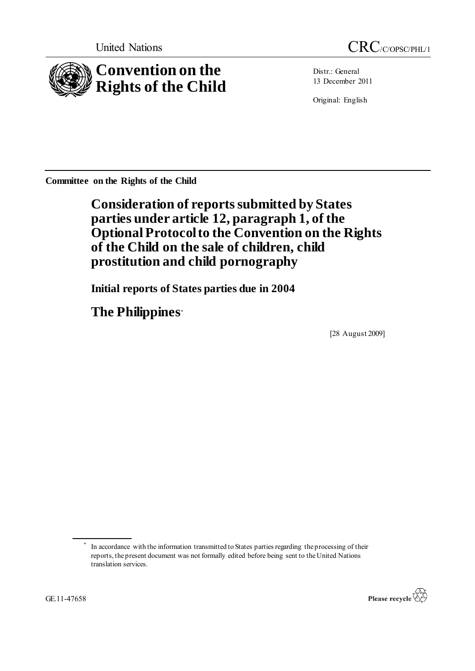

Distr.: General 13 December 2011

Original: English

**Committee on the Rights of the Child**

**Consideration of reports submitted by States parties under article 12, paragraph 1, of the Optional Protocol to the Convention on the Rights of the Child on the sale of children, child prostitution and child pornography**

**Initial reports of States parties due in 2004**

**The Philippines\***

[28 August 2009]

<sup>\*</sup> In accordance with the information transmitted to States parties regarding the processing of their reports, the present document was not formally edited before being sent to the United Nations translation services.

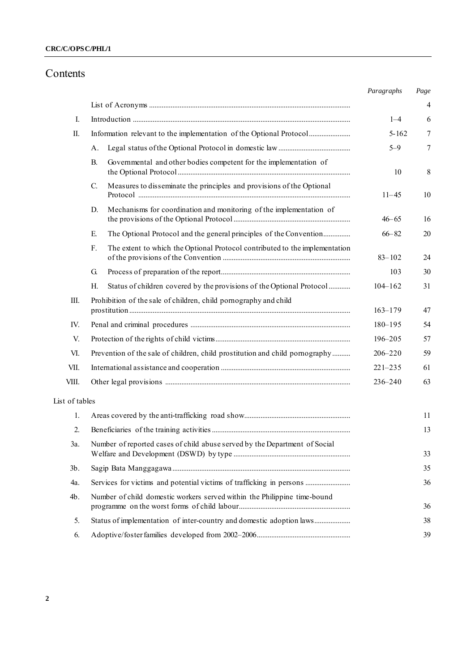## **CRC/C/OPSC/PHL/1**

# Contents

|                |                                                                                   | Paragraphs  | Page |
|----------------|-----------------------------------------------------------------------------------|-------------|------|
|                |                                                                                   |             | 4    |
| I.             |                                                                                   | $1 - 4$     | 6    |
| П.             |                                                                                   | $5 - 162$   | 7    |
|                | А.                                                                                | $5 - 9$     | 7    |
|                | Governmental and other bodies competent for the implementation of<br>В.           | 10          | 8    |
|                | Measures to disseminate the principles and provisions of the Optional<br>C.       | $11 - 45$   | 10   |
|                | Mechanisms for coordination and monitoring of the implementation of<br>D.         | $46 - 65$   | 16   |
|                | The Optional Protocol and the general principles of the Convention<br>Е.          | $66 - 82$   | 20   |
|                | F.<br>The extent to which the Optional Protocol contributed to the implementation | $83 - 102$  | 24   |
|                | G.                                                                                | 103         | 30   |
|                | Status of children covered by the provisions of the Optional Protocol<br>Н.       | $104 - 162$ | 31   |
| Ш.             | Prohibition of the sale of children, child pornography and child                  | $163 - 179$ | 47   |
| IV.            |                                                                                   | 180-195     | 54   |
| V.             |                                                                                   | 196-205     | 57   |
| VI.            | Prevention of the sale of children, child prostitution and child pornography      | $206 - 220$ | 59   |
| VII.           |                                                                                   | $221 - 235$ | 61   |
| VIII.          |                                                                                   | $236 - 240$ | 63   |
| List of tables |                                                                                   |             |      |
| 1.             |                                                                                   |             | 11   |
| 2.             |                                                                                   |             | 13   |
| 3a.            | Number of reported cases of child abuse served by the Department of Social        |             | 33   |
| $3b$ .         |                                                                                   |             | 35   |
| 4a.            | Services for victims and potential victims of trafficking in persons              |             | 36   |
| $4b$ .         | Number of child domestic workers served within the Philippine time-bound          |             | 36   |
| 5.             | Status of implementation of inter-country and domestic adoption laws              |             | 38   |
| 6.             |                                                                                   |             | 39   |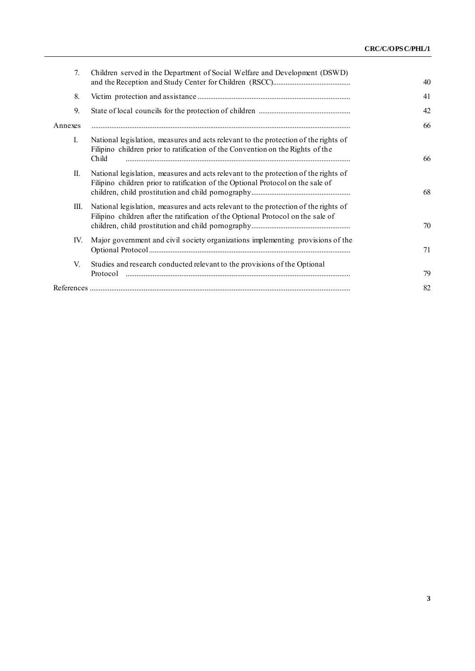| 7 <sub>1</sub> | Children served in the Department of Social Welfare and Development (DSWD)                                                                                                     | 40 |
|----------------|--------------------------------------------------------------------------------------------------------------------------------------------------------------------------------|----|
| 8.             |                                                                                                                                                                                | 41 |
| 9.             |                                                                                                                                                                                | 42 |
| Annexes        |                                                                                                                                                                                | 66 |
| I.             | National legislation, measures and acts relevant to the protection of the rights of<br>Filipino children prior to ratification of the Convention on the Rights of the<br>Child | 66 |
| П.             | National legislation, measures and acts relevant to the protection of the rights of<br>Filipino children prior to ratification of the Optional Protocol on the sale of         | 68 |
| Ш.             | National legislation, measures and acts relevant to the protection of the rights of<br>Filipino children after the ratification of the Optional Protocol on the sale of        | 70 |
| IV.            | Major government and civil society organizations implementing provisions of the                                                                                                | 71 |
| V.             | Studies and research conducted relevant to the provisions of the Optional<br>Protocol                                                                                          | 79 |
|                |                                                                                                                                                                                | 82 |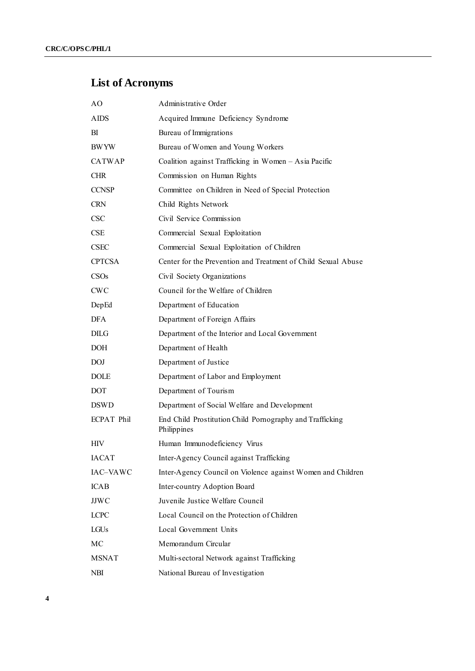# **List of Acronyms**

| AО                | Administrative Order                                                    |
|-------------------|-------------------------------------------------------------------------|
| <b>AIDS</b>       | Acquired Immune Deficiency Syndrome                                     |
| ВI                | Bureau of Immigrations                                                  |
| <b>BWYW</b>       | Bureau of Women and Young Workers                                       |
| CATWAP            | Coalition against Trafficking in Women - Asia Pacific                   |
| <b>CHR</b>        | Commission on Human Rights                                              |
| <b>CCNSP</b>      | Committee on Children in Need of Special Protection                     |
| <b>CRN</b>        | Child Rights Network                                                    |
| <b>CSC</b>        | Civil Service Commission                                                |
| CSE               | Commercial Sexual Exploitation                                          |
| <b>CSEC</b>       | Commercial Sexual Exploitation of Children                              |
| <b>CPTCSA</b>     | Center for the Prevention and Treatment of Child Sexual Abuse           |
| CSOs              | Civil Society Organizations                                             |
| <b>CWC</b>        | Council for the Welfare of Children                                     |
| DepEd             | Department of Education                                                 |
| <b>DFA</b>        | Department of Foreign Affairs                                           |
| DILG              | Department of the Interior and Local Government                         |
| DOH               | Department of Health                                                    |
| <b>DOJ</b>        | Department of Justice                                                   |
| <b>DOLE</b>       | Department of Labor and Employment                                      |
| <b>DOT</b>        | Department of Tourism                                                   |
| <b>DSWD</b>       | Department of Social Welfare and Development                            |
| <b>ECPAT Phil</b> | End Child Prostitution Child Pornography and Trafficking<br>Philippines |
| <b>HIV</b>        | Human Immunodeficiency Virus                                            |
| <b>IACAT</b>      | Inter-Agency Council against Trafficking                                |
| IAC-VAWC          | Inter-Agency Council on Violence against Women and Children             |
| <b>ICAB</b>       | Inter-country Adoption Board                                            |
| <b>JJWC</b>       | Juvenile Justice Welfare Council                                        |
| <b>LCPC</b>       | Local Council on the Protection of Children                             |
| LGUs              | Local Government Units                                                  |
| MC                | Memorandum Circular                                                     |
| <b>MSNAT</b>      | Multi-sectoral Network against Trafficking                              |
| NBI               | National Bureau of Investigation                                        |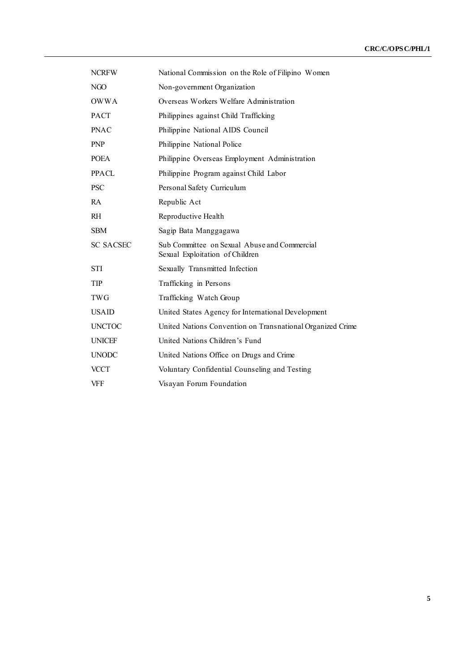| <b>NCRFW</b>     | National Commission on the Role of Filipino Women                               |
|------------------|---------------------------------------------------------------------------------|
| NGO              | Non-government Organization                                                     |
| <b>OWWA</b>      | Overseas Workers Welfare Administration                                         |
| <b>PACT</b>      | Philippines against Child Trafficking                                           |
| <b>PNAC</b>      | Philippine National AIDS Council                                                |
| <b>PNP</b>       | Philippine National Police                                                      |
| <b>POEA</b>      | Philippine Overseas Employment Administration                                   |
| PPACL.           | Philippine Program against Child Labor                                          |
| <b>PSC</b>       | Personal Safety Curriculum                                                      |
| RA               | Republic Act                                                                    |
| R <sub>H</sub>   | Reproductive Health                                                             |
| <b>SBM</b>       | Sagip Bata Manggagawa                                                           |
| <b>SC SACSEC</b> | Sub Committee on Sexual Abuse and Commercial<br>Sexual Exploitation of Children |
| <b>STI</b>       | Sexually Transmitted Infection                                                  |
| TIP              | Trafficking in Persons                                                          |
| <b>TWG</b>       | Trafficking Watch Group                                                         |
| <b>USAID</b>     | United States Agency for International Development                              |
| <b>UNCTOC</b>    | United Nations Convention on Transnational Organized Crime                      |
| <b>UNICEF</b>    | United Nations Children's Fund                                                  |
| <b>UNODC</b>     | United Nations Office on Drugs and Crime                                        |
| <b>VCCT</b>      | Voluntary Confidential Counseling and Testing                                   |
| <b>VFF</b>       | Visayan Forum Foundation                                                        |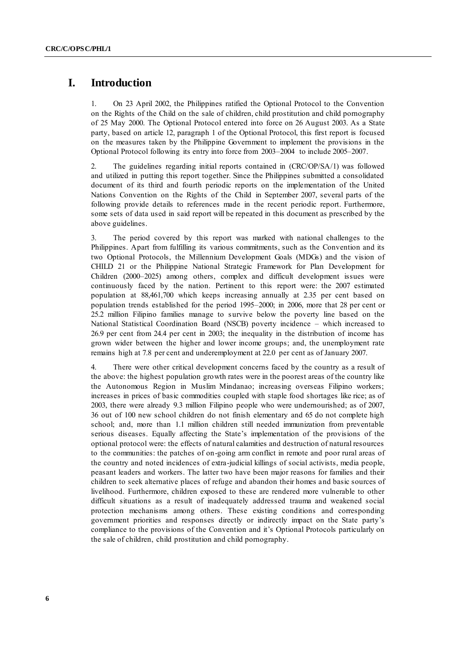## **I. Introduction**

1. On 23 April 2002, the Philippines ratified the Optional Protocol to the Convention on the Rights of the Child on the sale of children, child prostitution and child pornography of 25 May 2000. The Optional Protocol entered into force on 26 August 2003. As a State party, based on article 12, paragraph 1 of the Optional Protocol, this first report is focused on the measures taken by the Philippine Government to implement the provisions in the Optional Protocol following its entry into force from 2003–2004 to include 2005–2007.

2. The guidelines regarding initial reports contained in (CRC/OP/SA/1) was followed and utilized in putting this report together. Since the Philippines submitted a consolidated document of its third and fourth periodic reports on the implementation of the United Nations Convention on the Rights of the Child in September 2007, several parts of the following provide details to references made in the recent periodic report. Furthermore, some sets of data used in said report will be repeated in this document as prescribed by the above guidelines.

3. The period covered by this report was marked with national challenges to the Philippines. Apart from fulfilling its various commitments, such as the Convention and its two Optional Protocols, the Millennium Development Goals (MDGs) and the vision of CHILD 21 or the Philippine National Strategic Framework for Plan Development for Children (2000–2025) among others, complex and difficult development issues were continuously faced by the nation. Pertinent to this report were: the 2007 estimated population at 88,461,700 which keeps increasing annually at 2.35 per cent based on population trends established for the period 1995–2000; in 2006, more that 28 per cent or 25.2 million Filipino families manage to survive below the poverty line based on the National Statistical Coordination Board (NSCB) poverty incidence – which increased to 26.9 per cent from 24.4 per cent in 2003; the inequality in the distribution of income has grown wider between the higher and lower income groups; and, the unemployment rate remains high at 7.8 per cent and underemployment at 22.0 per cent as of January 2007.

4. There were other critical development concerns faced by the country as a result of the above: the highest population growth rates were in the poorest areas of the country like the Autonomous Region in Muslim Mindanao; increasing overseas Filipino workers; increases in prices of basic commodities coupled with staple food shortages like rice; as of 2003, there were already 9.3 million Filipino people who were undernourished; as of 2007, 36 out of 100 new school children do not finish elementary and 65 do not complete high school; and, more than 1.1 million children still needed immunization from preventable serious diseases. Equally affecting the State's implementation of the provisions of the optional protocol were: the effects of natural calamities and destruction of natural resources to the communities: the patches of on-going arm conflict in remote and poor rural areas of the country and noted incidences of extra-judicial killings of social activists, media people, peasant leaders and workers. The latter two have been major reasons for families and their children to seek alternative places of refuge and abandon their homes and basic sources of livelihood. Furthermore, children exposed to these are rendered more vulnerable to other difficult situations as a result of inadequately addressed trauma and weakened social protection mechanisms among others. These existing conditions and corresponding government priorities and responses directly or indirectly impact on the State party's compliance to the provisions of the Convention and it's Optional Protocols particularly on the sale of children, child prostitution and child pornography.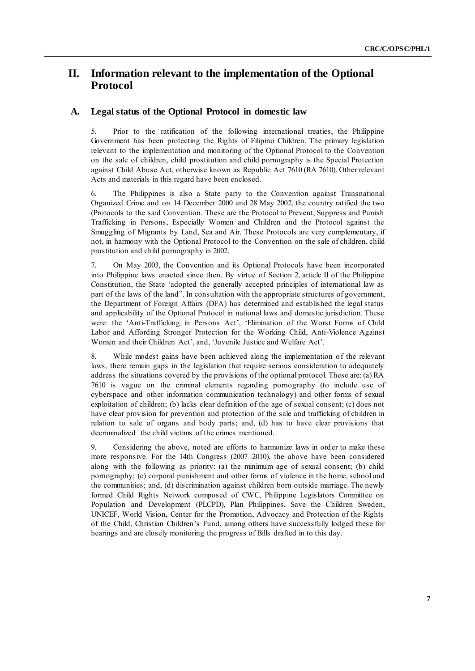# **II. Information relevant to the implementation of the Optional Protocol**

#### **A. Legal status of the Optional Protocol in domestic law**

5. Prior to the ratification of the following international treaties, the Philippine Government has been protecting the Rights of Filipino Children. The primary legislation relevant to the implementation and monitoring of the Optional Protocol to the Convention on the sale of children, child prostitution and child pornography is the Special Protection against Child Abuse Act, otherwise known as Republic Act 7610 (RA 7610). Other relevant Acts and materials in this regard have been enclosed.

6. The Philippines is also a State party to the Convention against Transnational Organized Crime and on 14 December 2000 and 28 May 2002, the country ratified the two (Protocols to the said Convention. These are the Protocol to Prevent, Suppress and Punish Trafficking in Persons, Especially Women and Children and the Protocol against the Smuggling of Migrants by Land, Sea and Air. These Protocols are very complementary, if not, in harmony with the Optional Protocol to the Convention on the sale of children, child prostitution and child pornography in 2002.

7. On May 2003, the Convention and its Optional Protocols have been incorporated into Philippine laws enacted since then. By virtue of Section 2, article II of the Philippine Constitution, the State 'adopted the generally accepted principles of international law as part of the laws of the land". In consultation with the appropriate structures of government, the Department of Foreign Affairs (DFA) has determined and established the legal status and applicability of the Optional Protocol in national laws and domestic jurisdiction. These were: the ‗Anti-Trafficking in Persons Act', ‗Elimination of the Worst Forms of Child Labor and Affording Stronger Protection for the Working Child, Anti-Violence Against Women and their Children Act', and, 'Juvenile Justice and Welfare Act'.

8. While modest gains have been achieved along the implementation of the relevant laws, there remain gaps in the legislation that require serious consideration to adequately address the situations covered by the provisions of the optional protocol. These are: (a) RA 7610 is vague on the criminal elements regarding pornography (to include use of cyberspace and other information communication technology) and other forms of sexual exploitation of children; (b) lacks clear definition of the age of sexual consent; (c) does not have clear provision for prevention and protection of the sale and trafficking of children in relation to sale of organs and body parts; and, (d) has to have clear provisions that decriminalized the child victims of the crimes mentioned.

9. Considering the above, noted are efforts to harmonize laws in order to make these more responsive. For the 14th Congress (2007–2010), the above have been considered along with the following as priority: (a) the minimum age of sexual consent; (b) child pornography; (c) corporal punishment and other forms of violence in the home, school and the communities; and, (d) discrimination against children born outside marriage. The newly formed Child Rights Network composed of CWC, Philippine Legislators Committee on Population and Development (PLCPD), Plan Philippines, Save the Children Sweden, UNICEF, World Vision, Center for the Promotion, Advocacy and Protection of the Rights of the Child, Christian Children's Fund, among others have successfully lodged these for hearings and are closely monitoring the progress of Bills drafted in to this day.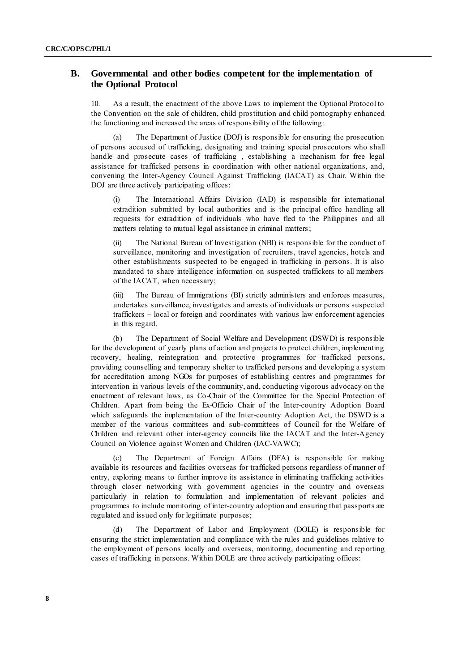## **B. Governmental and other bodies competent for the implementation of the Optional Protocol**

10. As a result, the enactment of the above Laws to implement the Optional Protocol to the Convention on the sale of children, child prostitution and child pornography enhanced the functioning and increased the areas of responsibility of the following:

(a) The Department of Justice (DOJ) is responsible for ensuring the prosecution of persons accused of trafficking, designating and training special prosecutors who shall handle and prosecute cases of trafficking , establishing a mechanism for free legal assistance for trafficked persons in coordination with other national organizations, and, convening the Inter-Agency Council Against Trafficking (IACAT) as Chair. Within the DOJ are three actively participating offices:

(i) The International Affairs Division (IAD) is responsible for international extradition submitted by local authorities and is the principal office handling all requests for extradition of individuals who have fled to the Philippines and all matters relating to mutual legal assistance in criminal matters;

(ii) The National Bureau of Investigation (NBI) is responsible for the conduct of surveillance, monitoring and investigation of recruiters, travel agencies, hotels and other establishments suspected to be engaged in trafficking in persons. It is also mandated to share intelligence information on suspected traffickers to all members of the IACAT, when necessary;

(iii) The Bureau of Immigrations (BI) strictly administers and enforces measures, undertakes surveillance, investigates and arrests of individuals or persons suspected traffickers – local or foreign and coordinates with various law enforcement agencies in this regard.

(b) The Department of Social Welfare and Development (DSWD) is responsible for the development of yearly plans of action and projects to protect children, implementing recovery, healing, reintegration and protective programmes for trafficked persons, providing counselling and temporary shelter to trafficked persons and developing a system for accreditation among NGOs for purposes of establishing centres and programmes for intervention in various levels of the community, and, conducting vigorous advocacy on the enactment of relevant laws, as Co-Chair of the Committee for the Special Protection of Children. Apart from being the Ex-Officio Chair of the Inter-country Adoption Board which safeguards the implementation of the Inter-country Adoption Act, the DSWD is a member of the various committees and sub-committees of Council for the Welfare of Children and relevant other inter-agency councils like the IACAT and the Inter-Agency Council on Violence against Women and Children (IAC-VAWC);

The Department of Foreign Affairs (DFA) is responsible for making available its resources and facilities overseas for trafficked persons regardless of manner of entry, exploring means to further improve its assistance in eliminating trafficking activities through closer networking with government agencies in the country and overseas particularly in relation to formulation and implementation of relevant policies and programmes to include monitoring of inter-country adoption and ensuring that passports are regulated and issued only for legitimate purposes;

The Department of Labor and Employment (DOLE) is responsible for ensuring the strict implementation and compliance with the rules and guidelines relative to the employment of persons locally and overseas, monitoring, documenting and rep orting cases of trafficking in persons. Within DOLE are three actively participating offices: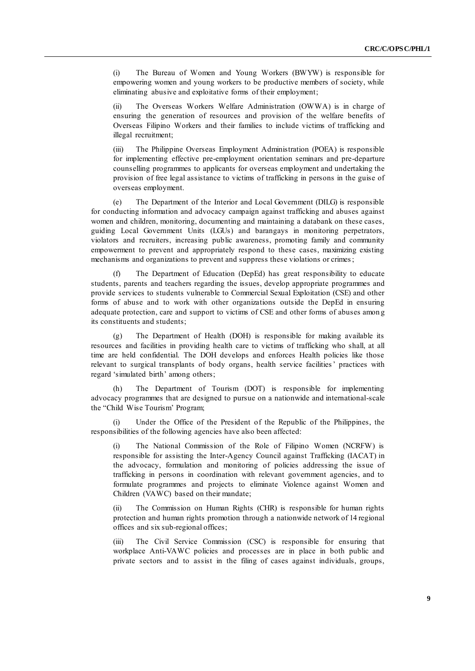(i) The Bureau of Women and Young Workers (BWYW) is responsible for empowering women and young workers to be productive members of society, while eliminating abusive and exploitative forms of their employment;

(ii) The Overseas Workers Welfare Administration (OWWA) is in charge of ensuring the generation of resources and provision of the welfare benefits of Overseas Filipino Workers and their families to include victims of trafficking and illegal recruitment;

(iii) The Philippine Overseas Employment Administration (POEA) is responsible for implementing effective pre-employment orientation seminars and pre-departure counselling programmes to applicants for overseas employment and undertaking the provision of free legal assistance to victims of trafficking in persons in the guise of overseas employment.

(e) The Department of the Interior and Local Government (DILG) is responsible for conducting information and advocacy campaign against trafficking and abuses against women and children, monitoring, documenting and maintaining a databank on these cases, guiding Local Government Units (LGUs) and barangays in monitoring perpetrators, violators and recruiters, increasing public awareness, promoting family and community empowerment to prevent and appropriately respond to these cases, maximizing existing mechanisms and organizations to prevent and suppress these violations or crimes;

(f) The Department of Education (DepEd) has great responsibility to educate students, parents and teachers regarding the issues, develop appropriate programmes and provide services to students vulnerable to Commercial Sexual Exploitation (CSE) and other forms of abuse and to work with other organizations outside the DepEd in ensuring adequate protection, care and support to victims of CSE and other forms of abuses amon g its constituents and students;

(g) The Department of Health (DOH) is responsible for making available its resources and facilities in providing health care to victims of trafficking who shall, at all time are held confidential. The DOH develops and enforces Health policies like those relevant to surgical transplants of body organs, health service facilities' practices with regard 'simulated birth' among others;

(h) The Department of Tourism (DOT) is responsible for implementing advocacy programmes that are designed to pursue on a nationwide and international-scale the "Child Wise Tourism' Program;

(i) Under the Office of the President of the Republic of the Philippines, the responsibilities of the following agencies have also been affected:

(i) The National Commission of the Role of Filipino Women (NCRFW) is responsible for assisting the Inter-Agency Council against Trafficking (IACAT) in the advocacy, formulation and monitoring of policies addressing the issue of trafficking in persons in coordination with relevant government agencies, and to formulate programmes and projects to eliminate Violence against Women and Children (VAWC) based on their mandate;

(ii) The Commission on Human Rights (CHR) is responsible for human rights protection and human rights promotion through a nationwide network of 14 regional offices and six sub-regional offices;

(iii) The Civil Service Commission (CSC) is responsible for ensuring that workplace Anti-VAWC policies and processes are in place in both public and private sectors and to assist in the filing of cases against individuals, groups,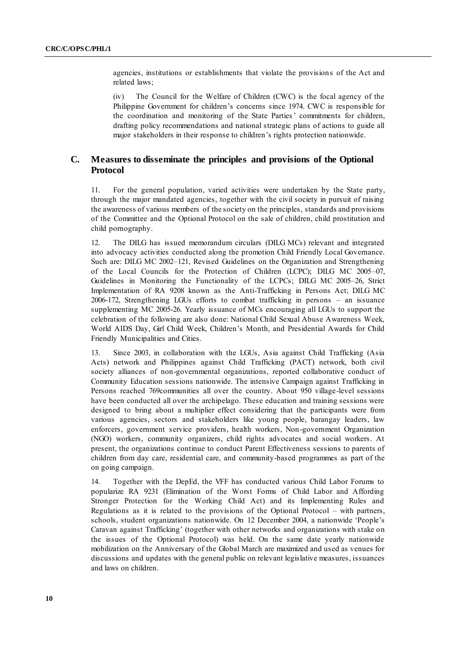agencies, institutions or establishments that violate the provisions of the Act and related laws;

(iv) The Council for the Welfare of Children (CWC) is the focal agency of the Philippine Government for children's concerns since 1974. CWC is responsible for the coordination and monitoring of the State Parties' commitments for children, drafting policy recommendations and national strategic plans of actions to guide all major stakeholders in their response to children's rights protection nationwide.

## **C. Measures to disseminate the principles and provisions of the Optional Protocol**

11. For the general population, varied activities were undertaken by the State party, through the major mandated agencies, together with the civil society in pursuit of raising the awareness of various members of the society on the principles, standards and provisions of the Committee and the Optional Protocol on the sale of children, child prostitution and child pornography.

12. The DILG has issued memorandum circulars (DILG MCs) relevant and integrated into advocacy activities conducted along the promotion Child Friendly Local Governance. Such are: DILG MC 2002–121, Revised Guidelines on the Organization and Strengthening of the Local Councils for the Protection of Children (LCPC); DILG MC 2005–07, Guidelines in Monitoring the Functionality of the LCPCs; DILG MC 2005–26, Strict Implementation of RA 9208 known as the Anti-Trafficking in Persons Act; DILG MC 2006-172, Strengthening LGUs efforts to combat trafficking in persons – an issuance supplementing MC 2005-26. Yearly issuance of MCs encouraging all LGUs to support the celebration of the following are also done: National Child Sexual Abuse Awareness Week, World AIDS Day, Girl Child Week, Children's Month, and Presidential Awards for Child Friendly Municipalities and Cities.

13. Since 2003, in collaboration with the LGUs, Asia against Child Trafficking (Asia Acts) network and Philippines against Child Trafficking (PACT) network, both civil society alliances of non-governmental organizations, reported collaborative conduct of Community Education sessions nationwide. The intensive Campaign against Trafficking in Persons reached 769communities all over the country. About 950 village-level sessions have been conducted all over the archipelago. These education and training sessions were designed to bring about a multiplier effect considering that the participants were from various agencies, sectors and stakeholders like young people, barangay leaders, law enforcers, government service providers, health workers, Non-government Organization (NGO) workers, community organizers, child rights advocates and social workers. At present, the organizations continue to conduct Parent Effectiveness sessions to parents of children from day care, residential care, and community-based programmes as part of the on going campaign.

14. Together with the DepEd, the VFF has conducted various Child Labor Forums to popularize RA 9231 (Elimination of the Worst Forms of Child Labor and Affording Stronger Protection for the Working Child Act) and its Implementing Rules and Regulations as it is related to the provisions of the Optional Protocol – with partners, schools, student organizations nationwide. On 12 December 2004, a nationwide 'People's Caravan against Trafficking' (together with other networks and organizations with stake on the issues of the Optional Protocol) was held. On the same date yearly nationwide mobilization on the Anniversary of the Global March are maximized and used as venues for discussions and updates with the general public on relevant legislative measures, issuances and laws on children.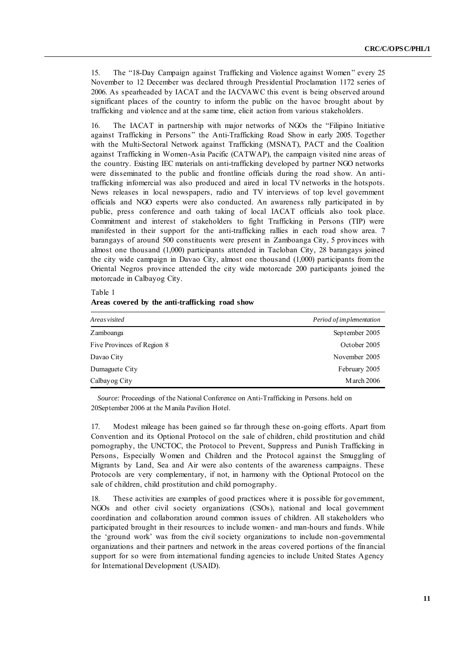15. The "18-Day Campaign against Trafficking and Violence against Women" every 25 November to 12 December was declared through Presidential Proclamation 1172 series of 2006. As spearheaded by IACAT and the IACVAWC this event is being observed around significant places of the country to inform the public on the havoc brought about by trafficking and violence and at the same time, elicit action from various stakeholders.

16. The IACAT in partnership with major networks of NGOs the "Filipino Initiative against Trafficking in Persons" the Anti-Trafficking Road Show in early 2005. Together with the Multi-Sectoral Network against Trafficking (MSNAT), PACT and the Coalition against Trafficking in Women-Asia Pacific (CATWAP), the campaign visited nine areas of the country. Existing IEC materials on anti-trafficking developed by partner NGO networks were disseminated to the public and frontline officials during the road show. An antitrafficking infomercial was also produced and aired in local TV networks in the hotspots. News releases in local newspapers, radio and TV interviews of top level government officials and NGO experts were also conducted. An awareness rally participated in by public, press conference and oath taking of local IACAT officials also took place. Commitment and interest of stakeholders to fight Trafficking in Persons (TIP) were manifested in their support for the anti-trafficking rallies in each road show area. 7 barangays of around 500 constituents were present in Zamboanga City, 5 provinces with almost one thousand (1,000) participants attended in Tacloban City, 28 barangays joined the city wide campaign in Davao City, almost one thousand (1,000) participants from the Oriental Negros province attended the city wide motorcade 200 participants joined the motorcade in Calbayog City.

Table 1

**Areas covered by the anti-trafficking road show**

| Areas visited              | Period of implementation |
|----------------------------|--------------------------|
| Zamboanga                  | September 2005           |
| Five Provinces of Region 8 | October 2005             |
| Davao City                 | November 2005            |
| Dumaguete City             | February 2005            |
| Calbay og City             | $M$ arch 2006            |

*Source:* Proceedings of the National Conference on Anti-Trafficking in Persons. held on 20September 2006 at the Manila Pavilion Hotel.

17. Modest mileage has been gained so far through these on-going efforts. Apart from Convention and its Optional Protocol on the sale of children, child prostitution and child pornography, the UNCTOC, the Protocol to Prevent, Suppress and Punish Trafficking in Persons, Especially Women and Children and the Protocol against the Smuggling of Migrants by Land, Sea and Air were also contents of the awareness campaigns. These Protocols are very complementary, if not, in harmony with the Optional Protocol on the sale of children, child prostitution and child pornography.

18. These activities are examples of good practices where it is possible for government, NGOs and other civil society organizations (CSOs), national and local government coordination and collaboration around common issues of children. All stakeholders who participated brought in their resources to include women- and man-hours and funds. While the ‗ground work' was from the civil society organizations to include non-governmental organizations and their partners and network in the areas covered portions of the financial support for so were from international funding agencies to include United States Agency for International Development (USAID).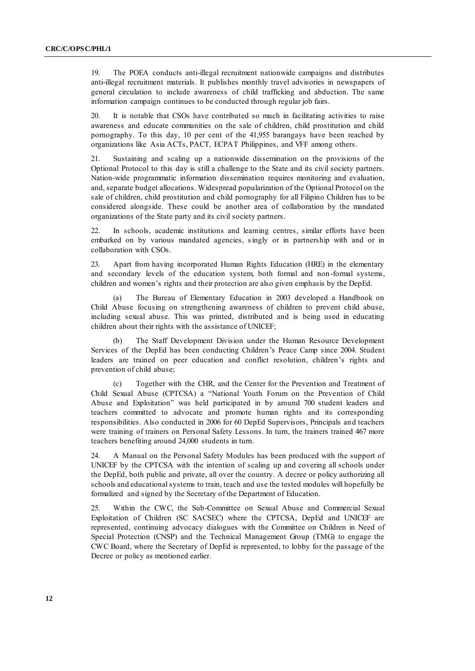19. The POEA conducts anti-illegal recruitment nationwide campaigns and distributes anti-illegal recruitment materials. It publishes monthly travel advisories in newspapers of general circulation to include awareness of child trafficking and abduction. The same information campaign continues to be conducted through regular job fairs.

20. It is notable that CSOs have contributed so much in facilitating activities to raise awareness and educate communities on the sale of children, child prostitution and child pornography. To this day, 10 per cent of the 41,955 barangays have been reached by organizations like Asia ACTs, PACT, ECPAT Philippines, and VFF among others.

21. Sustaining and scaling up a nationwide dissemination on the provisions of the Optional Protocol to this day is still a challenge to the State and its civil society partners. Nation-wide programmatic information dissemination requires monitoring and evaluation, and, separate budget allocations. Widespread popularization of the Optional Protocol on the sale of children, child prostitution and child pornography for all Filipino Children has to be considered alongside. These could be another area of collaboration by the mandated organizations of the State party and its civil society partners.

22. In schools, academic institutions and learning centres, similar efforts have been embarked on by various mandated agencies, singly or in partnership with and or in collaboration with CSOs.

23. Apart from having incorporated Human Rights Education (HRE) in the elementary and secondary levels of the education system, both formal and non -formal systems, children and women's rights and their protection are also given emphasis by the DepEd.

The Bureau of Elementary Education in 2003 developed a Handbook on Child Abuse focusing on strengthening awareness of children to prevent child abuse, including sexual abuse. This was printed, distributed and is being used in educating children about their rights with the assistance of UNICEF;

(b) The Staff Development Division under the Human Resource Development Services of the DepEd has been conducting Children's Peace Camp since 2004. Student leaders are trained on peer education and conflict resolution, children 's rights and prevention of child abuse;

(c) Together with the CHR, and the Center for the Prevention and Treatment of Child Sexual Abuse (CPTCSA) a "National Youth Forum on the Prevention of Child Abuse and Exploitation" was held participated in by around 700 student leaders and teachers committed to advocate and promote human rights and its corresponding responsibilities. Also conducted in 2006 for 60 DepEd Supervisors, Principals and teachers were training of trainers on Personal Safety Lessons. In turn, the trainers trained 467 more teachers benefiting around 24,000 students in turn.

24. A Manual on the Personal Safety Modules has been produced with the support of UNICEF by the CPTCSA with the intention of scaling up and covering all schools under the DepEd, both public and private, all over the country. A decree or policy authorizing all schools and educational systems to train, teach and use the tested modules will hopefully be formalized and signed by the Secretary of the Department of Education.

25. Within the CWC, the Sub-Committee on Sexual Abuse and Commercial Sexual Exploitation of Children (SC SACSEC) where the CPTCSA, DepEd and UNICEF are represented, continuing advocacy dialogues with the Committee on Children in Need of Special Protection (CNSP) and the Technical Management Group (TMG) to engage the CWC Board, where the Secretary of DepEd is represented, to lobby for the passage of the Decree or policy as mentioned earlier.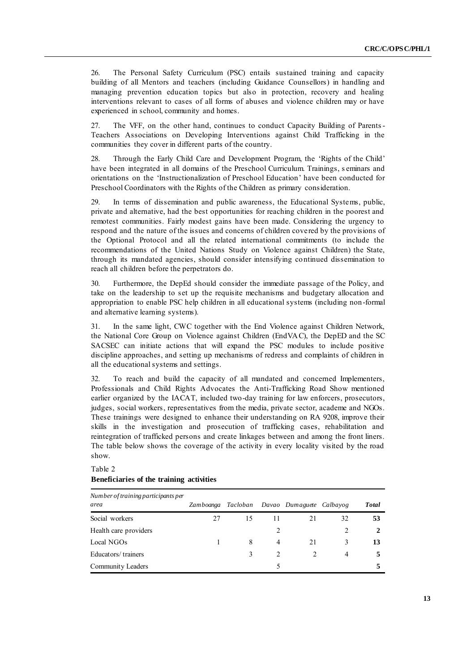26. The Personal Safety Curriculum (PSC) entails sustained training and capacity building of all Mentors and teachers (including Guidance Counsellors) in handling and managing prevention education topics but also in protection, recovery and healing interventions relevant to cases of all forms of abuses and violence children may or have experienced in school, community and homes.

27. The VFF, on the other hand, continues to conduct Capacity Building of Parents-Teachers Associations on Developing Interventions against Child Trafficking in the communities they cover in different parts of the country.

28. Through the Early Child Care and Development Program, the 'Rights of the Child' have been integrated in all domains of the Preschool Curriculum. Trainings, s eminars and orientations on the 'Instructionalization of Preschool Education' have been conducted for Preschool Coordinators with the Rights of the Children as primary consideration.

29. In terms of dissemination and public awareness, the Educational Systems, public, private and alternative, had the best opportunities for reaching children in the poorest and remotest communities. Fairly modest gains have been made. Considering the urgency to respond and the nature of the issues and concerns of children covered by the provisions of the Optional Protocol and all the related international commitments (to include the recommendations of the United Nations Study on Violence against Children) the State, through its mandated agencies, should consider intensifying continued dissemination to reach all children before the perpetrators do.

30. Furthermore, the DepEd should consider the immediate passage of the Policy, and take on the leadership to set up the requisite mechanisms and budgetary allocation and appropriation to enable PSC help children in all educational systems (including non-formal and alternative learning systems).

31. In the same light, CWC together with the End Violence against Children Network, the National Core Group on Violence against Children (EndVAC), the DepED and the SC SACSEC can initiate actions that will expand the PSC modules to include positive discipline approaches, and setting up mechanisms of redress and complaints of children in all the educational systems and settings.

32. To reach and build the capacity of all mandated and concerned Implementers, Professionals and Child Rights Advocates the Anti-Trafficking Road Show mentioned earlier organized by the IACAT, included two-day training for law enforcers, prosecutors, judges, social workers, representatives from the media, private sector, academe and NGOs. These trainings were designed to enhance their understanding on RA 9208, improve their skills in the investigation and prosecution of trafficking cases, rehabilitation and reintegration of trafficked persons and create linkages between and among the front liners. The table below shows the coverage of the activity in every locality visited by the road show.

#### Table 2

#### **Beneficiaries of the training activities**

| Number of training participants per<br>area | Zamboanga | Tacloban |                | Davao Dumaguete Calbayog |    | Total |
|---------------------------------------------|-----------|----------|----------------|--------------------------|----|-------|
| Social workers                              | 27        | 15       | 11             |                          | 32 | 53    |
| Health care providers                       |           |          |                |                          |    |       |
| Local NGOs                                  |           | 8        | $\overline{4}$ | 21                       |    | 13    |
| Educators/trainers                          |           |          |                |                          | 4  |       |
| Community Leaders                           |           |          | 5              |                          |    |       |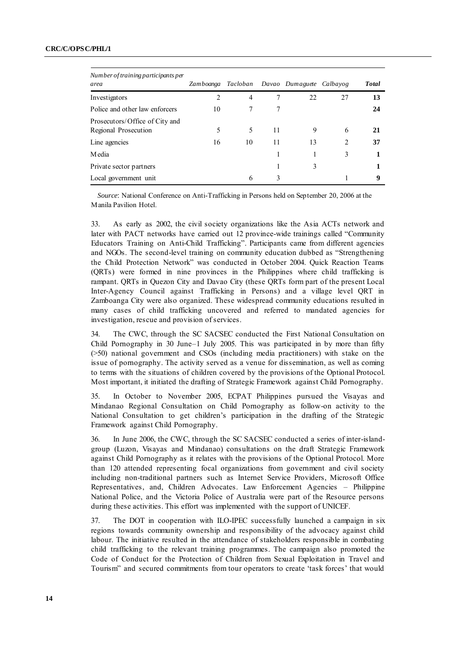| Number of training participants per<br>area            | Zamboanga Tacloban |    |    | Davao Dumaguete Calbayog |    | <b>Total</b> |
|--------------------------------------------------------|--------------------|----|----|--------------------------|----|--------------|
| Investigators                                          | $\overline{c}$     | 4  |    | 22                       | 27 | 13           |
| Police and other law enforcers                         | 10                 |    | 7  |                          |    | 24           |
| Prosecutors/Office of City and<br>Regional Prosecution | 5                  | 5  | 11 | 9                        | 6  | 21           |
| Line agencies                                          | 16                 | 10 | 11 | 13                       | 2  | 37           |
| M edia                                                 |                    |    |    |                          | 3  |              |
| Private sector partners                                |                    |    |    | 3                        |    |              |
| Local government unit                                  |                    | 6  | 3  |                          |    | 9            |

*Source*: National Conference on Anti-Trafficking in Persons held on September 20, 2006 at the Manila Pavilion Hotel.

33. As early as 2002, the civil society organizations like the Asia ACTs network and later with PACT networks have carried out 12 province-wide trainings called "Community Educators Training on Anti-Child Trafficking". Participants came from different agencies and NGOs. The second-level training on community education dubbed as "Strengthening" the Child Protection Network" was conducted in October 2004. Quick Reaction Teams (QRTs) were formed in nine provinces in the Philippines where child trafficking is rampant. QRTs in Quezon City and Davao City (these QRTs form part of the present Local Inter-Agency Council against Trafficking in Persons) and a village level QRT in Zamboanga City were also organized. These widespread community educations resulted in many cases of child trafficking uncovered and referred to mandated agencies for investigation, rescue and provision of services.

34. The CWC, through the SC SACSEC conducted the First National Consultation on Child Pornography in 30 June–1 July 2005. This was participated in by more than fifty (>50) national government and CSOs (including media practitioners) with stake on the issue of pornography. The activity served as a venue for dissemination, as well as coming to terms with the situations of children covered by the provisions of the Optional Protocol. Most important, it initiated the drafting of Strategic Framework against Child Pornography.

35. In October to November 2005, ECPAT Philippines pursued the Visayas and Mindanao Regional Consultation on Child Pornography as follow-on activity to the National Consultation to get children's participation in the drafting of the Strategic Framework against Child Pornography.

36. In June 2006, the CWC, through the SC SACSEC conducted a series of inter-islandgroup (Luzon, Visayas and Mindanao) consultations on the draft Strategic Framework against Child Pornography as it relates with the provisions of the Optional Protocol. More than 120 attended representing focal organizations from government and civil society including non-traditional partners such as Internet Service Providers, Microsoft Office Representatives, and, Children Advocates. Law Enforcement Agencies – Philippine National Police, and the Victoria Police of Australia were part of the Resource persons during these activities. This effort was implemented with the support of UNICEF.

37. The DOT in cooperation with ILO-IPEC successfully launched a campaign in six regions towards community ownership and responsibility of the advocacy against child labour. The initiative resulted in the attendance of stakeholders responsible in combating child trafficking to the relevant training programmes. The campaign also promoted the Code of Conduct for the Protection of Children from Sexual Exploitation in Travel and Tourism" and secured commitments from tour operators to create 'task forces' that would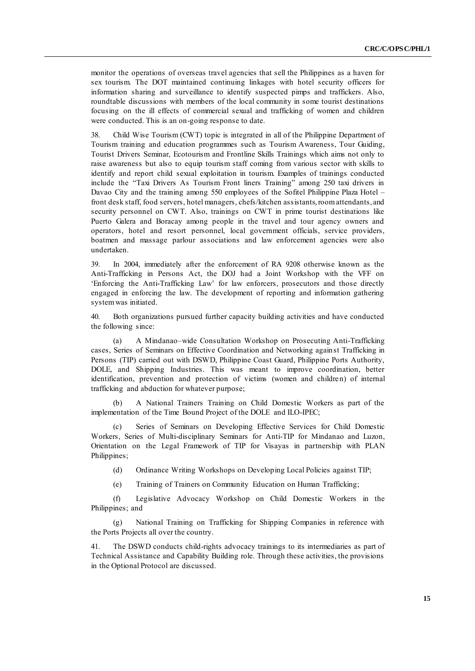monitor the operations of overseas travel agencies that sell the Philippines as a haven for sex tourism. The DOT maintained continuing linkages with hotel security officers for information sharing and surveillance to identify suspected pimps and traffickers. Also, roundtable discussions with members of the local community in some tourist destinations focusing on the ill effects of commercial sexual and trafficking of women and children were conducted. This is an on-going response to date.

38. Child Wise Tourism (CWT) topic is integrated in all of the Philippine Department of Tourism training and education programmes such as Tourism Awareness, Tour Guiding, Tourist Drivers Seminar, Ecotourism and Frontline Skills Trainings which aims not only to raise awareness but also to equip tourism staff coming from various sector with skills to identify and report child sexual exploitation in tourism. Examples of trainings conducted include the "Taxi Drivers As Tourism Front liners Training" among 250 taxi drivers in Davao City and the training among 550 employees of the Sofitel Philippine Plaza Hotel – front desk staff, food servers, hotel managers, chefs/kitchen assistants, room attendants, and security personnel on CWT. Also, trainings on CWT in prime tourist destinations like Puerto Galera and Boracay among people in the travel and tour agency owners and operators, hotel and resort personnel, local government officials, service providers, boatmen and massage parlour associations and law enforcement agencies were also undertaken.

39. In 2004, immediately after the enforcement of RA 9208 otherwise known as the Anti-Trafficking in Persons Act, the DOJ had a Joint Workshop with the VFF on ‗Enforcing the Anti-Trafficking Law' for law enforcers, prosecutors and those directly engaged in enforcing the law. The development of reporting and information gathering system was initiated.

40. Both organizations pursued further capacity building activities and have conducted the following since:

(a) A Mindanao–wide Consultation Workshop on Prosecuting Anti-Trafficking cases, Series of Seminars on Effective Coordination and Networking against Trafficking in Persons (TIP) carried out with DSWD, Philippine Coast Guard, Philippine Ports Authority, DOLE, and Shipping Industries. This was meant to improve coordination, better identification, prevention and protection of victims (women and children) of internal trafficking and abduction for whatever purpose;

(b) A National Trainers Training on Child Domestic Workers as part of the implementation of the Time Bound Project of the DOLE and ILO-IPEC;

(c) Series of Seminars on Developing Effective Services for Child Domestic Workers, Series of Multi-disciplinary Seminars for Anti-TIP for Mindanao and Luzon, Orientation on the Legal Framework of TIP for Visayas in partnership with PLAN Philippines;

(d) Ordinance Writing Workshops on Developing Local Policies against TIP;

(e) Training of Trainers on Community Education on Human Trafficking;

(f) Legislative Advocacy Workshop on Child Domestic Workers in the Philippines; and

(g) National Training on Trafficking for Shipping Companies in reference with the Ports Projects all over the country.

41. The DSWD conducts child-rights advocacy trainings to its intermediaries as part of Technical Assistance and Capability Building role. Through these activities, the provisions in the Optional Protocol are discussed.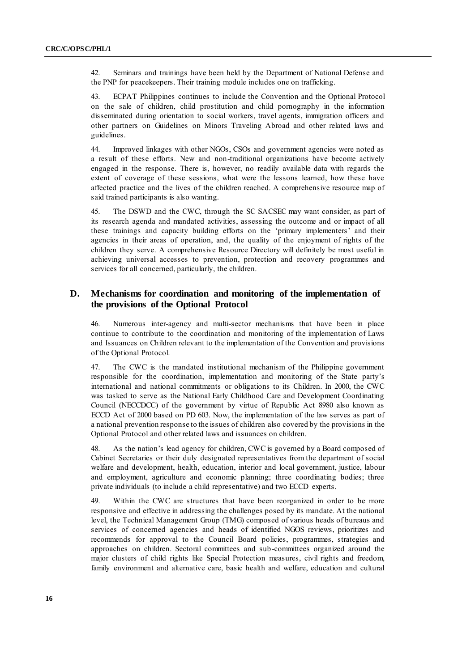42. Seminars and trainings have been held by the Department of National Defense and the PNP for peacekeepers. Their training module includes one on trafficking.

43. ECPAT Philippines continues to include the Convention and the Optional Protocol on the sale of children, child prostitution and child pornography in the information disseminated during orientation to social workers, travel agents, immigration officers and other partners on Guidelines on Minors Traveling Abroad and other related laws and guidelines.

44. Improved linkages with other NGOs, CSOs and government agencies were noted as a result of these efforts. New and non-traditional organizations have become actively engaged in the response. There is, however, no readily available data with regards the extent of coverage of these sessions, what were the lessons learned, how these have affected practice and the lives of the children reached. A comprehensive resource map of said trained participants is also wanting.

45. The DSWD and the CWC, through the SC SACSEC may want consider, as part of its research agenda and mandated activities, assessing the outcome and or impact of all these trainings and capacity building efforts on the 'primary implementers' and their agencies in their areas of operation, and, the quality of the enjoyment of rights of the children they serve. A comprehensive Resource Directory will definitely be most useful in achieving universal accesses to prevention, protection and recovery programmes and services for all concerned, particularly, the children.

#### **D. Mechanisms for coordination and monitoring of the implementation of the provisions of the Optional Protocol**

46. Numerous inter-agency and multi-sector mechanisms that have been in place continue to contribute to the coordination and monitoring of the implementation of Laws and Issuances on Children relevant to the implementation of the Convention and provisions of the Optional Protocol.

47. The CWC is the mandated institutional mechanism of the Philippine government responsible for the coordination, implementation and monitoring of the State party's international and national commitments or obligations to its Children. In 2000, the CWC was tasked to serve as the National Early Childhood Care and Development Coordinating Council (NECCDCC) of the government by virtue of Republic Act 8980 also known as ECCD Act of 2000 based on PD 603. Now, the implementation of the law serves as part of a national prevention response to the issues of children also covered by the provisions in the Optional Protocol and other related laws and issuances on children.

48. As the nation's lead agency for children, CWC is governed by a Board composed of Cabinet Secretaries or their duly designated representatives from the department of social welfare and development, health, education, interior and local government, justice, labour and employment, agriculture and economic planning; three coordinating bodies; three private individuals (to include a child representative) and two ECCD experts.

49. Within the CWC are structures that have been reorganized in order to be more responsive and effective in addressing the challenges posed by its mandate. At the national level, the Technical Management Group (TMG) composed of various heads of bureaus and services of concerned agencies and heads of identified NGOS reviews, prioritizes and recommends for approval to the Council Board policies, programmes, strategies and approaches on children. Sectoral committees and sub-committees organized around the major clusters of child rights like Special Protection measures, civil rights and freedom, family environment and alternative care, basic health and welfare, education and cultural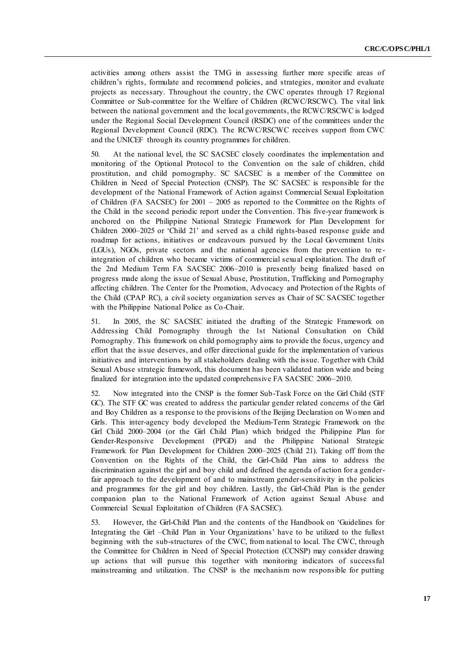activities among others assist the TMG in assessing further more specific areas of children's rights, formulate and recommend policies, and strategies, monitor and evaluate projects as necessary. Throughout the country, the CWC operates through 17 Regional Committee or Sub-committee for the Welfare of Children (RCWC/RSCWC). The vital link between the national government and the local governments, the RCWC/RSCWC is lodged under the Regional Social Development Council (RSDC) one of the committees under the Regional Development Council (RDC). The RCWC/RSCWC receives support from CWC and the UNICEF through its country programmes for children.

50. At the national level, the SC SACSEC closely coordinates the implementation and monitoring of the Optional Protocol to the Convention on the sale of children, child prostitution, and child pornography. SC SACSEC is a member of the Committee on Children in Need of Special Protection (CNSP). The SC SACSEC is responsible for the development of the National Framework of Action against Commercial Sexual Exploitation of Children (FA SACSEC) for 2001 – 2005 as reported to the Committee on the Rights of the Child in the second periodic report under the Convention. This five-year framework is anchored on the Philippine National Strategic Framework for Plan Development for Children 2000–2025 or ‗Child 21' and served as a child rights-based response guide and roadmap for actions, initiatives or endeavours pursued by the Local Government Units (LGUs), NGOs, private sectors and the national agencies from the prevention to re integration of children who became victims of commercial sexual exploitation. The draft of the 2nd Medium Term FA SACSEC 2006–2010 is presently being finalized based on progress made along the issue of Sexual Abuse, Prostitution, Trafficking and Pornography affecting children. The Center for the Promotion, Advocacy and Protection of the Rights of the Child (CPAP RC), a civil society organization serves as Chair of SC SACSEC together with the Philippine National Police as Co-Chair.

51. In 2005, the SC SACSEC initiated the drafting of the Strategic Framework on Addressing Child Pornography through the 1st National Consultation on Child Pornography. This framework on child pornography aims to provide the focus, urgency and effort that the issue deserves, and offer directional guide for the implementation of various initiatives and interventions by all stakeholders dealing with the issue. Together with Child Sexual Abuse strategic framework, this document has been validated nation wide and being finalized for integration into the updated comprehensive FA SACSEC 2006–2010.

52. Now integrated into the CNSP is the former Sub-Task Force on the Girl Child (STF GC). The STF GC was created to address the particular gender related concerns of the Girl and Boy Children as a response to the provisions of the Beijing Declaration on Women and Girls. This inter-agency body developed the Medium-Term Strategic Framework on the Girl Child 2000–2004 (or the Girl Child Plan) which bridged the Philippine Plan for Gender-Responsive Development (PPGD) and the Philippine National Strategic Framework for Plan Development for Children 2000–2025 (Child 21). Taking off from the Convention on the Rights of the Child, the Girl-Child Plan aims to address the discrimination against the girl and boy child and defined the agenda of action for a genderfair approach to the development of and to mainstream gender-sensitivity in the policies and programmes for the girl and boy children. Lastly, the Girl-Child Plan is the gender companion plan to the National Framework of Action against Sexual Abuse and Commercial Sexual Exploitation of Children (FA SACSEC).

53. However, the Girl-Child Plan and the contents of the Handbook on ‗Guidelines for Integrating the Girl –Child Plan in Your Organizations' have to be utilized to the fullest beginning with the sub-structures of the CWC, from national to local. The CWC, through the Committee for Children in Need of Special Protection (CCNSP) may consider drawing up actions that will pursue this together with monitoring indicators of successful mainstreaming and utilization. The CNSP is the mechanism now responsible for putting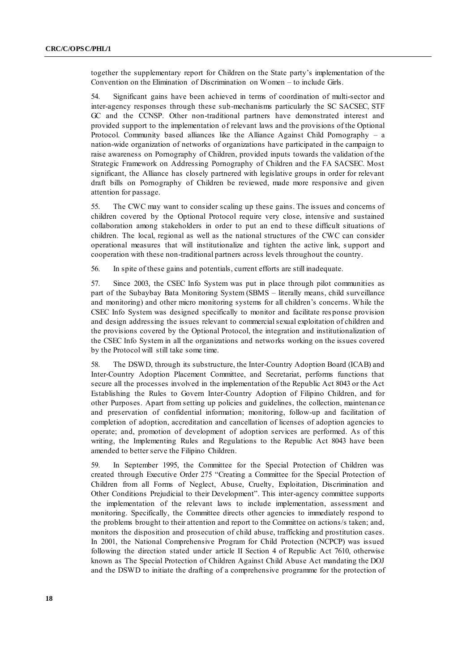together the supplementary report for Children on the State party's implementation of the Convention on the Elimination of Discrimination on Women – to include Girls.

54. Significant gains have been achieved in terms of coordination of multi-sector and inter-agency responses through these sub-mechanisms particularly the SC SACSEC, STF GC and the CCNSP. Other non-traditional partners have demonstrated interest and provided support to the implementation of relevant laws and the provisions of the Optional Protocol. Community based alliances like the Alliance Against Child Pornography – a nation-wide organization of networks of organizations have participated in the campaign to raise awareness on Pornography of Children, provided inputs towards the validation of the Strategic Framework on Addressing Pornography of Children and the FA SACSEC. Most significant, the Alliance has closely partnered with legislative groups in order for relevant draft bills on Pornography of Children be reviewed, made more responsive and given attention for passage.

55. The CWC may want to consider scaling up these gains. The issues and concerns of children covered by the Optional Protocol require very close, intensive and sustained collaboration among stakeholders in order to put an end to these difficult situations of children. The local, regional as well as the national structures of the CWC can consider operational measures that will institutionalize and tighten the active link, s upport and cooperation with these non-traditional partners across levels throughout the country.

56. In spite of these gains and potentials, current efforts are still inadequate.

57. Since 2003, the CSEC Info System was put in place through pilot communities as part of the Subaybay Bata Monitoring System (SBMS – literally means, child surveillance and monitoring) and other micro monitoring systems for all children's concerns. While the CSEC Info System was designed specifically to monitor and facilitate res ponse provision and design addressing the issues relevant to commercial sexual exploitation of children and the provisions covered by the Optional Protocol, the integration and institutionalization of the CSEC Info System in all the organizations and networks working on the issues covered by the Protocol will still take some time.

58. The DSWD, through its substructure, the Inter-Country Adoption Board (ICAB) and Inter-Country Adoption Placement Committee, and Secretariat, performs functions that secure all the processes involved in the implementation of the Republic Act 8043 or the Act Establishing the Rules to Govern Inter-Country Adoption of Filipino Children, and for other Purposes. Apart from setting up policies and guidelines, the collection, maintenan ce and preservation of confidential information; monitoring, follow-up and facilitation of completion of adoption, accreditation and cancellation of licenses of adoption agencies to operate; and, promotion of development of adoption services are performed. As of this writing, the Implementing Rules and Regulations to the Republic Act 8043 have been amended to better serve the Filipino Children.

59. In September 1995, the Committee for the Special Protection of Children was created through Executive Order 275 "Creating a Committee for the Special Protection of Children from all Forms of Neglect, Abuse, Cruelty, Exploitation, Discrimination and Other Conditions Prejudicial to their Development". This inter-agency committee supports the implementation of the relevant laws to include implementation, assessment and monitoring. Specifically, the Committee directs other agencies to immediately respond to the problems brought to their attention and report to the Committee on actions/s taken; and, monitors the disposition and prosecution of child abuse, trafficking and prostitution cases. In 2001, the National Comprehensive Program for Child Protection (NCPCP) was issued following the direction stated under article II Section 4 of Republic Act 7610, otherwise known as The Special Protection of Children Against Child Abuse Act mandating the DOJ and the DSWD to initiate the drafting of a comprehensive programme for the protection of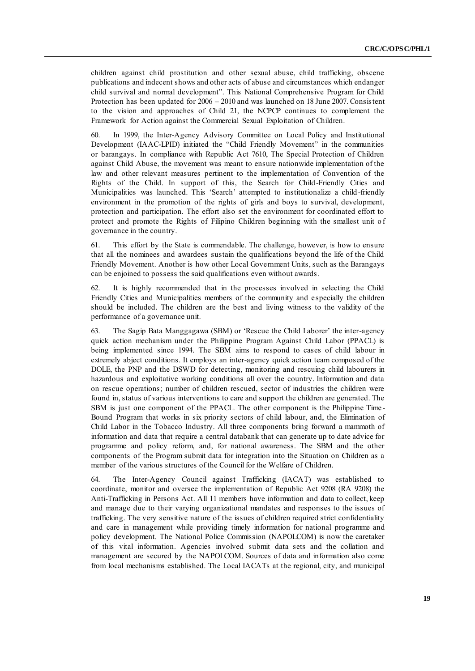children against child prostitution and other sexual abuse, child trafficking, obscene publications and indecent shows and other acts of abuse and circumstances which endanger child survival and normal development". This National Comprehensive Program for Child Protection has been updated for 2006 – 2010 and was launched on 18 June 2007. Consistent to the vision and approaches of Child 21, the NCPCP continues to complement the Framework for Action against the Commercial Sexual Exploitation of Children.

60. In 1999, the Inter-Agency Advisory Committee on Local Policy and Institutional Development (IAAC-LPID) initiated the "Child Friendly Movement" in the communities or barangays. In compliance with Republic Act 7610, The Special Protection of Children against Child Abuse, the movement was meant to ensure nationwide implementation of the law and other relevant measures pertinent to the implementation of Convention of the Rights of the Child. In support of this, the Search for Child-Friendly Cities and Municipalities was launched. This 'Search' attempted to institutionalize a child-friendly environment in the promotion of the rights of girls and boys to survival, development, protection and participation. The effort also set the environment for coordinated effort to protect and promote the Rights of Filipino Children beginning with the smallest unit o f governance in the country.

61. This effort by the State is commendable. The challenge, however, is how to ensure that all the nominees and awardees sustain the qualifications beyond the life of the Child Friendly Movement. Another is how other Local Government Units, such as the Barangays can be enjoined to possess the said qualifications even without awards.

62. It is highly recommended that in the processes involved in selecting the Child Friendly Cities and Municipalities members of the community and especially the children should be included. The children are the best and living witness to the validity of the performance of a governance unit.

63. The Sagip Bata Manggagawa (SBM) or 'Rescue the Child Laborer' the inter-agency quick action mechanism under the Philippine Program Against Child Labor (PPACL) is being implemented since 1994. The SBM aims to respond to cases of child labour in extremely abject conditions. It employs an inter-agency quick action team composed of the DOLE, the PNP and the DSWD for detecting, monitoring and rescuing child labourers in hazardous and exploitative working conditions all over the country. Information and data on rescue operations; number of children rescued, sector of industries the children were found in, status of various interventions to care and support the children are generated. The SBM is just one component of the PPACL. The other component is the Philippine Time - Bound Program that works in six priority sectors of child labour, and, the Elimination of Child Labor in the Tobacco Industry. All three components bring forward a mammoth of information and data that require a central databank that can generate up to date advice for programme and policy reform, and, for national awareness. The SBM and the other components of the Program submit data for integration into the Situation on Children as a member of the various structures of the Council for the Welfare of Children.

64. The Inter-Agency Council against Trafficking (IACAT) was established to coordinate, monitor and oversee the implementation of Republic Act 9208 (RA 9208) the Anti-Trafficking in Persons Act. All 11 members have information and data to collect, keep and manage due to their varying organizational mandates and responses to the issues of trafficking. The very sensitive nature of the issues of children required strict confidentiality and care in management while providing timely information for national programme and policy development. The National Police Commission (NAPOLCOM) is now the caretaker of this vital information. Agencies involved submit data sets and the collation and management are secured by the NAPOLCOM. Sources of data and information also come from local mechanisms established. The Local IACATs at the regional, city, and municipal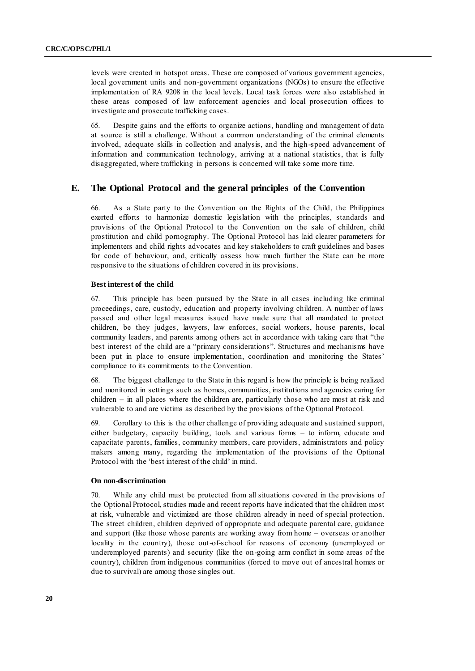levels were created in hotspot areas. These are composed of various government agencies, local government units and non-government organizations (NGOs) to ensure the effective implementation of RA 9208 in the local levels. Local task forces were also established in these areas composed of law enforcement agencies and local prosecution offices to investigate and prosecute trafficking cases.

65. Despite gains and the efforts to organize actions, handling and management of data at source is still a challenge. Without a common understanding of the criminal elements involved, adequate skills in collection and analysis, and the high-speed advancement of information and communication technology, arriving at a national statistics, that is fully disaggregated, where trafficking in persons is concerned will take some more time.

#### **E. The Optional Protocol and the general principles of the Convention**

66. As a State party to the Convention on the Rights of the Child, the Philippines exerted efforts to harmonize domestic legislation with the principles, standards and provisions of the Optional Protocol to the Convention on the sale of children, child prostitution and child pornography. The Optional Protocol has laid clearer parameters for implementers and child rights advocates and key stakeholders to craft guidelines and bases for code of behaviour, and, critically assess how much further the State can be more responsive to the situations of children covered in its provisions.

#### **Best interest of the child**

67. This principle has been pursued by the State in all cases including like criminal proceedings, care, custody, education and property involving children. A number of laws passed and other legal measures issued have made sure that all mandated to protect children, be they judges, lawyers, law enforces, social workers, house parents, local community leaders, and parents among others act in accordance with taking care that "the best interest of the child are a "primary considerations". Structures and mechanisms have been put in place to ensure implementation, coordination and monitoring the States' compliance to its commitments to the Convention.

68. The biggest challenge to the State in this regard is how the principle is being realized and monitored in settings such as homes, communities, institutions and agencies caring for children – in all places where the children are, particularly those who are most at risk and vulnerable to and are victims as described by the provisions of the Optional Protocol.

69. Corollary to this is the other challenge of providing adequate and sustained support, either budgetary, capacity building, tools and various forms – to inform, educate and capacitate parents, families, community members, care providers, administrators and policy makers among many, regarding the implementation of the provisions of the Optional Protocol with the 'best interest of the child' in mind.

#### **On non-discrimination**

70. While any child must be protected from all situations covered in the provisions of the Optional Protocol, studies made and recent reports have indicated that the children most at risk, vulnerable and victimized are those children already in need of special protection. The street children, children deprived of appropriate and adequate parental care, guidance and support (like those whose parents are working away from home – overseas or another locality in the country), those out-of-school for reasons of economy (unemployed or underemployed parents) and security (like the on-going arm conflict in some areas of the country), children from indigenous communities (forced to move out of ancestral homes or due to survival) are among those singles out.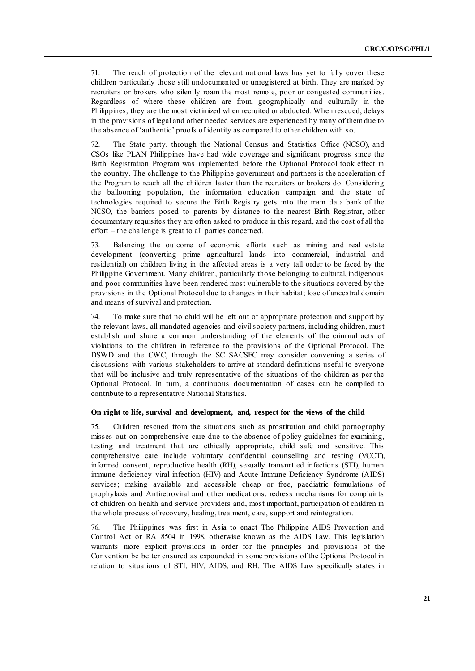71. The reach of protection of the relevant national laws has yet to fully cover these children particularly those still undocumented or unregistered at birth. They are marked by recruiters or brokers who silently roam the most remote, poor or congested communities. Regardless of where these children are from, geographically and culturally in the Philippines, they are the most victimized when recruited or abducted. When rescued, delays in the provisions of legal and other needed services are experienced by many of them due to the absence of ‗authentic' proofs of identity as compared to other children with so.

72. The State party, through the National Census and Statistics Office (NCSO), and CSOs like PLAN Philippines have had wide coverage and significant progress since the Birth Registration Program was implemented before the Optional Protocol took effect in the country. The challenge to the Philippine government and partners is the acceleration of the Program to reach all the children faster than the recruiters or brokers do. Considering the ballooning population, the information education campaign and the state of technologies required to secure the Birth Registry gets into the main data bank of the NCSO, the barriers posed to parents by distance to the nearest Birth Registrar, other documentary requisites they are often asked to produce in this regard, and the cost of all the effort – the challenge is great to all parties concerned.

73. Balancing the outcome of economic efforts such as mining and real estate development (converting prime agricultural lands into commercial, industrial and residential) on children living in the affected areas is a very tall order to be faced by the Philippine Government. Many children, particularly those belonging to cultural, indigenous and poor communities have been rendered most vulnerable to the situations covered by the provisions in the Optional Protocol due to changes in their habitat; lose of ancestral domain and means of survival and protection.

74. To make sure that no child will be left out of appropriate protection and support by the relevant laws, all mandated agencies and civil society partners, including children, must establish and share a common understanding of the elements of the criminal acts of violations to the children in reference to the provisions of the Optional Protocol. The DSWD and the CWC, through the SC SACSEC may consider convening a series of discussions with various stakeholders to arrive at standard definitions useful to everyone that will be inclusive and truly representative of the situations of the children as per the Optional Protocol. In turn, a continuous documentation of cases can be compiled to contribute to a representative National Statistics.

#### **On right to life, survival and development, and, respect for the views of the child**

75. Children rescued from the situations such as prostitution and child pornography misses out on comprehensive care due to the absence of policy guidelines for examining, testing and treatment that are ethically appropriate, child safe and sensitive. This comprehensive care include voluntary confidential counselling and testing (VCCT), informed consent, reproductive health (RH), sexually transmitted infections (STI), human immune deficiency viral infection (HIV) and Acute Immune Deficiency Syndrome (AIDS) services; making available and accessible cheap or free, paediatric formulations of prophylaxis and Antiretroviral and other medications, redress mechanisms for complaints of children on health and service providers and, most important, participation of children in the whole process of recovery, healing, treatment, care, support and reintegration.

76. The Philippines was first in Asia to enact The Philippine AIDS Prevention and Control Act or RA 8504 in 1998, otherwise known as the AIDS Law. This legislation warrants more explicit provisions in order for the principles and provisions of the Convention be better ensured as expounded in some provisions of the Optional Protocol in relation to situations of STI, HIV, AIDS, and RH. The AIDS Law specifically states in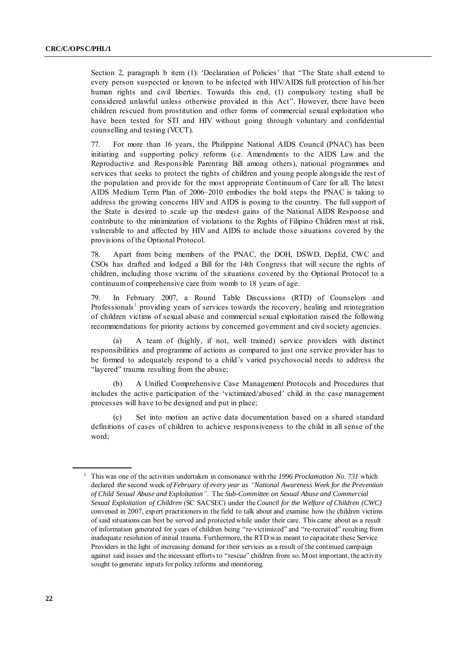Section 2, paragraph b item (1): 'Declaration of Policies' that "The State shall extend to every person suspected or known to be infected with HIV/AIDS full protection of his/her human rights and civil liberties. Towards this end, (1) compulsory testing shall be considered unlawful unless otherwise provided in this Act". However, there have been children rescued from prostitution and other forms of commercial sexual exploitation who have been tested for STI and HIV without going through voluntary and confidential counselling and testing (VCCT).

77. For more than 16 years, the Philippine National AIDS Council (PNAC) has been initiating and supporting policy reforms (i.e. Amendments to the AIDS Law and the Reproductive and Responsible Parenting Bill among others), national programmes and services that seeks to protect the rights of children and young people alongside the rest of the population and provide for the most appropriate Continuum of Care for all. The latest AIDS Medium Term Plan of 2006–2010 embodies the bold steps the PNAC is taking to address the growing concerns HIV and AIDS is posing to the country. The full support of the State is desired to scale up the modest gains of the National AIDS Response and contribute to the minimization of violations to the Rights of Filipino Children most at risk, vulnerable to and affected by HIV and AIDS to include those situations covered by the provisions of the Optional Protocol.

78. Apart from being members of the PNAC, the DOH, DSWD, DepEd, CWC and CSOs has drafted and lodged a Bill for the 14th Congress that will secure the rights of children, including those victims of the situations covered by the Optional Protocol to a continuum of comprehensive care from womb to 18 years of age.

79. In February 2007, a Round Table Discussions (RTD) of Counselors and Professionals<sup>1</sup> providing years of services towards the recovery, healing and reintegration of children victims of sexual abuse and commercial sexual exploitation raised the following recommendations for priority actions by concerned government and civil society agencies.

(a) A team of (highly, if not, well trained) service providers with distinct responsibilities and programme of actions as compared to just one service provider has to be formed to adequately respond to a child's varied psychosocial needs to address the "layered" trauma resulting from the abuse;

(b) A Unified Comprehensive Case Management Protocols and Procedures that includes the active participation of the 'victimized/abused' child in the case management processes will have to be designed and put in place;

Set into motion an active data documentation based on a shared standard definitions of cases of children to achieve responsiveness to the child in all sense of the word;

<sup>1</sup> This was one of the activities undertaken in consonance with the *1996 Proclamation No. 731* which declared *the* second week *of February of every year as "National Awareness Week for the Prevention of Child Sexual Abuse and Exploitation"*. The *Sub-Committee on Sexual Abuse and Commercial Sexual Exploitation of Children* (SC SACSEC) under the *Council for the Welfare of Children (CWC)* convened in 2007, expert practitioners in the field to talk about and examine how the children victims of said situations can best be served and protected while under their care. This came about as a result of information generated for years of children being "re-victimized" and "re-recruited" resulting from inadequate resolution of initial trauma. Furthermore, the RTD was meant to capacitate these Service Providers in the light of increasing demand for their services as a result of the continued campaign against said issues and the incessant efforts to "rescue" children from so. Most important, the activity sought to generate inputs for policy reforms and monitoring.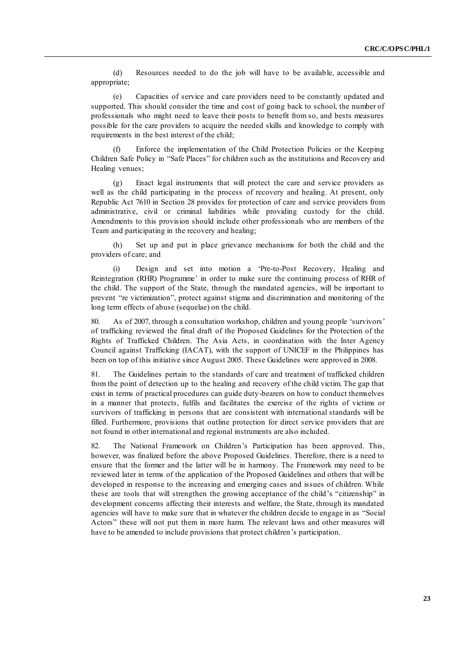(d) Resources needed to do the job will have to be available, accessible and appropriate;

(e) Capacities of service and care providers need to be constantly updated and supported. This should consider the time and cost of going back to school, the number of professionals who might need to leave their posts to benefit from so, and bests measures possible for the care providers to acquire the needed skills and knowledge to comply with requirements in the best interest of the child;

(f) Enforce the implementation of the Child Protection Policies or the Keeping Children Safe Policy in "Safe Places" for children such as the institutions and Recovery and Healing venues;

(g) Enact legal instruments that will protect the care and service providers as well as the child participating in the process of recovery and healing. At present, only Republic Act 7610 in Section 28 provides for protection of care and service providers from administrative, civil or criminal liabilities while providing custody for the child. Amendments to this provision should include other professionals who are members of the Team and participating in the recovery and healing;

(h) Set up and put in place grievance mechanisms for both the child and the providers of care; and

(i) Design and set into motion a ‗Pre-to-Post Recovery, Healing and Reintegration (RHR) Programme' in order to make sure the continuing process of RHR of the child. The support of the State, through the mandated agencies, will be important to prevent "re victimization", protect against stigma and discrimination and monitoring of the long term effects of abuse (sequelae) on the child.

80. As of 2007, through a consultation workshop, children and young people 'survivors' of trafficking reviewed the final draft of the Proposed Guidelines for the Protection of the Rights of Trafficked Children. The Asia Acts, in coordination with the Inter Agency Council against Trafficking (IACAT), with the support of UNICEF in the Philippines has been on top of this initiative since August 2005. These Guidelines were approved in 2008.

81. The Guidelines pertain to the standards of care and treatment of trafficked children from the point of detection up to the healing and recovery of the child victim. The gap that exist in terms of practical procedures can guide duty-bearers on how to conduct themselves in a manner that protects, fulfils and facilitates the exercise of the rights of victims or survivors of trafficking in persons that are consistent with international standards will be filled. Furthermore, provisions that outline protection for direct service providers that are not found in other international and regional instruments are also included.

82. The National Framework on Children's Participation has been approved. This, however, was finalized before the above Proposed Guidelines. Therefore, there is a need to ensure that the former and the latter will be in harmony. The Framework may need to be reviewed later in terms of the application of the Proposed Guidelines and others that will be developed in response to the increasing and emerging cases and issues of children. While these are tools that will strengthen the growing acceptance of the child's "citizenship" in development concerns affecting their interests and welfare, the State, through its mandated agencies will have to make sure that in whatever the children decide to engage in as "Social Actors" these will not put them in more harm. The relevant laws and other measures will have to be amended to include provisions that protect children's participation.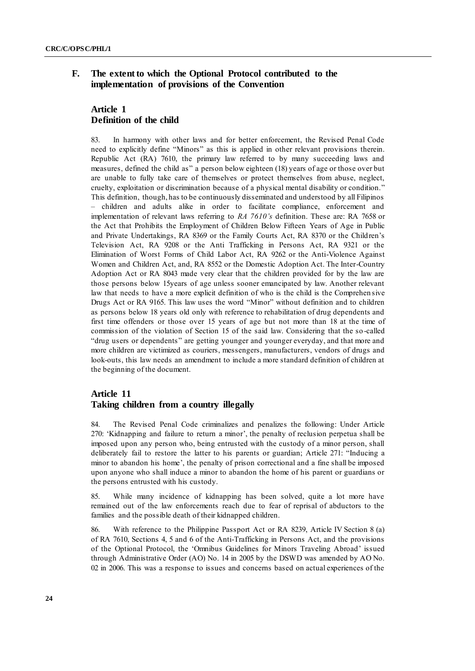## **F. The extent to which the Optional Protocol contributed to the implementation of provisions of the Convention**

## **Article 1 Definition of the child**

83. In harmony with other laws and for better enforcement, the Revised Penal Code need to explicitly define "Minors" as this is applied in other relevant provisions therein. Republic Act (RA) 7610, the primary law referred to by many succeeding laws and measures, defined the child as" a person below eighteen (18) years of age or those over but are unable to fully take care of themselves or protect themselves from abuse, neglect, cruelty, exploitation or discrimination because of a physical mental disability or condition." This definition, though, has to be continuously disseminated and understood by all Filipinos – children and adults alike in order to facilitate compliance, enforcement and implementation of relevant laws referring to *RA 7610's* definition. These are: RA 7658 or the Act that Prohibits the Employment of Children Below Fifteen Years of Age in Public and Private Undertakings, RA 8369 or the Family Courts Act, RA 8370 or the Children's Television Act, RA 9208 or the Anti Trafficking in Persons Act, RA 9321 or the Elimination of Worst Forms of Child Labor Act, RA 9262 or the Anti-Violence Against Women and Children Act, and, RA 8552 or the Domestic Adoption Act. The Inter-Country Adoption Act or RA 8043 made very clear that the children provided for by the law are those persons below 15years of age unless sooner emancipated by law. Another relevant law that needs to have a more explicit definition of who is the child is the Comprehen sive Drugs Act or RA 9165. This law uses the word "Minor" without definition and to children as persons below 18 years old only with reference to rehabilitation of drug dependents and first time offenders or those over 15 years of age but not more than 18 at the time of commission of the violation of Section 15 of the said law. Considering that the so -called "drug users or dependents" are getting younger and younger everyday, and that more and more children are victimized as couriers, messengers, manufacturers, vendors of drugs and look-outs, this law needs an amendment to include a more standard definition of children at the beginning of the document.

### **Article 11 Taking children from a country illegally**

84. The Revised Penal Code criminalizes and penalizes the following: Under Article 270: ‗Kidnapping and failure to return a minor', the penalty of reclusion perpetua shall be imposed upon any person who, being entrusted with the custody of a minor person, shall deliberately fail to restore the latter to his parents or guardian; Article 271: "Inducing a minor to abandon his home', the penalty of prison correctional and a fine shall be imposed upon anyone who shall induce a minor to abandon the home of his parent or guardians or the persons entrusted with his custody.

85. While many incidence of kidnapping has been solved, quite a lot more have remained out of the law enforcements reach due to fear of reprisal of abductors to the families and the possible death of their kidnapped children.

86. With reference to the Philippine Passport Act or RA 8239, Article IV Section 8 (a) of RA 7610, Sections 4, 5 and 6 of the Anti-Trafficking in Persons Act, and the provisions of the Optional Protocol, the 'Omnibus Guidelines for Minors Traveling Abroad' issued through Administrative Order (AO) No. 14 in 2005 by the DSWD was amended by AO No. 02 in 2006. This was a response to issues and concerns based on actual experiences of the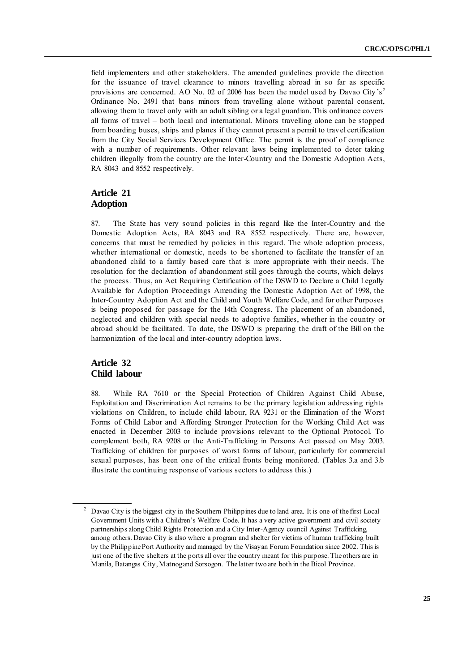field implementers and other stakeholders. The amended guidelines provide the direction for the issuance of travel clearance to minors travelling abroad in so far as specific provisions are concerned. AO No. 02 of 2006 has been the model used by Davao City's<sup>2</sup> Ordinance No. 2491 that bans minors from travelling alone without parental consent, allowing them to travel only with an adult sibling or a legal guardian. This ordinance covers all forms of travel – both local and international. Minors travelling alone can be stopped from boarding buses, ships and planes if they cannot present a permit to trav el certification from the City Social Services Development Office. The permit is the proof of compliance with a number of requirements. Other relevant laws being implemented to deter taking children illegally from the country are the Inter-Country and the Domestic Adoption Acts, RA 8043 and 8552 respectively.

## **Article 21 Adoption**

87. The State has very sound policies in this regard like the Inter-Country and the Domestic Adoption Acts, RA 8043 and RA 8552 respectively. There are, however, concerns that must be remedied by policies in this regard. The whole adoption process, whether international or domestic, needs to be shortened to facilitate the transfer of an abandoned child to a family based care that is more appropriate with their needs. The resolution for the declaration of abandonment still goes through the courts, which delays the process. Thus, an Act Requiring Certification of the DSWD to Declare a Child Legally Available for Adoption Proceedings Amending the Domestic Adoption Act of 1998, the Inter-Country Adoption Act and the Child and Youth Welfare Code, and for other Purposes is being proposed for passage for the 14th Congress. The placement of an abandoned, neglected and children with special needs to adoptive families, whether in the country or abroad should be facilitated. To date, the DSWD is preparing the draft of the Bill on the harmonization of the local and inter-country adoption laws.

## **Article 32 Child labour**

88. While RA 7610 or the Special Protection of Children Against Child Abuse, Exploitation and Discrimination Act remains to be the primary legislation addressing rights violations on Children, to include child labour, RA 9231 or the Elimination of the Worst Forms of Child Labor and Affording Stronger Protection for the Working Child Act was enacted in December 2003 to include provisions relevant to the Optional Protocol. To complement both, RA 9208 or the Anti-Trafficking in Persons Act passed on May 2003. Trafficking of children for purposes of worst forms of labour, particularly for commercial sexual purposes, has been one of the critical fronts being monitored. (Tables 3.a and 3.b illustrate the continuing response of various sectors to address this.)

<sup>2</sup> Davao City is the biggest city in the Southern Philippines due to land area. It is one of the first Local Government Units with a Children's Welfare Code. It has a very active government and civil society partnerships along Child Rights Protection and a City Inter-Agency council Against Trafficking, among others. Davao City is also where a program and shelter for victims of human trafficking built by the Philippine Port Authority and managed by the Visayan Forum Foundation since 2002. This is just one of the five shelters at the ports all over the country meant for this purpose. The others are in Manila, Batangas City, Matnog and Sorsogon. The latter two are both in the Bicol Province.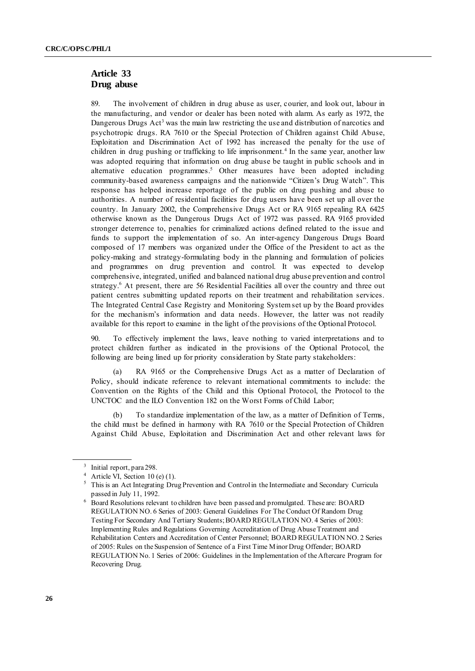## **Article 33 Drug abuse**

89. The involvement of children in drug abuse as user, courier, and look out, labour in the manufacturing, and vendor or dealer has been noted with alarm. As early as 1972, the Dangerous Drugs Act<sup>3</sup> was the main law restricting the use and distribution of narcotics and psychotropic drugs. RA 7610 or the Special Protection of Children against Child Abuse, Exploitation and Discrimination Act of 1992 has increased the penalty for the use of children in drug pushing or trafficking to life imprisonment.<sup>4</sup> In the same year, another law was adopted requiring that information on drug abuse be taught in public schools and in alternative education programmes.<sup>5</sup> Other measures have been adopted including community-based awareness campaigns and the nationwide "Citizen's Drug Watch". This response has helped increase reportage of the public on drug pushing and abuse to authorities. A number of residential facilities for drug users have been set up all over the country. In January 2002, the Comprehensive Drugs Act or RA 9165 repealing RA 6425 otherwise known as the Dangerous Drugs Act of 1972 was passed. RA 9165 provided stronger deterrence to, penalties for criminalized actions defined related to the issue and funds to support the implementation of so. An inter-agency Dangerous Drugs Board composed of 17 members was organized under the Office of the President to act as the policy-making and strategy-formulating body in the planning and formulation of policies and programmes on drug prevention and control. It was expected to develop comprehensive, integrated, unified and balanced national drug abuse prevention and control strategy.<sup>6</sup> At present, there are 56 Residential Facilities all over the country and three out patient centres submitting updated reports on their treatment and rehabilitation services. The Integrated Central Case Registry and Monitoring System set up by the Board provides for the mechanism's information and data needs. However, the latter was not readily available for this report to examine in the light of the provisions of the Optional Protocol.

To effectively implement the laws, leave nothing to varied interpretations and to protect children further as indicated in the provisions of the Optional Protocol, the following are being lined up for priority consideration by State party stakeholders:

RA 9165 or the Comprehensive Drugs Act as a matter of Declaration of Policy, should indicate reference to relevant international commitments to include: the Convention on the Rights of the Child and this Optional Protocol, the Protocol to the UNCTOC and the ILO Convention 182 on the Worst Forms of Child Labor;

(b) To standardize implementation of the law, as a matter of Definition of Terms, the child must be defined in harmony with RA 7610 or the Special Protection of Children Against Child Abuse, Exploitation and Discrimination Act and other relevant laws for

<sup>&</sup>lt;sup>3</sup> Initial report, para 298.

 $4$  Article VI, Section 10 (e) (1).

<sup>&</sup>lt;sup>5</sup> This is an Act Integrating Drug Prevention and Control in the Intermediate and Secondary Curricula passed in July 11, 1992.

<sup>6</sup> Board Resolutions relevant to children have been passed and promulgated. These are: BOARD REGULATION NO. 6 Series of 2003: General Guidelines For The Conduct Of Random Drug Testing For Secondary And Tertiary Students; BOARD REGULATION NO. 4 Series of 2003: Implementing Rules and Regulations Governing Accreditation of Drug Abuse Treatment and Rehabilitation Centers and Accreditation of Center Personnel; BOARD REGULATION NO. 2 Series of 2005: Rules on the Suspension of Sentence of a First Time Minor Drug Offender; BOARD REGULATION No. 1 Series of 2006: Guidelines in the Implementation of the Aftercare Program for Recovering Drug.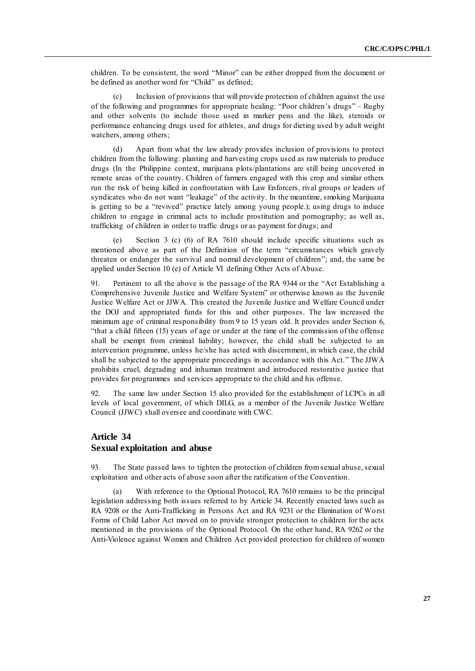children. To be consistent, the word "Minor" can be either dropped from the document or be defined as another word for "Child" as defined;

(c) Inclusion of provisions that will provide protection of children against the use of the following and programmes for appropriate healing: "Poor children's drugs" – Rugby and other solvents (to include those used in marker pens and the like), steroids or performance enhancing drugs used for athletes, and drugs for dieting used by adult weight watchers, among others;

(d) Apart from what the law already provides inclusion of provisions to protect children from the following: planting and harvesting crops used as raw materials to produce drugs (In the Philippine context, marijuana plots/plantations are still being uncovered in remote areas of the country. Children of farmers engaged with this crop and similar others run the risk of being killed in confrontation with Law Enforcers, rival groups or leaders of syndicates who do not want "leakage" of the activity. In the meantime, smoking Marijuana is getting to be a "revived" practice lately among young people.); using drugs to induce children to engage in criminal acts to include prostitution and pornography; as well as, trafficking of children in order to traffic drugs or as payment for drugs; and

(e) Section 3 (c) (6) of RA 7610 should include specific situations such as mentioned above as part of the Definition of the term "circumstances which gravely threaten or endanger the survival and normal development of children"; and, the same be applied under Section 10 (e) of Article VI defining Other Acts of Abuse.

91. Pertinent to all the above is the passage of the RA 9344 or the "Act Establishing a Comprehensive Juvenile Justice and Welfare System" or otherwise known as the Juvenile Justice Welfare Act or JJWA. This created the Juvenile Justice and Welfare Council under the DOJ and appropriated funds for this and other purposes. The law increased the minimum age of criminal responsibility from 9 to 15 years old. It provides under Section 6, "that a child fifteen  $(15)$  years of age or under at the time of the commission of the offense shall be exempt from criminal liability; however, the child shall be subjected to an intervention programme, unless he/she has acted with discernment, in which case, the child shall be subjected to the appropriate proceedings in accordance with this Act." The JJWA prohibits cruel, degrading and inhuman treatment and introduced restorative justice that provides for programmes and services appropriate to the child and his offense.

92. The same law under Section 15 also provided for the establishment of LCPCs in all levels of local government, of which DILG, as a member of the Juvenile Justice Welfare Council (JJWC) shall oversee and coordinate with CWC.

## **Article 34 Sexual exploitation and abuse**

93. The State passed laws to tighten the protection of children from sexual abuse, sexual exploitation and other acts of abuse soon after the ratification of the Convention.

With reference to the Optional Protocol, RA 7610 remains to be the principal legislation addressing both issues referred to by Article 34. Recently enacted laws such as RA 9208 or the Anti-Trafficking in Persons Act and RA 9231 or the Elimination of Worst Forms of Child Labor Act moved on to provide stronger protection to children for the acts mentioned in the provisions of the Optional Protocol. On the other hand, RA 9262 or the Anti-Violence against Women and Children Act provided protection for children of women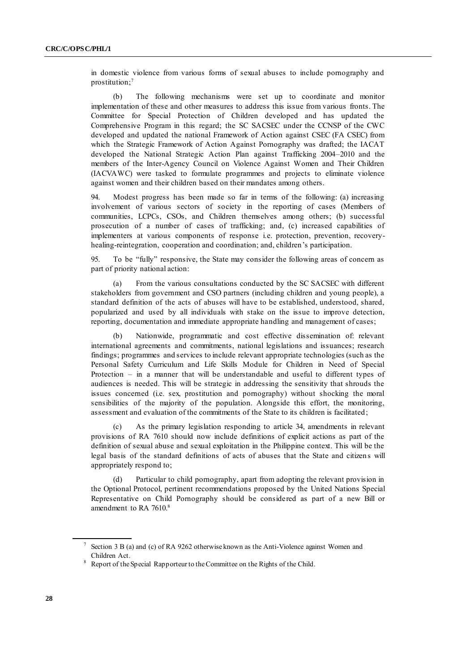in domestic violence from various forms of sexual abuses to include pornography and prostitution; 7

(b) The following mechanisms were set up to coordinate and monitor implementation of these and other measures to address this issue from various fronts. The Committee for Special Protection of Children developed and has updated the Comprehensive Program in this regard; the SC SACSEC under the CCNSP of the CWC developed and updated the national Framework of Action against CSEC (FA CSEC) from which the Strategic Framework of Action Against Pornography was drafted; the IACAT developed the National Strategic Action Plan against Trafficking 2004–2010 and the members of the Inter-Agency Council on Violence Against Women and Their Children (IACVAWC) were tasked to formulate programmes and projects to eliminate violence against women and their children based on their mandates among others.

94. Modest progress has been made so far in terms of the following: (a) increasing involvement of various sectors of society in the reporting of cases (Members of communities, LCPCs, CSOs, and Children themselves among others; (b) successful prosecution of a number of cases of trafficking; and, (c) increased capabilities of implementers at various components of response i.e. protection, prevention, recoveryhealing-reintegration, cooperation and coordination; and, children's participation.

95. To be "fully" responsive, the State may consider the following areas of concern as part of priority national action:

(a) From the various consultations conducted by the SC SACSEC with different stakeholders from government and CSO partners (including children and young people), a standard definition of the acts of abuses will have to be established, understood, shared, popularized and used by all individuals with stake on the issue to improve detection, reporting, documentation and immediate appropriate handling and management of cases;

Nationwide, programmatic and cost effective dissemination of: relevant international agreements and commitments, national legislations and issuances; research findings; programmes and services to include relevant appropriate technologies (such as the Personal Safety Curriculum and Life Skills Module for Children in Need of Special Protection – in a manner that will be understandable and useful to different types of audiences is needed. This will be strategic in addressing the sensitivity that shrouds the issues concerned (i.e. sex, prostitution and pornography) without shocking the moral sensibilities of the majority of the population. Alongside this effort, the monitoring, assessment and evaluation of the commitments of the State to its children is facilitated ;

As the primary legislation responding to article 34, amendments in relevant provisions of RA 7610 should now include definitions of explicit actions as part of the definition of sexual abuse and sexual exploitation in the Philippine context. This will be the legal basis of the standard definitions of acts of abuses that the State and citizen s will appropriately respond to;

(d) Particular to child pornography, apart from adopting the relevant provision in the Optional Protocol, pertinent recommendations proposed by the United Nations Special Representative on Child Pornography should be considered as part of a new Bill or amendment to RA 7610.<sup>8</sup>

Section 3 B (a) and (c) of RA 9262 otherwise known as the Anti-Violence against Women and Children Act.

<sup>&</sup>lt;sup>8</sup> Report of the Special Rapporteur to the Committee on the Rights of the Child.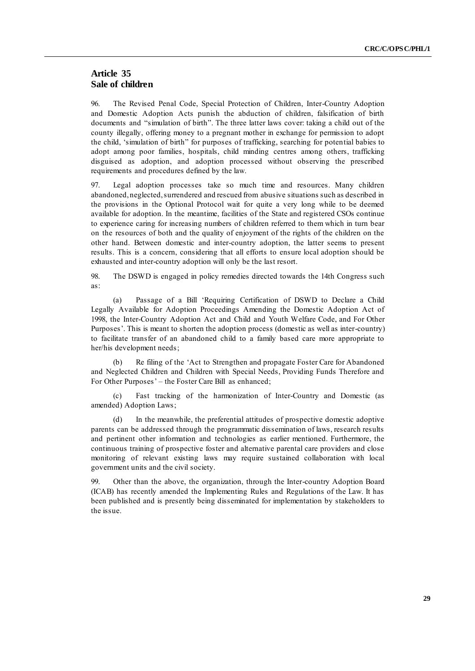#### **Article 35 Sale of children**

96. The Revised Penal Code, Special Protection of Children, Inter-Country Adoption and Domestic Adoption Acts punish the abduction of children, falsification of birth documents and "simulation of birth". The three latter laws cover: taking a child out of the county illegally, offering money to a pregnant mother in exchange for permission to adopt the child, 'simulation of birth" for purposes of trafficking, searching for potential babies to adopt among poor families, hospitals, child minding centres among others, trafficking disguised as adoption, and adoption processed without observing the prescribed requirements and procedures defined by the law.

97. Legal adoption processes take so much time and resources. Many children abandoned, neglected, surrendered and rescued from abusive situations such as described in the provisions in the Optional Protocol wait for quite a very long while to be deemed available for adoption. In the meantime, facilities of the State and registered CSOs continue to experience caring for increasing numbers of children referred to them which in turn bear on the resources of both and the quality of enjoyment of the rights of the children on the other hand. Between domestic and inter-country adoption, the latter seems to present results. This is a concern, considering that all efforts to ensure local adoption should be exhausted and inter-country adoption will only be the last resort.

98. The DSWD is engaged in policy remedies directed towards the 14th Congress such as:

(a) Passage of a Bill ‗Requiring Certification of DSWD to Declare a Child Legally Available for Adoption Proceedings Amending the Domestic Adoption Act of 1998, the Inter-Country Adoption Act and Child and Youth Welfare Code, and For Other Purposes'. This is meant to shorten the adoption process (domestic as well as inter-country) to facilitate transfer of an abandoned child to a family based care more appropriate to her/his development needs;

(b) Re filing of the ‗Act to Strengthen and propagate Foster Care for Abandoned and Neglected Children and Children with Special Needs, Providing Funds Therefore and For Other Purposes' – the Foster Care Bill as enhanced;

(c) Fast tracking of the harmonization of Inter-Country and Domestic (as amended) Adoption Laws;

(d) In the meanwhile, the preferential attitudes of prospective domestic adoptive parents can be addressed through the programmatic dissemination of laws, research results and pertinent other information and technologies as earlier mentioned. Furthermore, the continuous training of prospective foster and alternative parental care providers and close monitoring of relevant existing laws may require sustained collaboration with local government units and the civil society.

99. Other than the above, the organization, through the Inter-country Adoption Board (ICAB) has recently amended the Implementing Rules and Regulations of the Law. It has been published and is presently being disseminated for implementation by stakeholders to the issue.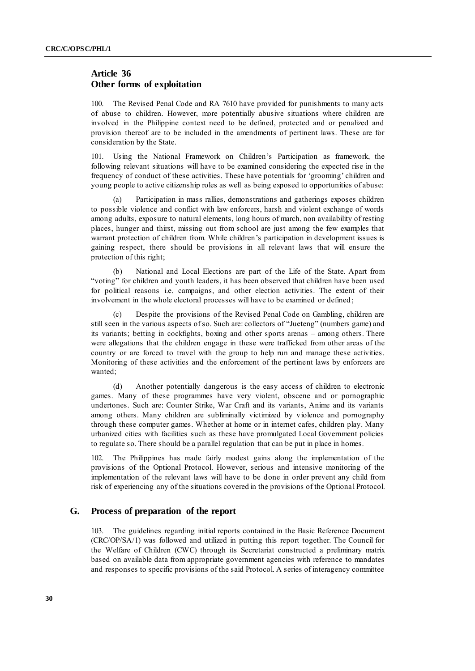## **Article 36 Other forms of exploitation**

100. The Revised Penal Code and RA 7610 have provided for punishments to many acts of abuse to children. However, more potentially abusive situations where children are involved in the Philippine context need to be defined, protected and or penalized and provision thereof are to be included in the amendments of pertinent laws. These are for consideration by the State.

101. Using the National Framework on Children's Participation as framework, the following relevant situations will have to be examined considering the expected rise in the frequency of conduct of these activities. These have potentials for ‗grooming' children and young people to active citizenship roles as well as being exposed to opportunities of abuse:

(a) Participation in mass rallies, demonstrations and gatherings exposes children to possible violence and conflict with law enforcers, harsh and violent exchange of words among adults, exposure to natural elements, long hours of march, non availability of resting places, hunger and thirst, missing out from school are just among the few examples that warrant protection of children from. While children's participation in development issues is gaining respect, there should be provisions in all relevant laws that will ensure the protection of this right;

(b) National and Local Elections are part of the Life of the State. Apart from "voting" for children and youth leaders, it has been observed that children have been used for political reasons i.e. campaigns, and other election activities. The extent of their involvement in the whole electoral processes will have to be examined or defined;

(c) Despite the provisions of the Revised Penal Code on Gambling, children are still seen in the various aspects of so. Such are: collectors of "Jueteng" (numbers game) and its variants; betting in cockfights, boxing and other sports arenas – among others. There were allegations that the children engage in these were trafficked from other areas of the country or are forced to travel with the group to help run and manage these activities. Monitoring of these activities and the enforcement of the pertinent laws by enforcers are wanted;

(d) Another potentially dangerous is the easy access of children to electronic games. Many of these programmes have very violent, obscene and or pornographic undertones. Such are: Counter Strike, War Craft and its variants, Anime and its variants among others. Many children are subliminally victimized by violence and pornography through these computer games. Whether at home or in internet cafes, children play. Many urbanized cities with facilities such as these have promulgated Local Government policies to regulate so. There should be a parallel regulation that can be put in place in homes.

102. The Philippines has made fairly modest gains along the implementation of the provisions of the Optional Protocol. However, serious and intensive monitoring of the implementation of the relevant laws will have to be done in order prevent any child from risk of experiencing any of the situations covered in the provisions of the Optional Protocol.

#### **G. Process of preparation of the report**

103. The guidelines regarding initial reports contained in the Basic Reference Document (CRC/OP/SA/1) was followed and utilized in putting this report together. The Council for the Welfare of Children (CWC) through its Secretariat constructed a preliminary matrix based on available data from appropriate government agencies with reference to mandates and responses to specific provisions of the said Protocol. A series of interagency committee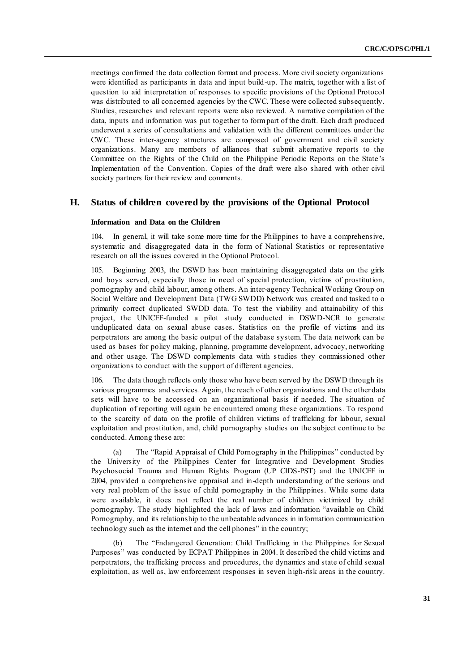meetings confirmed the data collection format and process. More civil society organizations were identified as participants in data and input build-up. The matrix, together with a list of question to aid interpretation of responses to specific provisions of the Optional Protocol was distributed to all concerned agencies by the CWC. These were collected subsequently. Studies, researches and relevant reports were also reviewed. A narrative compilation of the data, inputs and information was put together to form part of the draft. Each draft produced underwent a series of consultations and validation with the different committees under the CWC. These inter-agency structures are composed of government and civil society organizations. Many are members of alliances that submit alternative reports to the Committee on the Rights of the Child on the Philippine Periodic Reports on the State 's Implementation of the Convention. Copies of the draft were also shared with other civil society partners for their review and comments.

#### **H. Status of children covered by the provisions of the Optional Protocol**

#### **Information and Data on the Children**

104. In general, it will take some more time for the Philippines to have a comprehensive, systematic and disaggregated data in the form of National Statistics or representative research on all the issues covered in the Optional Protocol.

105. Beginning 2003, the DSWD has been maintaining disaggregated data on the girls and boys served, especially those in need of special protection, victims of prostitution, pornography and child labour, among others. An inter-agency Technical Working Group on Social Welfare and Development Data (TWG SWDD) Network was created and tasked to o primarily correct duplicated SWDD data. To test the viability and attainability of this project, the UNICEF-funded a pilot study conducted in DSWD-NCR to generate unduplicated data on sexual abuse cases. Statistics on the profile of victims and its perpetrators are among the basic output of the database system. The data network can be used as bases for policy making, planning, programme development, advocacy, networking and other usage. The DSWD complements data with studies they commissioned other organizations to conduct with the support of different agencies.

106. The data though reflects only those who have been served by the DSWD through its various programmes and services. Again, the reach of other organizations and the other data sets will have to be accessed on an organizational basis if needed. The situation of duplication of reporting will again be encountered among these organizations. To respond to the scarcity of data on the profile of children victims of trafficking for labour, sexual exploitation and prostitution, and, child pornography studies on the subject continue to be conducted. Among these are:

(a) The "Rapid Appraisal of Child Pornography in the Philippines" conducted by the University of the Philippines Center for Integrative and Development Studies Psychosocial Trauma and Human Rights Program (UP CIDS-PST) and the UNICEF in 2004, provided a comprehensive appraisal and in-depth understanding of the serious and very real problem of the issue of child pornography in the Philippines. While some data were available, it does not reflect the real number of children victimized by child pornography. The study highlighted the lack of laws and information "available on Child Pornography, and its relationship to the unbeatable advances in information communication technology such as the internet and the cell phones" in the country;

The "Endangered Generation: Child Trafficking in the Philippines for Sexual Purposes" was conducted by ECPAT Philippines in 2004. It described the child victims and perpetrators, the trafficking process and procedures, the dynamics and state of child sexual exploitation, as well as, law enforcement responses in seven high-risk areas in the country.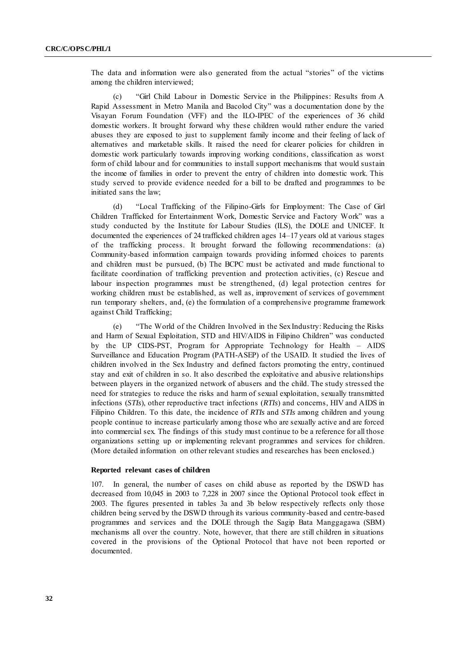The data and information were also generated from the actual "stories" of the victims among the children interviewed;

(c) 
"Girl Child Labour in Domestic Service in the Philippines: Results from A Rapid Assessment in Metro Manila and Bacolod City" was a documentation done by the Visayan Forum Foundation (VFF) and the ILO-IPEC of the experiences of 36 child domestic workers. It brought forward why these children would rather endure the varied abuses they are exposed to just to supplement family income and their feeling of lack of alternatives and marketable skills. It raised the need for clearer policies for children in domestic work particularly towards improving working conditions, classification as worst form of child labour and for communities to install support mechanisms that would sustain the income of families in order to prevent the entry of children into domestic work. This study served to provide evidence needed for a bill to be drafted and programmes to be initiated sans the law;

(d) 
"Local Trafficking of the Filipino-Girls for Employment: The Case of Girl Children Trafficked for Entertainment Work, Domestic Service and Factory Work" was a study conducted by the Institute for Labour Studies (ILS), the DOLE and UNICEF. It documented the experiences of 24 trafficked children ages 14–17 years old at various stages of the trafficking process. It brought forward the following recommendations: (a) Community-based information campaign towards providing informed choices to parents and children must be pursued, (b) The BCPC must be activated and made functional to facilitate coordination of trafficking prevention and protection activities, (c) Rescue and labour inspection programmes must be strengthened, (d) legal protection centres for working children must be established, as well as, improvement of services of government run temporary shelters, and, (e) the formulation of a comprehensive programme framework against Child Trafficking;

(e) ―The World of the Children Involved in the Sex Industry: Reducing the Risks and Harm of Sexual Exploitation, STD and HIV/AIDS in Filipino Children" was conducted by the UP CIDS-PST, Program for Appropriate Technology for Health – AIDS Surveillance and Education Program (PATH-ASEP) of the USAID. It studied the lives of children involved in the Sex Industry and defined factors promoting the entry, continued stay and exit of children in so. It also described the exploitative and abusive relationships between players in the organized network of abusers and the child. The study stressed the need for strategies to reduce the risks and harm of sexual exploitation, sexually transmitted infections (*STIs*), other reproductive tract infections (*RTIs*) and concerns, HIV and AIDS in Filipino Children. To this date, the incidence of *RTIs* and *STIs* among children and young people continue to increase particularly among those who are sexually active and are forced into commercial sex. The findings of this study must continue to be a reference for all those organizations setting up or implementing relevant programmes and services for children. (More detailed information on other relevant studies and researches has been enclosed.)

#### **Reported relevant cases of children**

107. In general, the number of cases on child abuse as reported by the DSWD has decreased from 10,045 in 2003 to 7,228 in 2007 since the Optional Protocol took effect in 2003. The figures presented in tables 3a and 3b below respectively reflects only those children being served by the DSWD through its various community-based and centre-based programmes and services and the DOLE through the Sagip Bata Manggagawa (SBM) mechanisms all over the country. Note, however, that there are still children in situations covered in the provisions of the Optional Protocol that have not been reported or documented.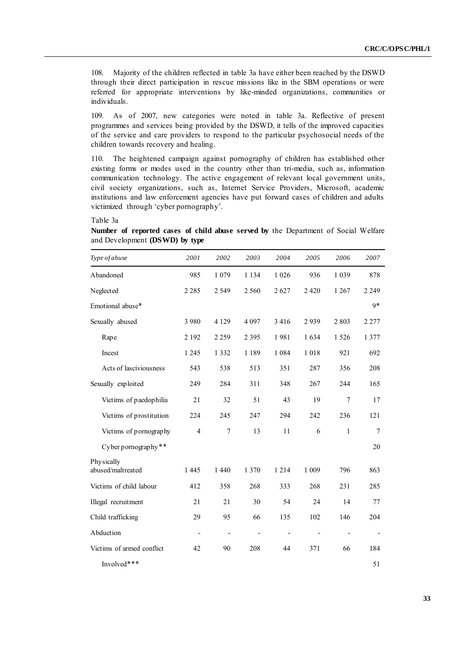108. Majority of the children reflected in table 3a have either been reached by the DSWD through their direct participation in rescue missions like in the SBM operations or were referred for appropriate interventions by like-minded organizations, communities or individuals.

109. As of 2007, new categories were noted in table 3a. Reflective of present programmes and services being provided by the DSWD, it tells of the improved capacities of the service and care providers to respond to the particular psychosocial needs of the children towards recovery and healing.

110. The heightened campaign against pornography of children has established other existing forms or modes used in the country other than tri-media, such as, information communication technology. The active engagement of relevant local government units, civil society organizations, such as, Internet Service Providers, Microsoft, academic institutions and law enforcement agencies have put forward cases of children and adults victimized through 'cyber pornography'.

Table 3a

**Number of reported cases of child abuse served by** the Department of Social Welfare and Development **(DSWD) by type**

| Type of abuse                   | 2001                     | 2002                     | 2003                     | 2004                     | 2005                     | 2006                     | 2007                     |
|---------------------------------|--------------------------|--------------------------|--------------------------|--------------------------|--------------------------|--------------------------|--------------------------|
| Abandoned                       | 985                      | 1 0 7 9                  | 1 1 3 4                  | 1 0 2 6                  | 936                      | 1 0 3 9                  | 878                      |
| Neglected                       | 2 2 8 5                  | 2 5 4 9                  | 2 5 6 0                  | 2627                     | 2 4 2 0                  | 1 2 6 7                  | 2 2 4 9                  |
| Emotional abuse*                |                          |                          |                          |                          |                          |                          | $9*$                     |
| Sexually abused                 | 3 9 8 0                  | 4 1 2 9                  | 4 0 9 7                  | 3 4 1 6                  | 2939                     | 2803                     | 2 2 7 7                  |
| Rape                            | 2 1 9 2                  | 2 2 5 9                  | 2 3 9 5                  | 1981                     | 1634                     | 1526                     | 1 3 7 7                  |
| Incest                          | 1 2 4 5                  | 1 3 3 2                  | 1 1 8 9                  | 1 0 8 4                  | 1018                     | 921                      | 692                      |
| Acts of lasciviousness          | 543                      | 538                      | 513                      | 351                      | 287                      | 356                      | 208                      |
| Sexually exploited              | 249                      | 284                      | 311                      | 348                      | 267                      | 244                      | 165                      |
| Victims of paedophilia          | 21                       | 32                       | 51                       | 43                       | 19                       | $\overline{7}$           | 17                       |
| Victims of prostitution         | 224                      | 245                      | 247                      | 294                      | 242                      | 236                      | 121                      |
| Victims of pornography          | 4                        | $\overline{7}$           | 13                       | 11                       | 6                        | $\mathbf{1}$             | 7                        |
| Cyber pornography**             |                          |                          |                          |                          |                          |                          | 20                       |
| Physically<br>abused/maltreated | 1 4 4 5                  | 1 4 4 0                  | 1 3 7 0                  | 1 2 1 4                  | 1 0 0 9                  | 796                      | 863                      |
|                                 |                          |                          |                          |                          |                          |                          |                          |
| Victims of child labour         | 412                      | 358                      | 268                      | 333                      | 268                      | 231                      | 285                      |
| Illegal recruitment             | 21                       | 21                       | 30                       | 54                       | 24                       | 14                       | 77                       |
| Child trafficking               | 29                       | 95                       | 66                       | 135                      | 102                      | 146                      | 204                      |
| Abduction                       | $\overline{\phantom{a}}$ | $\overline{\phantom{a}}$ | $\overline{\phantom{a}}$ | $\overline{\phantom{a}}$ | $\overline{\phantom{m}}$ | $\overline{\phantom{a}}$ | $\overline{\phantom{a}}$ |
| Victims of armed conflict       | 42                       | 90                       | 208                      | 44                       | 371                      | 66                       | 184                      |
| Involved***                     |                          |                          |                          |                          |                          |                          | 51                       |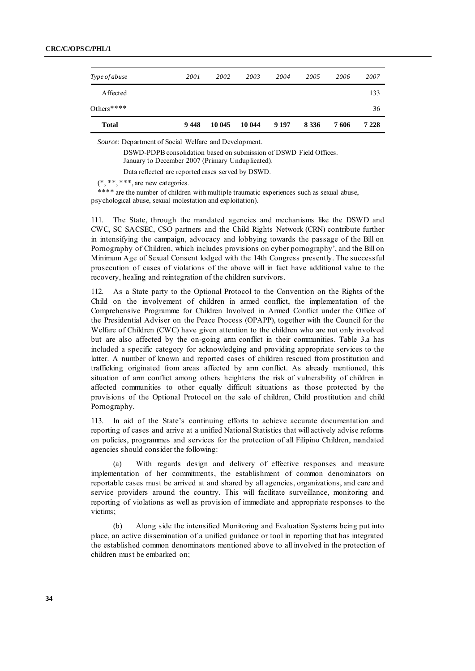| Others****    |      |      |      |      |      |      | 36   |
|---------------|------|------|------|------|------|------|------|
| Affected      |      |      |      |      |      |      | 133  |
| Type of abuse | 2001 | 2002 | 2003 | 2004 | 2005 | 2006 | 2007 |

*Source:* Department of Social Welfare and Development.

DSWD-PDPB consolidation based on submission of DSWD Field Offices. January to December 2007 (Primary Unduplicated).

Data reflected are reported cases served by DSWD.

 $(*, **, **, are new categories.$ 

\*\*\*\* are the number of children with multiple traumatic experiences such as sexual abuse, psychological abuse, sexual molestation and exploitation).

111. The State, through the mandated agencies and mechanisms like the DSWD and CWC, SC SACSEC, CSO partners and the Child Rights Network (CRN) contribute further in intensifying the campaign, advocacy and lobbying towards the passage of the Bill on Pornography of Children, which includes provisions on cyber pornography', and the Bill on Minimum Age of Sexual Consent lodged with the 14th Congress presently. The successful prosecution of cases of violations of the above will in fact have additional value to the recovery, healing and reintegration of the children survivors.

112. As a State party to the Optional Protocol to the Convention on the Rights of the Child on the involvement of children in armed conflict, the implementation of the Comprehensive Programme for Children Involved in Armed Conflict under the Office of the Presidential Adviser on the Peace Process (OPAPP), together with the Council for the Welfare of Children (CWC) have given attention to the children who are not only involved but are also affected by the on-going arm conflict in their communities. Table 3.a has included a specific category for acknowledging and providing appropriate services to the latter. A number of known and reported cases of children rescued from prostitution and trafficking originated from areas affected by arm conflict. As already mentioned, this situation of arm conflict among others heightens the risk of vulnerability of children in affected communities to other equally difficult situations as those protected by the provisions of the Optional Protocol on the sale of children, Child prostitution and child Pornography.

113. In aid of the State's continuing efforts to achieve accurate documentation and reporting of cases and arrive at a unified National Statistics that will actively advise reforms on policies, programmes and services for the protection of all Filipino Children, mandated agencies should consider the following:

(a) With regards design and delivery of effective responses and measure implementation of her commitments, the establishment of common denominators on reportable cases must be arrived at and shared by all agencies, organizations, and care and service providers around the country. This will facilitate surveillance, monitoring and reporting of violations as well as provision of immediate and appropriate responses to the victims;

(b) Along side the intensified Monitoring and Evaluation Systems being put into place, an active dissemination of a unified guidance or tool in reporting that has integrated the established common denominators mentioned above to all involved in the protection of children must be embarked on;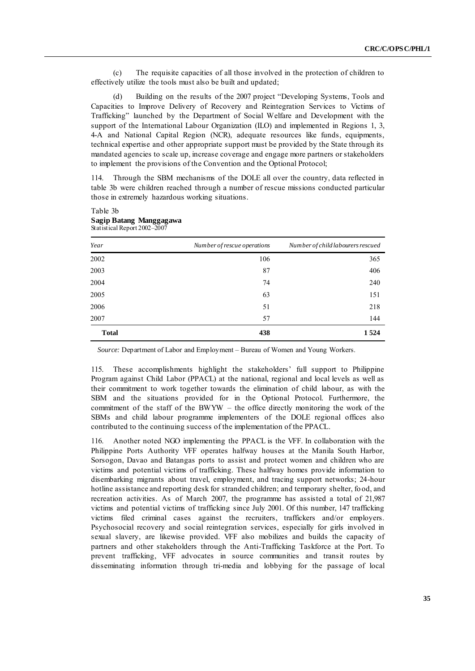(c) The requisite capacities of all those involved in the protection of children to effectively utilize the tools must also be built and updated;

(d) Building on the results of the 2007 project "Developing Systems, Tools and Capacities to Improve Delivery of Recovery and Reintegration Services to Victims of Trafficking‖ launched by the Department of Social Welfare and Development with the support of the International Labour Organization (ILO) and implemented in Regions 1, 3, 4-A and National Capital Region (NCR), adequate resources like funds, equipments, technical expertise and other appropriate support must be provided by the State through its mandated agencies to scale up, increase coverage and engage more partners or stakeholders to implement the provisions of the Convention and the Optional Protocol;

114. Through the SBM mechanisms of the DOLE all over the country, data reflected in table 3b were children reached through a number of rescue missions conducted particular those in extremely hazardous working situations.

| Year         | Number of rescue operations | Number of child labourers rescued |
|--------------|-----------------------------|-----------------------------------|
| 2002         | 106                         | 365                               |
| 2003         | 87                          | 406                               |
| 2004         | 74                          | 240                               |
| 2005         | 63                          | 151                               |
| 2006         | 51                          | 218                               |
| 2007         | 57                          | 144                               |
| <b>Total</b> | 438                         | 1 5 2 4                           |

#### Table 3b **Sagip Batang Manggagawa** Statistical Report 2002–2007

*Source:* Department of Labor and Employment – Bureau of Women and Young Workers.

115. These accomplishments highlight the stakeholders' full support to Philippine Program against Child Labor (PPACL) at the national, regional and local levels as well as their commitment to work together towards the elimination of child labour, as with the SBM and the situations provided for in the Optional Protocol. Furthermore, the commitment of the staff of the BWYW – the office directly monitoring the work of the SBMs and child labour programme implementers of the DOLE regional offices also contributed to the continuing success of the implementation of the PPACL.

116. Another noted NGO implementing the PPACL is the VFF. In collaboration with the Philippine Ports Authority VFF operates halfway houses at the Manila South Harbor, Sorsogon, Davao and Batangas ports to assist and protect women and children who are victims and potential victims of trafficking. These halfway homes provide information to disembarking migrants about travel, employment, and tracing support networks; 24-hour hotline assistance and reporting desk for stranded children; and temporary shelter, fo od, and recreation activities. As of March 2007, the programme has assisted a total of 21,987 victims and potential victims of trafficking since July 2001. Of this number, 147 trafficking victims filed criminal cases against the recruiters, traffickers and/or employers. Psychosocial recovery and social reintegration services, especially for girls involved in sexual slavery, are likewise provided. VFF also mobilizes and builds the capacity of partners and other stakeholders through the Anti-Trafficking Taskforce at the Port. To prevent trafficking, VFF advocates in source communities and transit routes by disseminating information through tri-media and lobbying for the passage of local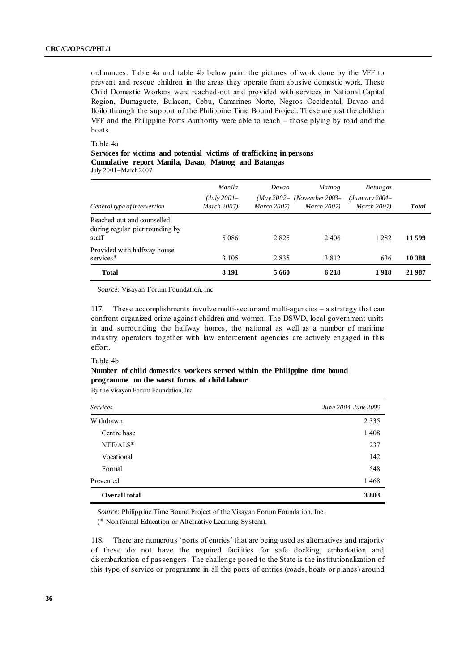ordinances. Table 4a and table 4b below paint the pictures of work done by the VFF to prevent and rescue children in the areas they operate from abusive domestic work. These Child Domestic Workers were reached-out and provided with services in National Capital Region, Dumaguete, Bulacan, Cebu, Camarines Norte, Negros Occidental, Davao and Iloilo through the support of the Philippine Time Bound Project. These are just the children VFF and the Philippine Ports Authority were able to reach – those plying by road and the boats.

Table 4a

| Services for victims and potential victims of trafficking in persons |  |  |  |  |
|----------------------------------------------------------------------|--|--|--|--|
| Cumulative report Manila, Davao, Matnog and Batangas                 |  |  |  |  |
| $I_2, I_3, 2001$ Moral $2007$                                        |  |  |  |  |

July 2001–March 2007

| General type of intervention                                           | Manila<br>(July 2001–<br>March 2007) | Davao<br><b>March 2007</b> ) | Matnog<br>$(May\,2002 - (November\,2003-$<br><b>March 2007</b> ) | <i>Batangas</i><br>$(January 2004 -$<br><b>March 2007)</b> | <b>Total</b> |
|------------------------------------------------------------------------|--------------------------------------|------------------------------|------------------------------------------------------------------|------------------------------------------------------------|--------------|
| Reached out and counselled<br>during regular pier rounding by<br>staff | 5 0 8 6                              | 2 8 2 5                      | 2406                                                             | 1 2 8 2                                                    | 11 599       |
| Provided with halfway house<br>services*                               | 3 1 0 5                              | 2835                         | 3812                                                             | 636                                                        | 10 388       |
| <b>Total</b>                                                           | 8 1 9 1                              | 5 660                        | 6 2 1 8                                                          | 1918                                                       | 21 987       |

*Source:* Visayan Forum Foundation, Inc.

117. These accomplishments involve multi-sector and multi-agencies – a strategy that can confront organized crime against children and women. The DSWD, local government units in and surrounding the halfway homes, the national as well as a number of maritime industry operators together with law enforcement agencies are actively engaged in this effort.

#### Table 4b

### **Number of child domestics workers served within the Philippine time bound programme on the worst forms of child labour**

By the Visayan Forum Foundation, Inc

| <b>Services</b>      | June 2004–June 2006 |
|----------------------|---------------------|
| Withdrawn            | 2 3 3 5             |
| Centre base          | 1 4 0 8             |
| NFE/ALS*             | 237                 |
| Vocational           | 142                 |
| Formal               | 548                 |
| Prevented            | 1468                |
| <b>Overall total</b> | 3803                |

*Source:* Philippine Time Bound Project of the Visayan Forum Foundation, Inc.

(\* Non formal Education or Alternative Learning System).

118. There are numerous 'ports of entries' that are being used as alternatives and majority of these do not have the required facilities for safe docking, embarkation and disembarkation of passengers. The challenge posed to the State is the institutionalization of this type of service or programme in all the ports of entries (roads, boats or planes) around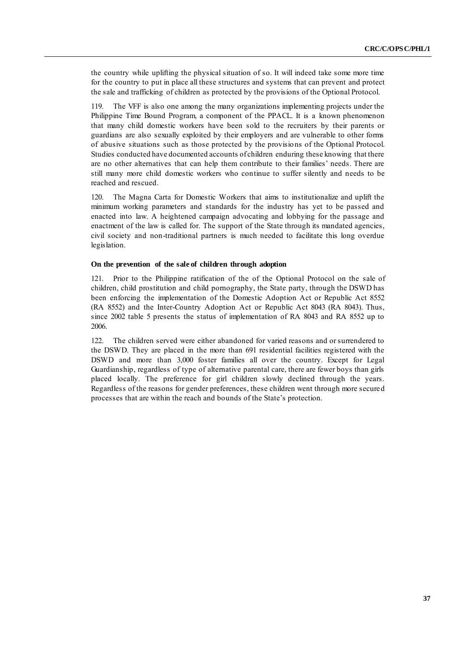the country while uplifting the physical situation of so. It will indeed take some more time for the country to put in place all these structures and systems that can prevent and protect the sale and trafficking of children as protected by the provisions of the Optional Protocol.

119. The VFF is also one among the many organizations implementing projects under the Philippine Time Bound Program, a component of the PPACL. It is a known phenomenon that many child domestic workers have been sold to the recruiters by their parents or guardians are also sexually exploited by their employers and are vulnerable to other forms of abusive situations such as those protected by the provisions of the Optional Protocol. Studies conducted have documented accounts of children enduring these knowing that there are no other alternatives that can help them contribute to their families' needs. There are still many more child domestic workers who continue to suffer silently and needs to be reached and rescued.

120. The Magna Carta for Domestic Workers that aims to institutionalize and uplift the minimum working parameters and standards for the industry has yet to be passed and enacted into law. A heightened campaign advocating and lobbying for the passage and enactment of the law is called for. The support of the State through its mandated agencies, civil society and non-traditional partners is much needed to facilitate this long overdue legislation.

### **On the prevention of the sale of children through adoption**

121. Prior to the Philippine ratification of the of the Optional Protocol on the sale of children, child prostitution and child pornography, the State party, through the DSWD has been enforcing the implementation of the Domestic Adoption Act or Republic Act 8552 (RA 8552) and the Inter-Country Adoption Act or Republic Act 8043 (RA 8043). Thus, since 2002 table 5 presents the status of implementation of RA 8043 and RA 8552 up to 2006.

122. The children served were either abandoned for varied reasons and or surrendered to the DSWD. They are placed in the more than 691 residential facilities registered with the DSWD and more than 3,000 foster families all over the country. Except for Legal Guardianship, regardless of type of alternative parental care, there are fewer boys than girls placed locally. The preference for girl children slowly declined through the years. Regardless of the reasons for gender preferences, these children went through more secured processes that are within the reach and bounds of the State's protection.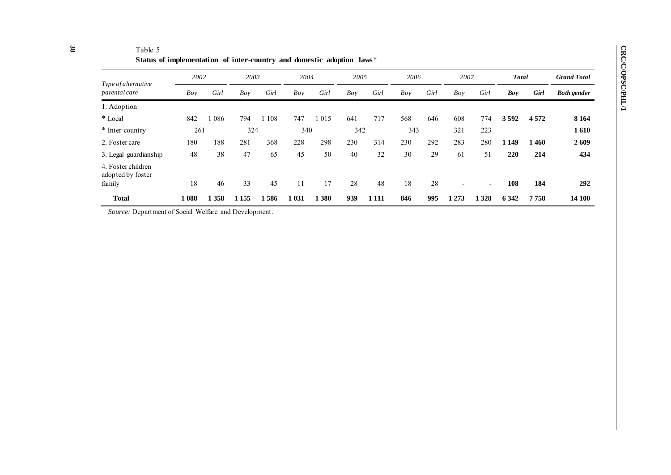| Status of implementation of inter-country and domestic adoption laws* |            |                      |               |                   |               |                   |           |                      |           |                          |                          |              |                |                    |  |
|-----------------------------------------------------------------------|------------|----------------------|---------------|-------------------|---------------|-------------------|-----------|----------------------|-----------|--------------------------|--------------------------|--------------|----------------|--------------------|--|
| 2002                                                                  |            | 2003                 |               | 2004              |               | 2005              |           | 2006                 |           | 2007                     |                          | <b>Total</b> |                | <b>Grand Total</b> |  |
| Boy                                                                   | Girl       | Boy                  | Girl          | Boy               | Girl          | Boy               | Girl      | Boy                  | Girl      | Boy                      | Girl                     | Boy          | Girl           | <b>Both gender</b> |  |
|                                                                       |            |                      |               |                   |               |                   |           |                      |           |                          |                          |              |                |                    |  |
| 842                                                                   | 086        | 794                  | 108           | 747               | 015           | 641               | 717       | 568                  | 646       | 608                      | 774                      | 3592         | 4 5 7 2        | 8 1 6 4            |  |
|                                                                       |            |                      |               |                   |               |                   |           |                      |           | 321                      | 223                      |              |                | 1610               |  |
| 180                                                                   | 188        | 281                  | 368           | 228               | 298           | 230               | 314       | 230                  | 292       | 283                      | 280                      | 1 1 4 9      | 1460           | 2609               |  |
| 48                                                                    | 38         | 47                   | 65            | 45                | 50            | 40                | 32        | 30                   | 29        | 61                       | 51                       | 220          | 214            | 434                |  |
|                                                                       |            |                      |               |                   |               |                   |           |                      |           | $\overline{\phantom{0}}$ | $\overline{\phantom{a}}$ |              |                | 292                |  |
|                                                                       |            |                      |               |                   |               |                   |           |                      |           |                          |                          |              |                | 14 100             |  |
|                                                                       | 18<br>1088 | 261<br>46<br>1 3 5 8 | 33<br>1 1 5 5 | 324<br>45<br>1586 | 11<br>1 0 3 1 | 340<br>17<br>.380 | 28<br>939 | 342<br>48<br>1 1 1 1 | 18<br>846 | 343<br>28<br>995         | 1 2 7 3                  | 1 3 2 8      | 108<br>6 3 4 2 | 184<br>7758        |  |

Table 5

*Source:* Department of Social Welfare and Development.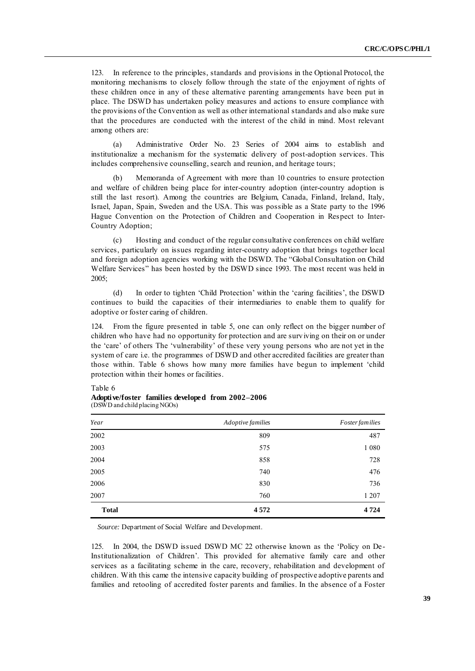123. In reference to the principles, standards and provisions in the Optional Protocol, the monitoring mechanisms to closely follow through the state of the enjoyment of rights of these children once in any of these alternative parenting arrangements have been put in place. The DSWD has undertaken policy measures and actions to ensure compliance with the provisions of the Convention as well as other international standards and also make sure that the procedures are conducted with the interest of the child in mind. Most relevant among others are:

(a) Administrative Order No. 23 Series of 2004 aims to establish and institutionalize a mechanism for the systematic delivery of post-adoption services. This includes comprehensive counselling, search and reunion, and heritage tours;

Memoranda of Agreement with more than 10 countries to ensure protection and welfare of children being place for inter-country adoption (inter-country adoption is still the last resort). Among the countries are Belgium, Canada, Finland, Ireland, Italy, Israel, Japan, Spain, Sweden and the USA. This was possible as a State party to the 1996 Hague Convention on the Protection of Children and Cooperation in Respect to Inter-Country Adoption;

(c) Hosting and conduct of the regular consultative conferences on child welfare services, particularly on issues regarding inter-country adoption that brings together local and foreign adoption agencies working with the DSWD. The "Global Consultation on Child Welfare Services" has been hosted by the DSWD since 1993. The most recent was held in 2005;

(d) In order to tighten ‗Child Protection' within the ‗caring facilities', the DSWD continues to build the capacities of their intermediaries to enable them to qualify for adoptive or foster caring of children.

124. From the figure presented in table 5, one can only reflect on the bigger number of children who have had no opportunity for protection and are surviving on their on or under the 'care' of others The 'vulnerability' of these very young persons who are not yet in the system of care i.e. the programmes of DSWD and other accredited facilities are greater than those within. Table 6 shows how many more families have begun to implement 'child protection within their homes or facilities.

### Table 6

|                               | Adoptive/foster families developed from 2002–2006 |  |
|-------------------------------|---------------------------------------------------|--|
| (DSWD and child placing NGOs) |                                                   |  |

| Year         | Adoptive families | <i>Foster families</i> |
|--------------|-------------------|------------------------|
| 2002         | 809               | 487                    |
| 2003         | 575               | 1 0 8 0                |
| 2004         | 858               | 728                    |
| 2005         | 740               | 476                    |
| 2006         | 830               | 736                    |
| 2007         | 760               | 1 207                  |
| <b>Total</b> | 4572              | 4724                   |

*Source:* Department of Social Welfare and Development.

125. In 2004, the DSWD issued DSWD MC 22 otherwise known as the 'Policy on De-Institutionalization of Children'. This provided for alternative family care and other services as a facilitating scheme in the care, recovery, rehabilitation and development of children. With this came the intensive capacity building of prospective adoptive parents and families and retooling of accredited foster parents and families. In the absence of a Foster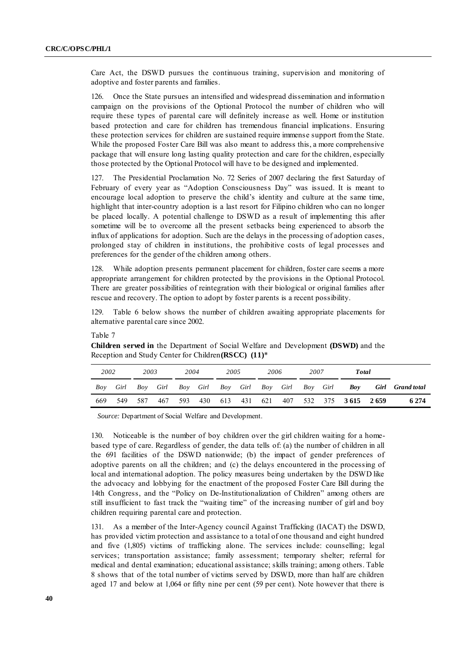Care Act, the DSWD pursues the continuous training, supervision and monitoring of adoptive and foster parents and families.

126. Once the State pursues an intensified and widespread dissemination and informatio n campaign on the provisions of the Optional Protocol the number of children who will require these types of parental care will definitely increase as well. Home or institution based protection and care for children has tremendous financial implications. Ensuring these protection services for children are sustained require immense support from the State. While the proposed Foster Care Bill was also meant to address this, a more comprehensive package that will ensure long lasting quality protection and care for the children, especially those protected by the Optional Protocol will have to be designed and implemented.

127. The Presidential Proclamation No. 72 Series of 2007 declaring the first Saturday of February of every year as "Adoption Consciousness Day" was issued. It is meant to encourage local adoption to preserve the child's identity and culture at the same time, highlight that inter-country adoption is a last resort for Filipino children who can no longer be placed locally. A potential challenge to DSWD as a result of implementing this after sometime will be to overcome all the present setbacks being experienced to absorb the influx of applications for adoption. Such are the delays in the processing of adoption cases, prolonged stay of children in institutions, the prohibitive costs of legal processes and preferences for the gender of the children among others.

128. While adoption presents permanent placement for children, foster care seems a more appropriate arrangement for children protected by the provisions in the Optional Protocol. There are greater possibilities of reintegration with their biological or original families after rescue and recovery. The option to adopt by foster parents is a recent possibility.

129. Table 6 below shows the number of children awaiting appropriate placements for alternative parental care since 2002.

|     | 2002<br>2003<br>2005<br>2004<br>2006<br>2007<br>Total |          |     |     |                 |  |  |  |                            |          |                              |  |                  |
|-----|-------------------------------------------------------|----------|-----|-----|-----------------|--|--|--|----------------------------|----------|------------------------------|--|------------------|
| Bov | Girl                                                  | Boy Girl |     |     |                 |  |  |  | Boy Girl Boy Girl Boy Girl | Boy Girl | $\bm{Bov}$                   |  | Girl Grand total |
| 669 |                                                       | 549 587  | 467 | 593 | 430 613 431 621 |  |  |  |                            |          | 407 532 375 <b>3615 2659</b> |  | 6 2 7 4          |

Table 7

**Children served in** the Department of Social Welfare and Development **(DSWD)** and the Reception and Study Center for Children**(RSCC) (11)**\*

*Source:* Department of Social Welfare and Development.

130. Noticeable is the number of boy children over the girl children waiting for a homebased type of care. Regardless of gender, the data tells of: (a) the number of children in all the 691 facilities of the DSWD nationwide; (b) the impact of gender preferences of adoptive parents on all the children; and (c) the delays encountered in the processing of local and international adoption. The policy measures being undertaken by the DSWD like the advocacy and lobbying for the enactment of the proposed Foster Care Bill during the 14th Congress, and the "Policy on De-Institutionalization of Children" among others are still insufficient to fast track the "waiting time" of the increasing number of girl and boy children requiring parental care and protection.

131. As a member of the Inter-Agency council Against Trafficking (IACAT) the DSWD, has provided victim protection and assistance to a total of one thousand and eight hundred and five (1,805) victims of trafficking alone. The services include: counselling; legal services; transportation assistance; family assessment; temporary shelter; referral for medical and dental examination; educational assistance; skills training; among others. Table 8 shows that of the total number of victims served by DSWD, more than half are children aged 17 and below at 1,064 or fifty nine per cent (59 per cent). Note however that there is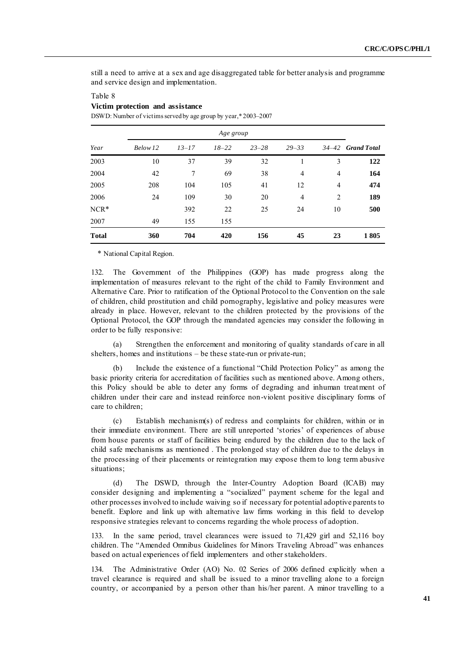still a need to arrive at a sex and age disaggregated table for better analysis and programme and service design and implementation.

|              |          | Age group |           |           |           |                |                   |  |  |  |
|--------------|----------|-----------|-----------|-----------|-----------|----------------|-------------------|--|--|--|
| Year         | Below 12 | $13 - 17$ | $18 - 22$ | $23 - 28$ | $29 - 33$ |                | 34-42 Grand Total |  |  |  |
| 2003         | 10       | 37        | 39        | 32        |           | 3              | 122               |  |  |  |
| 2004         | 42       | 7         | 69        | 38        | 4         | $\overline{4}$ | 164               |  |  |  |
| 2005         | 208      | 104       | 105       | 41        | 12        | $\overline{4}$ | 474               |  |  |  |
| 2006         | 24       | 109       | 30        | 20        | 4         | 2              | 189               |  |  |  |
| $NCR*$       |          | 392       | 22        | 25        | 24        | 10             | 500               |  |  |  |
| 2007         | 49       | 155       | 155       |           |           |                |                   |  |  |  |
| <b>Total</b> | 360      | 704       | 420       | 156       | 45        | 23             | 1805              |  |  |  |

### Table 8 **Victim protection and assistance**

DSWD: Number of victims served by age group by year,\* 2003–2007

\* National Capital Region.

132. The Government of the Philippines (GOP) has made progress along the implementation of measures relevant to the right of the child to Family Environment and Alternative Care. Prior to ratification of the Optional Protocol to the Convention on the sale of children, child prostitution and child pornography, legislative and policy measures were already in place. However, relevant to the children protected by the provisions of the Optional Protocol, the GOP through the mandated agencies may consider the following in order to be fully responsive:

(a) Strengthen the enforcement and monitoring of quality standards of care in all shelters, homes and institutions – be these state-run or private-run;

Include the existence of a functional "Child Protection Policy" as among the basic priority criteria for accreditation of facilities such as mentioned above. Among others, this Policy should be able to deter any forms of degrading and inhuman treatment of children under their care and instead reinforce non-violent positive disciplinary forms of care to children;

(c) Establish mechanism(s) of redress and complaints for children, within or in their immediate environment. There are still unreported ‗stories' of experiences of abuse from house parents or staff of facilities being endured by the children due to the lack of child safe mechanisms as mentioned . The prolonged stay of children due to the delays in the processing of their placements or reintegration may expose them to long term abusive situations;

(d) The DSWD, through the Inter-Country Adoption Board (ICAB) may consider designing and implementing a "socialized" payment scheme for the legal and other processes involved to include waiving so if necessary for potential adoptive parents to benefit. Explore and link up with alternative law firms working in this field to develop responsive strategies relevant to concerns regarding the whole process of adoption.

133. In the same period, travel clearances were issued to 71,429 girl and 52,116 boy children. The "Amended Omnibus Guidelines for Minors Traveling Abroad" was enhances based on actual experiences of field implementers and other stakeholders.

134. The Administrative Order (AO) No. 02 Series of 2006 defined explicitly when a travel clearance is required and shall be issued to a minor travelling alone to a foreign country, or accompanied by a person other than his/her parent. A minor travelling to a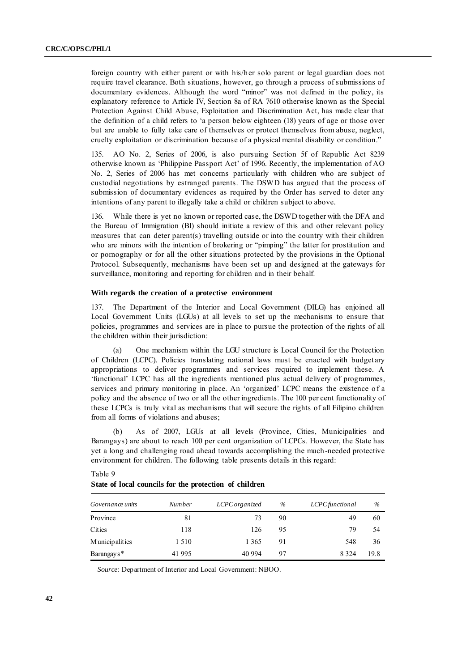foreign country with either parent or with his/her solo parent or legal guardian does not require travel clearance. Both situations, however, go through a process of submissions of documentary evidences. Although the word "minor" was not defined in the policy, its explanatory reference to Article IV, Section 8a of RA 7610 otherwise known as the Special Protection Against Child Abuse, Exploitation and Discrimination Act, has made clear that the definition of a child refers to 'a person below eighteen (18) years of age or those over but are unable to fully take care of themselves or protect themselves from abuse, neglect, cruelty exploitation or discrimination because of a physical mental disability or condition."

135. AO No. 2, Series of 2006, is also pursuing Section 5f of Republic Act 8239 otherwise known as ‗Philippine Passport Act' of 1996. Recently, the implementation of AO No. 2, Series of 2006 has met concerns particularly with children who are subject of custodial negotiations by estranged parents. The DSWD has argued that the process of submission of documentary evidences as required by the Order has served to deter any intentions of any parent to illegally take a child or children subject to above.

136. While there is yet no known or reported case, the DSWD together with the DFA and the Bureau of Immigration (BI) should initiate a review of this and other relevant policy measures that can deter parent(s) travelling outside or into the country with their children who are minors with the intention of brokering or "pimping" the latter for prostitution and or pornography or for all the other situations protected by the provisions in the Optional Protocol. Subsequently, mechanisms have been set up and designed at the gateways for surveillance, monitoring and reporting for children and in their behalf.

#### **With regards the creation of a protective environment**

137. The Department of the Interior and Local Government (DILG) has enjoined all Local Government Units (LGUs) at all levels to set up the mechanisms to ensure that policies, programmes and services are in place to pursue the protection of the rights of all the children within their jurisdiction:

(a) One mechanism within the LGU structure is Local Council for the Protection of Children (LCPC). Policies translating national laws must be enacted with budget ary appropriations to deliver programmes and services required to implement these. A ‗functional' LCPC has all the ingredients mentioned plus actual delivery of programmes, services and primary monitoring in place. An 'organized' LCPC means the existence of a policy and the absence of two or all the other ingredients. The 100 per cent functionality of these LCPCs is truly vital as mechanisms that will secure the rights of all Filipino children from all forms of violations and abuses;

(b) As of 2007, LGUs at all levels (Province, Cities, Municipalities and Barangays) are about to reach 100 per cent organization of LCPCs. However, the State has yet a long and challenging road ahead towards accomplishing the much -needed protective environment for children. The following table presents details in this regard:

| <i>Governance units</i> | <b>Number</b> | LCPC organized | $\%$ | LCPC functional | $\%$ |
|-------------------------|---------------|----------------|------|-----------------|------|
| Province                | 81            | 73             | 90   | 49              | 60   |
| Cities                  | 118           | 126            | 95   | 79              | 54   |
| <b>Municipalities</b>   | 1 5 1 0       | 1 365          | 91   | 548             | 36   |
| Barangay s <sup>*</sup> | 41 995        | 40 994         | 97   | 8 3 2 4         | 19.8 |

#### Table 9

#### **State of local councils for the protection of children**

*Source:* Department of Interior and Local Government: NBOO.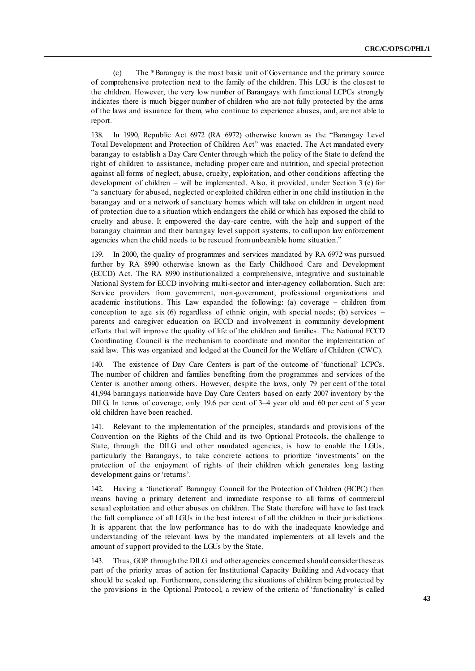(c) The \*Barangay is the most basic unit of Governance and the primary source of comprehensive protection next to the family of the children. This LGU is the closest to the children. However, the very low number of Barangays with functional LCPCs strongly indicates there is much bigger number of children who are not fully protected by the arms of the laws and issuance for them, who continue to experience abuses, and, are not able to report.

138. In 1990, Republic Act 6972 (RA 6972) otherwise known as the "Barangay Level Total Development and Protection of Children Act" was enacted. The Act mandated every barangay to establish a Day Care Center through which the policy of the State to defend the right of children to assistance, including proper care and nutrition, and special protection against all forms of neglect, abuse, cruelty, exploitation, and other conditions affecting the development of children – will be implemented. Also, it provided, under Section 3 (e) for ―a sanctuary for abused, neglected or exploited children either in one child institution in the barangay and or a network of sanctuary homes which will take on children in urgent need of protection due to a situation which endangers the child or which has exposed the child to cruelty and abuse. It empowered the day-care centre, with the help and support of the barangay chairman and their barangay level support systems, to call upon law enforcement agencies when the child needs to be rescued from unbearable home situation."

139. In 2000, the quality of programmes and services mandated by RA 6972 was pursued further by RA 8990 otherwise known as the Early Childhood Care and Development (ECCD) Act. The RA 8990 institutionalized a comprehensive, integrative and sustainable National System for ECCD involving multi-sector and inter-agency collaboration. Such are: Service providers from government, non-government, professional organizations and academic institutions. This Law expanded the following: (a) coverage – children from conception to age six  $(6)$  regardless of ethnic origin, with special needs; (b) services – parents and caregiver education on ECCD and involvement in community development efforts that will improve the quality of life of the children and families. The National ECCD Coordinating Council is the mechanism to coordinate and monitor the implementation of said law. This was organized and lodged at the Council for the Welfare of Children (CWC).

140. The existence of Day Care Centers is part of the outcome of 'functional' LCPCs. The number of children and families benefiting from the programmes and services of the Center is another among others. However, despite the laws, only 79 per cent of the total 41,994 barangays nationwide have Day Care Centers based on early 2007 inventory by the DILG. In terms of coverage, only 19.6 per cent of 3–4 year old and 60 per cent of 5 year old children have been reached.

141. Relevant to the implementation of the principles, standards and provisions of the Convention on the Rights of the Child and its two Optional Protocols, the challenge to State, through the DILG and other mandated agencies, is how to enable the LGUs, particularly the Barangays, to take concrete actions to prioritize ‗investments' on the protection of the enjoyment of rights of their children which generates long lasting development gains or 'returns'.

142. Having a 'functional' Barangay Council for the Protection of Children (BCPC) then means having a primary deterrent and immediate response to all forms of commercial sexual exploitation and other abuses on children. The State therefore will have to fast track the full compliance of all LGUs in the best interest of all the children in their jurisdictions. It is apparent that the low performance has to do with the inadequate knowledge and understanding of the relevant laws by the mandated implementers at all levels and the amount of support provided to the LGUs by the State.

143. Thus, GOP through the DILG and other agencies concerned should consider these as part of the priority areas of action for Institutional Capacity Building and Advocacy that should be scaled up. Furthermore, considering the situations of children being protected by the provisions in the Optional Protocol, a review of the criteria of ‗functionality' is called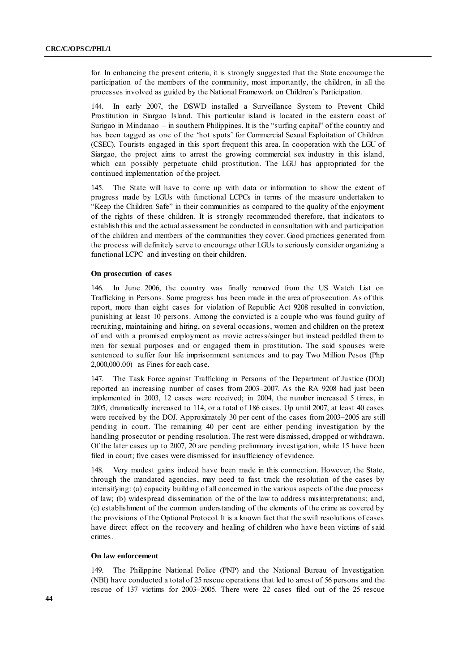for. In enhancing the present criteria, it is strongly suggested that the State encourage the participation of the members of the community, most importantly, the children, in all the processes involved as guided by the National Framework on Children's Participation.

144. In early 2007, the DSWD installed a Surveillance System to Prevent Child Prostitution in Siargao Island. This particular island is located in the eastern coast of Surigao in Mindanao – in southern Philippines. It is the "surfing capital" of the country and has been tagged as one of the 'hot spots' for Commercial Sexual Exploitation of Children (CSEC). Tourists engaged in this sport frequent this area. In cooperation with the LGU of Siargao, the project aims to arrest the growing commercial sex industry in this island, which can possibly perpetuate child prostitution. The LGU has appropriated for the continued implementation of the project.

145. The State will have to come up with data or information to show the extent of progress made by LGUs with functional LCPCs in terms of the measure undertaken to "Keep the Children Safe" in their communities as compared to the quality of the enjoyment of the rights of these children. It is strongly recommended therefore, that indicators to establish this and the actual assessment be conducted in consultation with and participation of the children and members of the communities they cover. Good practices generated from the process will definitely serve to encourage other LGUs to seriously consider organizing a functional LCPC and investing on their children.

#### **On prosecution of cases**

146. In June 2006, the country was finally removed from the US Watch List on Trafficking in Persons. Some progress has been made in the area of prosecution. As of this report, more than eight cases for violation of Republic Act 9208 resulted in conviction, punishing at least 10 persons. Among the convicted is a couple who was found guilty of recruiting, maintaining and hiring, on several occasions, women and children on the pretext of and with a promised employment as movie actress/singer but instead peddled them to men for sexual purposes and or engaged them in prostitution. The said spouses were sentenced to suffer four life imprisonment sentences and to pay Two Million Pesos (Php 2,000,000.00) as Fines for each case.

147. The Task Force against Trafficking in Persons of the Department of Justice (DOJ) reported an increasing number of cases from 2003–2007. As the RA 9208 had just been implemented in 2003, 12 cases were received; in 2004, the number increased 5 times, in 2005, dramatically increased to 114, or a total of 186 cases. Up until 2007, at least 40 cases were received by the DOJ. Approximately 30 per cent of the cases from 2003–2005 are still pending in court. The remaining 40 per cent are either pending investigation by the handling prosecutor or pending resolution. The rest were dismissed, dropped or withdrawn. Of the later cases up to 2007, 20 are pending preliminary investigation, while 15 have been filed in court; five cases were dismissed for insufficiency of evidence.

148. Very modest gains indeed have been made in this connection. However, the State, through the mandated agencies, may need to fast track the resolution of the cases by intensifying: (a) capacity building of all concerned in the various aspects of the due process of law; (b) widespread dissemination of the of the law to address misinterpretations; and, (c) establishment of the common understanding of the elements of the crime as covered by the provisions of the Optional Protocol. It is a known fact that the swift resolutions of cases have direct effect on the recovery and healing of children who have been victims of said crimes.

#### **On law enforcement**

149. The Philippine National Police (PNP) and the National Bureau of Investigation (NBI) have conducted a total of 25 rescue operations that led to arrest of 56 persons and the rescue of 137 victims for 2003–2005. There were 22 cases filed out of the 25 rescue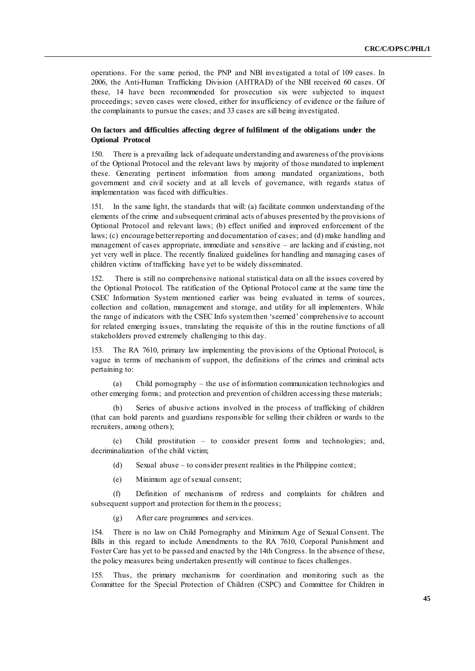operations. For the same period, the PNP and NBI investigated a total of 109 cases. In 2006, the Anti-Human Trafficking Division (AHTRAD) of the NBI received 60 cases. Of these, 14 have been recommended for prosecution six were subjected to inquest proceedings; seven cases were closed, either for insufficiency of evidence or the failure of the complainants to pursue the cases; and 33 cases are sill being investigated.

### **On factors and difficulties affecting degree of fulfilment of the obligations under the Optional Protocol**

150. There is a prevailing lack of adequate understanding and awareness of the provisions of the Optional Protocol and the relevant laws by majority of those mandated to implement these. Generating pertinent information from among mandated organizations, both government and civil society and at all levels of governance, with regards status of implementation was faced with difficulties.

151. In the same light, the standards that will: (a) facilitate common understanding of the elements of the crime and subsequent criminal acts of abuses presented by the provisions of Optional Protocol and relevant laws; (b) effect unified and improved enforcement of the laws; (c) encourage better reporting and documentation of cases; and (d) make handling and management of cases appropriate, immediate and sensitive – are lacking and if existing, not yet very well in place. The recently finalized guidelines for handling and managing cases of children victims of trafficking have yet to be widely disseminated.

152. There is still no comprehensive national statistical data on all the issues covered by the Optional Protocol. The ratification of the Optional Protocol came at the same time the CSEC Information System mentioned earlier was being evaluated in terms of sources, collection and collation, management and storage, and utility for all implementers. While the range of indicators with the CSEC Info system then 'seemed' comprehensive to account for related emerging issues, translating the requisite of this in the routine functions of all stakeholders proved extremely challenging to this day.

153. The RA 7610, primary law implementing the provisions of the Optional Protocol, is vague in terms of mechanism of support, the definitions of the crimes and criminal acts pertaining to:

(a) Child pornography – the use of information communication technologies and other emerging forms; and protection and prevention of children accessing these materials;

Series of abusive actions involved in the process of trafficking of children (that can hold parents and guardians responsible for selling their children or wards to the recruiters, among others);

(c) Child prostitution – to consider present forms and technologies; and, decriminalization of the child victim;

(d) Sexual abuse – to consider present realities in the Philippine context;

(e) Minimum age of sexual consent;

(f) Definition of mechanisms of redress and complaints for children and subsequent support and protection for them in the process;

(g) After care programmes and services.

154. There is no law on Child Pornography and Minimum Age of Sexual Consent. The Bills in this regard to include Amendments to the RA 7610, Corporal Punishment and Foster Care has yet to be passed and enacted by the 14th Congress. In the absence of these, the policy measures being undertaken presently will continue to faces challenges.

155. Thus, the primary mechanisms for coordination and monitoring such as the Committee for the Special Protection of Children (CSPC) and Committee for Children in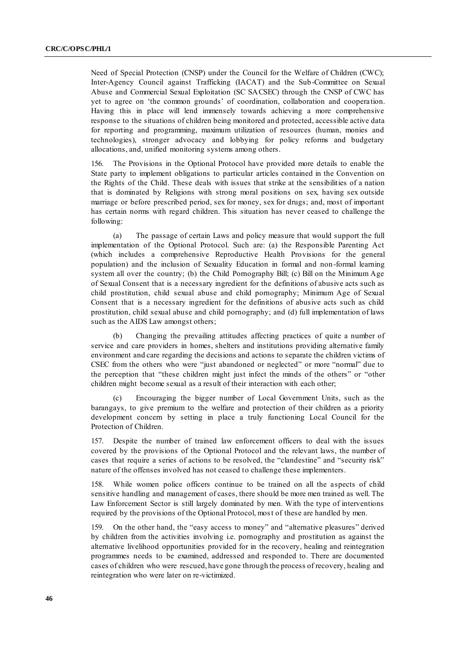Need of Special Protection (CNSP) under the Council for the Welfare of Children (CWC); Inter-Agency Council against Trafficking (IACAT) and the Sub-Committee on Sexual Abuse and Commercial Sexual Exploitation (SC SACSEC) through the CNSP of CWC has yet to agree on 'the common grounds' of coordination, collaboration and cooperation. Having this in place will lend immensely towards achieving a more comprehensive response to the situations of children being monitored and protected, accessible active data for reporting and programming, maximum utilization of resources (human, monies and technologies), stronger advocacy and lobbying for policy reforms and budgetary allocations, and, unified monitoring systems among others.

156. The Provisions in the Optional Protocol have provided more details to enable the State party to implement obligations to particular articles contained in the Convention on the Rights of the Child. These deals with issues that strike at the sensibilities of a nation that is dominated by Religions with strong moral positions on sex, having sex outside marriage or before prescribed period, sex for money, sex for drugs; and, most of important has certain norms with regard children. This situation has never ceased to challenge the following:

(a) The passage of certain Laws and policy measure that would support the full implementation of the Optional Protocol. Such are: (a) the Responsible Parenting Act (which includes a comprehensive Reproductive Health Provisions for the general population) and the inclusion of Sexuality Education in formal and non -formal learning system all over the country; (b) the Child Pornography Bill; (c) Bill on the Minimum Age of Sexual Consent that is a necessary ingredient for the definitions of abusive acts such as child prostitution, child sexual abuse and child pornography; Minimum Age of Sexual Consent that is a necessary ingredient for the definitions of abusive acts such as child prostitution, child sexual abuse and child pornography; and (d) full implementation of laws such as the AIDS Law amongst others;

(b) Changing the prevailing attitudes affecting practices of quite a number of service and care providers in homes, shelters and institutions providing alternative family environment and care regarding the decisions and actions to separate the children victims of CSEC from the others who were "just abandoned or neglected" or more "normal" due to the perception that "these children might just infect the minds of the others" or "other children might become sexual as a result of their interaction with each other;

(c) Encouraging the bigger number of Local Government Units, such as the barangays, to give premium to the welfare and protection of their children as a priority development concern by setting in place a truly functioning Local Council for the Protection of Children.

157. Despite the number of trained law enforcement officers to deal with the issues covered by the provisions of the Optional Protocol and the relevant laws, the number of cases that require a series of actions to be resolved, the "clandestine" and "security risk" nature of the offenses involved has not ceased to challenge these implementers.

158. While women police officers continue to be trained on all the aspects of child sensitive handling and management of cases, there should be more men trained as well. The Law Enforcement Sector is still largely dominated by men. With the type of interventions required by the provisions of the Optional Protocol, most of these are handled by men.

159. On the other hand, the "easy access to money" and "alternative pleasures" derived by children from the activities involving i.e. pornography and prostitution as against the alternative livelihood opportunities provided for in the recovery, healing and reintegration programmes needs to be examined, addressed and responded to. There are documented cases of children who were rescued, have gone through the process of recovery, healing and reintegration who were later on re-victimized.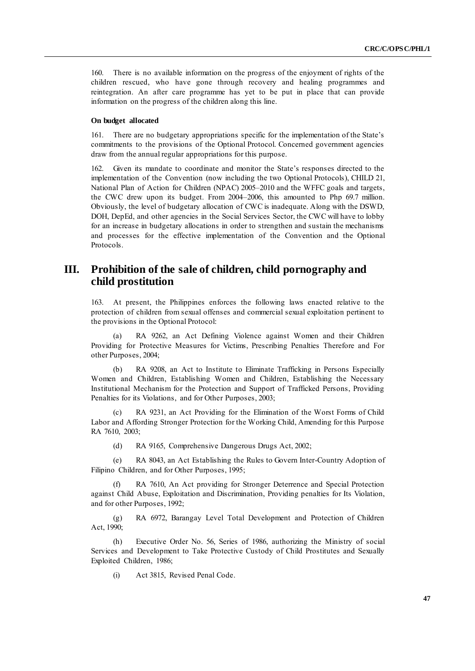160. There is no available information on the progress of the enjoyment of rights of the children rescued, who have gone through recovery and healing programmes and reintegration. An after care programme has yet to be put in place that can provide information on the progress of the children along this line.

#### **On budget allocated**

161. There are no budgetary appropriations specific for the implementation of the State's commitments to the provisions of the Optional Protocol. Concerned government agencies draw from the annual regular appropriations for this purpose.

162. Given its mandate to coordinate and monitor the State's responses directed to the implementation of the Convention (now including the two Optional Protocols), CHILD 21, National Plan of Action for Children (NPAC) 2005–2010 and the WFFC goals and targets, the CWC drew upon its budget. From 2004–2006, this amounted to Php 69.7 million. Obviously, the level of budgetary allocation of CWC is inadequate. Along with the DSWD, DOH, DepEd, and other agencies in the Social Services Sector, the CWC will have to lobby for an increase in budgetary allocations in order to strengthen and sustain the mechanisms and processes for the effective implementation of the Convention and the Optional Protocols.

## **III. Prohibition of the sale of children, child pornography and child prostitution**

163. At present, the Philippines enforces the following laws enacted relative to the protection of children from sexual offenses and commercial sexual exploitation pertinent to the provisions in the Optional Protocol:

(a) RA 9262, an Act Defining Violence against Women and their Children Providing for Protective Measures for Victims, Prescribing Penalties Therefore and For other Purposes, 2004;

(b) RA 9208, an Act to Institute to Eliminate Trafficking in Persons Especially Women and Children, Establishing Women and Children, Establishing the Necessary Institutional Mechanism for the Protection and Support of Trafficked Persons, Providing Penalties for its Violations, and for Other Purposes, 2003;

(c) RA 9231, an Act Providing for the Elimination of the Worst Forms of Child Labor and Affording Stronger Protection for the Working Child, Amending for this Purpose RA 7610, 2003;

(d) RA 9165, Comprehensive Dangerous Drugs Act, 2002;

(e) RA 8043, an Act Establishing the Rules to Govern Inter-Country Adoption of Filipino Children, and for Other Purposes, 1995;

(f) RA 7610, An Act providing for Stronger Deterrence and Special Protection against Child Abuse, Exploitation and Discrimination, Providing penalties for Its Violation, and for other Purposes, 1992;

(g) RA 6972, Barangay Level Total Development and Protection of Children Act, 1990;

(h) Executive Order No. 56, Series of 1986, authorizing the Ministry of social Services and Development to Take Protective Custody of Child Prostitutes and Sexually Exploited Children, 1986;

(i) Act 3815, Revised Penal Code.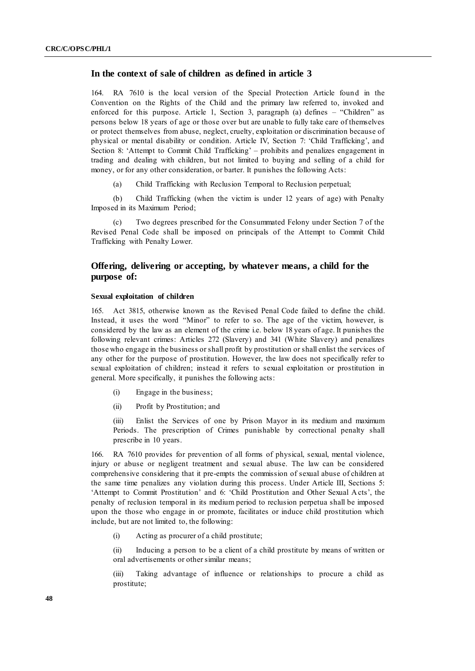### **In the context of sale of children as defined in article 3**

164. RA 7610 is the local version of the Special Protection Article found in the Convention on the Rights of the Child and the primary law referred to, invoked and enforced for this purpose. Article 1, Section 3, paragraph (a) defines  $-$  "Children" as persons below 18 years of age or those over but are unable to fully take care of themselves or protect themselves from abuse, neglect, cruelty, exploitation or discrimination because of physical or mental disability or condition. Article IV, Section 7: ‗Child Trafficking', and Section 8: ‗Attempt to Commit Child Trafficking' – prohibits and penalizes engagement in trading and dealing with children, but not limited to buying and selling of a child for money, or for any other consideration, or barter. It punishes the following Acts:

(a) Child Trafficking with Reclusion Temporal to Reclusion perpetual;

(b) Child Trafficking (when the victim is under 12 years of age) with Penalty Imposed in its Maximum Period;

Two degrees prescribed for the Consummated Felony under Section 7 of the Revised Penal Code shall be imposed on principals of the Attempt to Commit Child Trafficking with Penalty Lower.

## **Offering, delivering or accepting, by whatever means, a child for the purpose of:**

### **Sexual exploitation of children**

165. Act 3815, otherwise known as the Revised Penal Code failed to define the child. Instead, it uses the word "Minor" to refer to so. The age of the victim, however, is considered by the law as an element of the crime i.e. below 18 years of age. It punishes the following relevant crimes: Articles 272 (Slavery) and 341 (White Slavery) and penalizes those who engage in the business or shall profit by prostitution or shall enlist the services of any other for the purpose of prostitution. However, the law does not specifically refer to sexual exploitation of children; instead it refers to sexual exploitation or prostitution in general. More specifically, it punishes the following acts:

- (i) Engage in the business;
- (ii) Profit by Prostitution; and

(iii) Enlist the Services of one by Prison Mayor in its medium and maximum Periods. The prescription of Crimes punishable by correctional penalty shall prescribe in 10 years.

166. RA 7610 provides for prevention of all forms of physical, sexual, mental violence, injury or abuse or negligent treatment and sexual abuse. The law can be considered comprehensive considering that it pre-empts the commission of sexual abuse of children at the same time penalizes any violation during this process. Under Article III, Sections 5: ‗Attempt to Commit Prostitution' and 6: ‗Child Prostitution and Other Sexual Acts', the penalty of reclusion temporal in its medium period to reclusion perpetua shall be imposed upon the those who engage in or promote, facilitates or induce child prostitution which include, but are not limited to, the following:

(i) Acting as procurer of a child prostitute;

(ii) Inducing a person to be a client of a child prostitute by means of written or oral advertisements or other similar means;

(iii) Taking advantage of influence or relationships to procure a child as prostitute;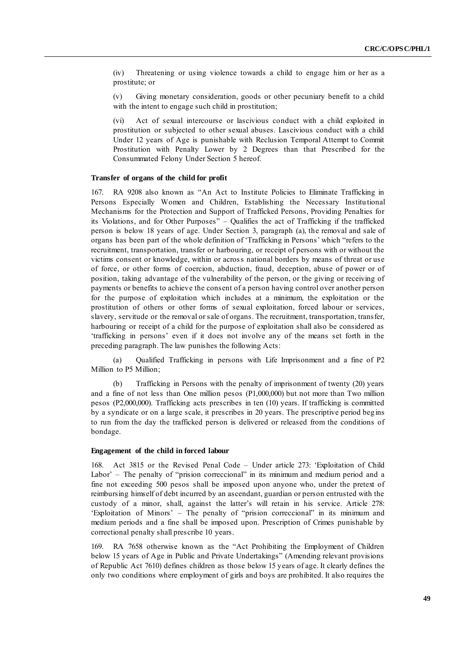(iv) Threatening or using violence towards a child to engage him or her as a prostitute; or

(v) Giving monetary consideration, goods or other pecuniary benefit to a child with the intent to engage such child in prostitution;

(vi) Act of sexual intercourse or lascivious conduct with a child exploited in prostitution or subjected to other sexual abuses. Lascivious conduct with a child Under 12 years of Age is punishable with Reclusion Temporal Attempt to Commit Prostitution with Penalty Lower by 2 Degrees than that Prescribed for the Consummated Felony Under Section 5 hereof.

#### **Transfer of organs of the child for profit**

167. RA 9208 also known as "An Act to Institute Policies to Eliminate Trafficking in Persons Especially Women and Children, Establishing the Necessary Institu tional Mechanisms for the Protection and Support of Trafficked Persons, Providing Penalties for its Violations, and for Other Purposes" – Qualifies the act of Trafficking if the trafficked person is below 18 years of age. Under Section 3, paragraph (a), the removal and sale of organs has been part of the whole definition of 'Trafficking in Persons' which "refers to the recruitment, transportation, transfer or harbouring, or receipt of persons with or without the victims consent or knowledge, within or across national borders by means of threat or use of force, or other forms of coercion, abduction, fraud, deception, abuse of power or of position, taking advantage of the vulnerability of the person, or the giving or receiving of payments or benefits to achieve the consent of a person having control over another person for the purpose of exploitation which includes at a minimum, the exploitation or the prostitution of others or other forms of sexual exploitation, forced labour or services, slavery, servitude or the removal or sale of organs. The recruitment, transportation, transfer, harbouring or receipt of a child for the purpose of exploitation shall also be considered as ‗trafficking in persons' even if it does not involve any of the means set forth in the preceding paragraph. The law punishes the following Acts:

(a) Qualified Trafficking in persons with Life Imprisonment and a fine of P2 Million to P5 Million;

(b) Trafficking in Persons with the penalty of imprisonment of twenty (20) years and a fine of not less than One million pesos (P1,000,000) but not more than Two million pesos (P2,000,000). Trafficking acts prescribes in ten (10) years. If trafficking is committed by a syndicate or on a large scale, it prescribes in 20 years. The prescriptive period beg ins to run from the day the trafficked person is delivered or released from the conditions of bondage.

### **Engagement of the child in forced labour**

168. Act 3815 or the Revised Penal Code – Under article 273: ‗Exploitation of Child Labor' – The penalty of "prision correccional" in its minimum and medium period and a fine not exceeding 500 pesos shall be imposed upon anyone who, under the pretext of reimbursing himself of debt incurred by an ascendant, guardian or person entrusted with the custody of a minor, shall, against the latter's will retain in his service. Article 278: 'Exploitation of Minors' – The penalty of "prision correccional" in its minimum and medium periods and a fine shall be imposed upon. Prescription of Crimes punishable by correctional penalty shall prescribe 10 years.

169. RA 7658 otherwise known as the "Act Prohibiting the Employment of Children below 15 years of Age in Public and Private Undertakings" (Amending relevant provisions of Republic Act 7610) defines children as those below 15 years of age. It clearly defines the only two conditions where employment of girls and boys are prohibited. It also requires the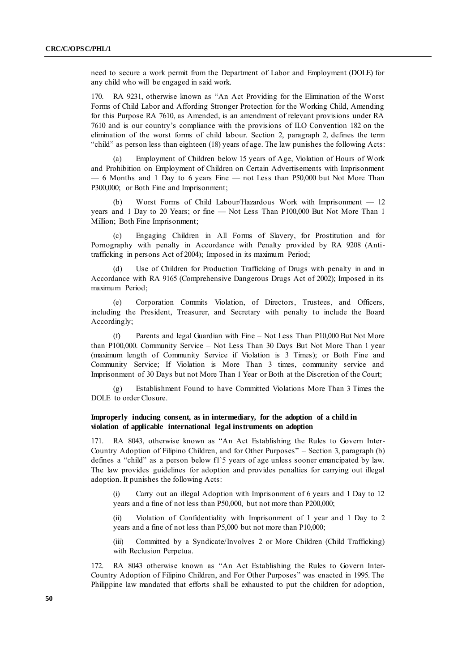need to secure a work permit from the Department of Labor and Employment (DOLE) for any child who will be engaged in said work.

170. RA 9231, otherwise known as "An Act Providing for the Elimination of the Worst Forms of Child Labor and Affording Stronger Protection for the Working Child, Amending for this Purpose RA 7610, as Amended, is an amendment of relevant provisions under RA 7610 and is our country's compliance with the provisions of ILO Convention 182 on the elimination of the worst forms of child labour. Section 2, paragraph 2, defines the term "
child" as person less than eighteen  $(18)$  years of age. The law punishes the following Acts:

Employment of Children below 15 years of Age, Violation of Hours of Work and Prohibition on Employment of Children on Certain Advertisements with Imprisonment — 6 Months and 1 Day to 6 years Fine — not Less than P50,000 but Not More Than P300,000; or Both Fine and Imprisonment;

(b) Worst Forms of Child Labour/Hazardous Work with Imprisonment — 12 years and 1 Day to 20 Years; or fine — Not Less Than P100,000 But Not More Than 1 Million; Both Fine Imprisonment;

(c) Engaging Children in All Forms of Slavery, for Prostitution and for Pornography with penalty in Accordance with Penalty provided by RA 9208 (Antitrafficking in persons Act of 2004); Imposed in its maximum Period;

(d) Use of Children for Production Trafficking of Drugs with penalty in and in Accordance with RA 9165 (Comprehensive Dangerous Drugs Act of 2002); Imposed in its maximum Period;

(e) Corporation Commits Violation, of Directors, Trustees, and Officers, including the President, Treasurer, and Secretary with penalty to include the Board Accordingly;

(f) Parents and legal Guardian with Fine – Not Less Than P10,000 But Not More than P100,000. Community Service – Not Less Than 30 Days But Not More Than 1 year (maximum length of Community Service if Violation is 3 Times); or Both Fine and Community Service; If Violation is More Than 3 times, community service and Imprisonment of 30 Days but not More Than 1 Year or Both at the Discretion of the Court;

(g) Establishment Found to have Committed Violations More Than 3 Times the DOLE to order Closure.

### **Improperly inducing consent, as in intermediary, for the adoption of a child in violation of applicable international legal instruments on adoption**

171. RA 8043, otherwise known as "An Act Establishing the Rules to Govern Inter-Country Adoption of Filipino Children, and for Other Purposes" - Section 3, paragraph (b) defines a "child" as a person below f1`5 years of age unless sooner emancipated by law. The law provides guidelines for adoption and provides penalties for carrying out illegal adoption. It punishes the following Acts:

Carry out an illegal Adoption with Imprisonment of 6 years and 1 Day to 12 years and a fine of not less than P50,000, but not more than P200,000;

(ii) Violation of Confidentiality with Imprisonment of 1 year and 1 Day to 2 years and a fine of not less than P5,000 but not more than P10,000;

(iii) Committed by a Syndicate/Involves 2 or More Children (Child Trafficking) with Reclusion Perpetua.

172. RA 8043 otherwise known as "An Act Establishing the Rules to Govern Inter-Country Adoption of Filipino Children, and For Other Purposes" was enacted in 1995. The Philippine law mandated that efforts shall be exhausted to put the children for adoption,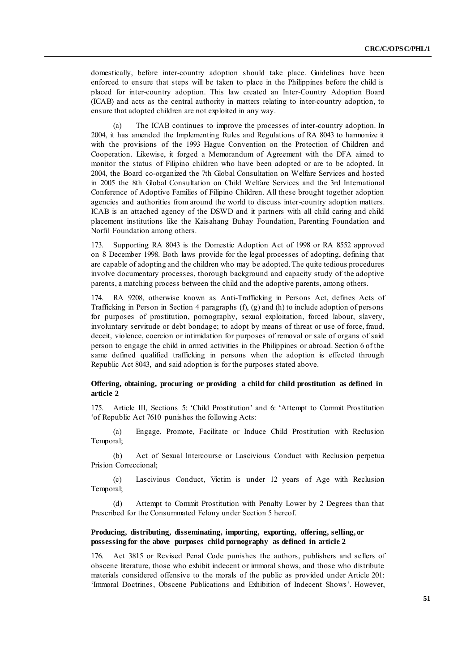domestically, before inter-country adoption should take place. Guidelines have been enforced to ensure that steps will be taken to place in the Philippines before the child is placed for inter-country adoption. This law created an Inter-Country Adoption Board (ICAB) and acts as the central authority in matters relating to inter-country adoption, to ensure that adopted children are not exploited in any way.

(a) The ICAB continues to improve the processes of inter-country adoption. In 2004, it has amended the Implementing Rules and Regulations of RA 8043 to harmonize it with the provisions of the 1993 Hague Convention on the Protection of Children and Cooperation. Likewise, it forged a Memorandum of Agreement with the DFA aimed to monitor the status of Filipino children who have been adopted or are to be adopted. In 2004, the Board co-organized the 7th Global Consultation on Welfare Services and hosted in 2005 the 8th Global Consultation on Child Welfare Services and the 3rd International Conference of Adoptive Families of Filipino Children. All these brought together adoption agencies and authorities from around the world to discuss inter-country adoption matters. ICAB is an attached agency of the DSWD and it partners with all child caring and child placement institutions like the Kaisahang Buhay Foundation, Parenting Foundation and Norfil Foundation among others.

173. Supporting RA 8043 is the Domestic Adoption Act of 1998 or RA 8552 approved on 8 December 1998. Both laws provide for the legal processes of adopting, defining that are capable of adopting and the children who may be adopted. The quite tedious procedures involve documentary processes, thorough background and capacity study of the adoptive parents, a matching process between the child and the adoptive parents, among others.

174. RA 9208, otherwise known as Anti-Trafficking in Persons Act, defines Acts of Trafficking in Person in Section 4 paragraphs (f), (g) and (h) to include adoption of persons for purposes of prostitution, pornography, sexual exploitation, forced labour, slavery, involuntary servitude or debt bondage; to adopt by means of threat or use of force, fraud, deceit, violence, coercion or intimidation for purposes of removal or sale of organs of said person to engage the child in armed activities in the Philippines or abroad. Section 6 of the same defined qualified trafficking in persons when the adoption is effected through Republic Act 8043, and said adoption is for the purposes stated above.

### **Offering, obtaining, procuring or providing a child for child prostitution as defined in article 2**

175. Article III, Sections 5: 'Child Prostitution' and 6: 'Attempt to Commit Prostitution' 'of Republic Act 7610 punishes the following Acts:

(a) Engage, Promote, Facilitate or Induce Child Prostitution with Reclusion Temporal;

(b) Act of Sexual Intercourse or Lascivious Conduct with Reclusion perpetua Prision Correccional;

(c) Lascivious Conduct, Victim is under 12 years of Age with Reclusion Temporal;

(d) Attempt to Commit Prostitution with Penalty Lower by 2 Degrees than that Prescribed for the Consummated Felony under Section 5 hereof.

### **Producing, distributing, disseminating, importing, exporting, offering, selling, or possessing for the above purposes child pornography as defined in article 2**

176. Act 3815 or Revised Penal Code punishes the authors, publishers and sellers of obscene literature, those who exhibit indecent or immoral shows, and those who distribute materials considered offensive to the morals of the public as provided under Article 201: 'Immoral Doctrines, Obscene Publications and Exhibition of Indecent Shows'. However,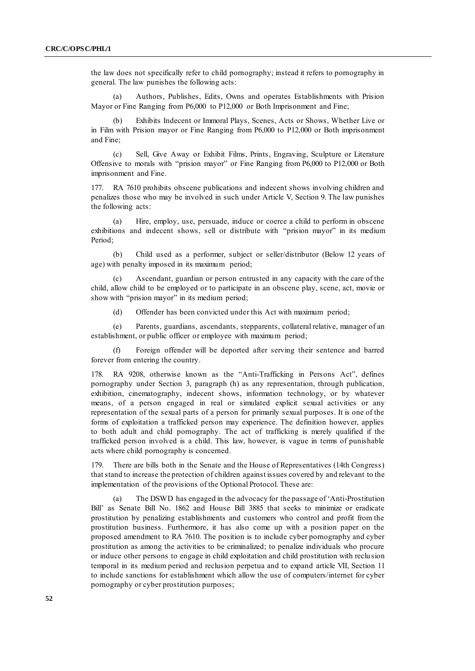the law does not specifically refer to child pornography; instead it refers to pornography in general. The law punishes the following acts:

(a) Authors, Publishes, Edits, Owns and operates Establishments with Prision Mayor or Fine Ranging from P6,000 to P12,000 or Both Imprisonment and Fine;

Exhibits Indecent or Immoral Plays, Scenes, Acts or Shows, Whether Live or in Film with Prision mayor or Fine Ranging from P6,000 to P12,000 or Both imprisonment and Fine;

(c) Sell, Give Away or Exhibit Films, Prints, Engraving, Sculpture or Literature Offensive to morals with "prision mayor" or Fine Ranging from  $P6,000$  to P12,000 or Both imprisonment and Fine.

RA 7610 prohibits obscene publications and indecent shows involving children and penalizes those who may be involved in such under Article V, Section 9. The law punishes the following acts:

(a) Hire, employ, use, persuade, induce or coerce a child to perform in obscene exhibitions and indecent shows, sell or distribute with "prision mayor" in its medium Period;

(b) Child used as a performer, subject or seller/distributor (Below 12 years of age) with penalty imposed in its maximum period;

(c) Ascendant, guardian or person entrusted in any capacity with the care of the child, allow child to be employed or to participate in an obscene play, scene, act, movie or show with "prision mayor" in its medium period;

(d) Offender has been convicted under this Act with maximum period;

(e) Parents, guardians, ascendants, stepparents, collateral relative, manager of an establishment, or public officer or employee with maximum period;

(f) Foreign offender will be deported after serving their sentence and barred forever from entering the country.

178. RA 9208, otherwise known as the "Anti-Trafficking in Persons Act", defines pornography under Section 3, paragraph (h) as any representation, through publication, exhibition, cinematography, indecent shows, information technology, or by whatever means, of a person engaged in real or simulated explicit sexual activities or any representation of the sexual parts of a person for primarily sexual purposes. It is one of the forms of exploitation a trafficked person may experience. The definition however, applies to both adult and child pornography. The act of trafficking is merely qualified if the trafficked person involved is a child. This law, however, is vague in terms of punishable acts where child pornography is concerned.

179. There are bills both in the Senate and the House of Representatives (14th Congress) that stand to increase the protection of children against issues covered by and relevant to the implementation of the provisions of the Optional Protocol. These are:

The DSWD has engaged in the advocacy for the passage of 'Anti-Prostitution Bill' as Senate Bill No. 1862 and House Bill 3885 that seeks to minimize or eradicate prostitution by penalizing establishments and customers who control and profit from the prostitution business. Furthermore, it has also come up with a position paper on the proposed amendment to RA 7610. The position is to include cyber pornography and cyber prostitution as among the activities to be criminalized; to penalize individuals who procure or induce other persons to engage in child exploitation and child prostitution with reclu sion temporal in its medium period and reclusion perpetua and to expand article VII, Section 11 to include sanctions for establishment which allow the use of computers/internet for cyber pornography or cyber prostitution purposes;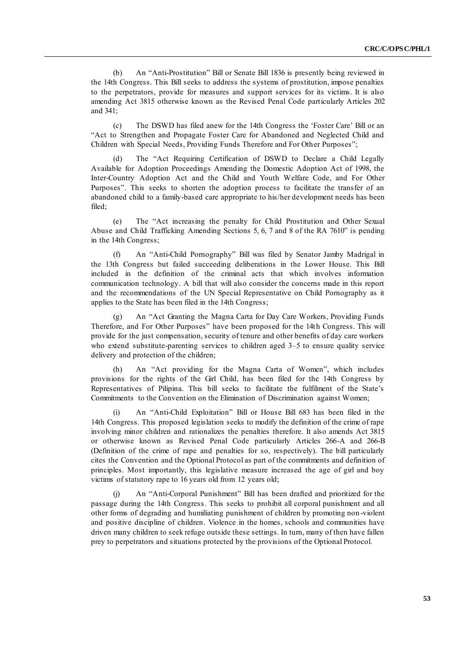(b) An "Anti-Prostitution" Bill or Senate Bill 1836 is presently being reviewed in the 14th Congress. This Bill seeks to address the systems of prostitution, impose penalties to the perpetrators, provide for measures and support services for its victims. It is also amending Act 3815 otherwise known as the Revised Penal Code particularly Articles 202 and 341;

(c) The DSWD has filed anew for the 14th Congress the ‗Foster Care' Bill or an ―Act to Strengthen and Propagate Foster Care for Abandoned and Neglected Child and Children with Special Needs, Providing Funds Therefore and For Other Purposes";

The "Act Requiring Certification of DSWD to Declare a Child Legally Available for Adoption Proceedings Amending the Domestic Adoption Act of 1998, the Inter-Country Adoption Act and the Child and Youth Welfare Code, and For Other Purposes". This seeks to shorten the adoption process to facilitate the transfer of an abandoned child to a family-based care appropriate to his/her development needs has been filed;

(e) The "Act increasing the penalty for Child Prostitution and Other Sexual Abuse and Child Trafficking Amending Sections 5, 6, 7 and 8 of the RA  $7610$ <sup>"</sup> is pending in the 14th Congress;

(f) An "Anti-Child Pornography" Bill was filed by Senator Jamby Madrigal in the 13th Congress but failed succeeding deliberations in the Lower House. This Bill included in the definition of the criminal acts that which involves information communication technology. A bill that will also consider the concerns made in this report and the recommendations of the UN Special Representative on Child Pornography as it applies to the State has been filed in the 14th Congress;

(g) An "Act Granting the Magna Carta for Day Care Workers, Providing Funds Therefore, and For Other Purposes" have been proposed for the 14th Congress. This will provide for the just compensation, security of tenure and other benefits of day care workers who extend substitute-parenting services to children aged 3–5 to ensure quality service delivery and protection of the children;

(h) An "Act providing for the Magna Carta of Women", which includes provisions for the rights of the Girl Child, has been filed for the 14th Congress by Representatives of Pilipina. This bill seeks to facilitate the fulfilment of the State's Commitments to the Convention on the Elimination of Discrimination against Women;

(i) An "Anti-Child Exploitation" Bill or House Bill 683 has been filed in the 14th Congress. This proposed legislation seeks to modify the definition of the crime of rape involving minor children and rationalizes the penalties therefore. It also amends Act 3815 or otherwise known as Revised Penal Code particularly Articles 266-A and 266-B (Definition of the crime of rape and penalties for so, respectively). The bill particularly cites the Convention and the Optional Protocol as part of the commitments and definition of principles. Most importantly, this legislative measure increased the age of girl and boy victims of statutory rape to 16 years old from 12 years old;

An "Anti-Corporal Punishment" Bill has been drafted and prioritized for the passage during the 14th Congress. This seeks to prohibit all corporal punishment and all other forms of degrading and humiliating punishment of children by promoting non -violent and positive discipline of children. Violence in the homes, schools and communities have driven many children to seek refuge outside these settings. In turn, many of then have fallen prey to perpetrators and situations protected by the provisions of the Optional Protocol.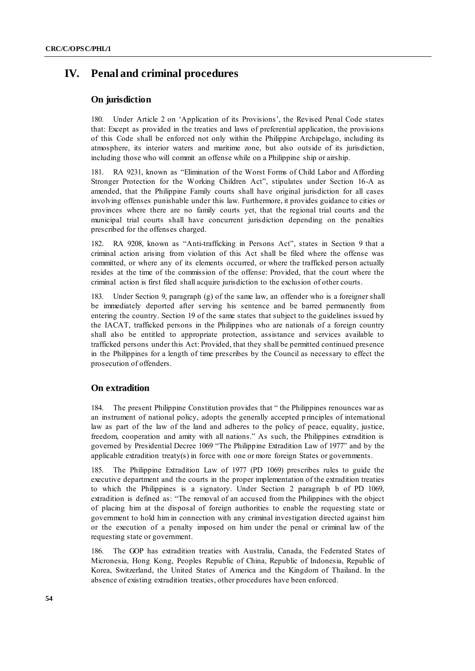# **IV. Penal and criminal procedures**

### **On jurisdiction**

180. Under Article 2 on 'Application of its Provisions', the Revised Penal Code states that: Except as provided in the treaties and laws of preferential application, the provisions of this Code shall be enforced not only within the Philippine Archipelago, including its atmosphere, its interior waters and maritime zone, but also outside of its jurisdiction, including those who will commit an offense while on a Philippine ship or airship.

181. RA 9231, known as "Elimination of the Worst Forms of Child Labor and Affording Stronger Protection for the Working Children Act", stipulates under Section 16-A as amended, that the Philippine Family courts shall have original jurisdiction for all cases involving offenses punishable under this law. Furthermore, it provides guidance to cities or provinces where there are no family courts yet, that the regional trial courts and the municipal trial courts shall have concurrent jurisdiction depending on the penalties prescribed for the offenses charged.

RA 9208, known as "Anti-trafficking in Persons Act", states in Section 9 that a criminal action arising from violation of this Act shall be filed where the offense was committed, or where any of its elements occurred, or where the trafficked person actually resides at the time of the commission of the offense: Provided, that the court where the criminal action is first filed shall acquire jurisdiction to the exclusion of other courts.

183. Under Section 9, paragraph (g) of the same law, an offender who is a foreigner shall be immediately deported after serving his sentence and be barred permanently from entering the country. Section 19 of the same states that subject to the guidelines issued by the IACAT, trafficked persons in the Philippines who are nationals of a foreign country shall also be entitled to appropriate protection, assistance and services available to trafficked persons under this Act: Provided, that they shall be permitted continued presence in the Philippines for a length of time prescribes by the Council as necessary to effect the prosecution of offenders.

### **On extradition**

184. The present Philippine Constitution provides that " the Philippines renounces war as an instrument of national policy, adopts the generally accepted principles of international law as part of the law of the land and adheres to the policy of peace, equality, justice, freedom, cooperation and amity with all nations." As such, the Philippines extradition is governed by Presidential Decree 1069 "The Philippine Extradition Law of 1977" and by the applicable extradition treaty(s) in force with one or more foreign States or governments.

185. The Philippine Extradition Law of 1977 (PD 1069) prescribes rules to guide the executive department and the courts in the proper implementation of the extradition treaties to which the Philippines is a signatory. Under Section 2 paragraph b of PD 1069, extradition is defined as: "The removal of an accused from the Philippines with the object of placing him at the disposal of foreign authorities to enable the requesting state or government to hold him in connection with any criminal investigation directed against him or the execution of a penalty imposed on him under the penal or criminal law of the requesting state or government.

186. The GOP has extradition treaties with Australia, Canada, the Federated States of Micronesia, Hong Kong, Peoples Republic of China, Republic of Indonesia, Republic of Korea, Switzerland, the United States of America and the Kingdom of Thailand. In the absence of existing extradition treaties, other procedures have been enforced.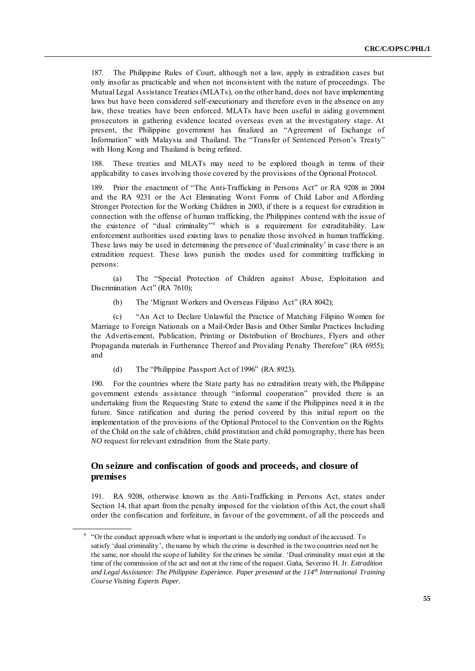187. The Philippine Rules of Court, although not a law, apply in extradition cases but only insofar as practicable and when not inconsistent with the nature of proceedings. The Mutual Legal Assistance Treaties (MLATs), on the other hand, does not have implementing laws but have been considered self-executionary and therefore even in the absence on any law, these treaties have been enforced. MLATs have been useful in aiding government prosecutors in gathering evidence located overseas even at the investigatory stage. At present, the Philippine government has finalized an "Agreement of Exchange of Information" with Malaysia and Thailand. The "Transfer of Sentenced Person's Treaty" with Hong Kong and Thailand is being refined.

188. These treaties and MLATs may need to be explored though in terms of their applicability to cases involving those covered by the provisions of the Optional Protocol.

189. Prior the enactment of "The Anti-Trafficking in Persons Act" or RA 9208 in 2004 and the RA 9231 or the Act Eliminating Worst Forms of Child Labor and Affording Stronger Protection for the Working Children in 2003, if there is a request for extradition in connection with the offense of human trafficking, the Philippines contend with the issue of the existence of "dual criminality" which is a requirement for extraditability. Law enforcement authorities used existing laws to penalize those involved in human trafficking. These laws may be used in determining the presence of 'dual criminality' in case there is an extradition request. These laws punish the modes used for committing trafficking in persons:

(a) The "Special Protection of Children against Abuse, Exploitation and Discrimination Act" (RA 7610);

(b) The 'Migrant Workers and Overseas Filipino Act'' (RA 8042);

(c) ―An Act to Declare Unlawful the Practice of Matching Filipino Women for Marriage to Foreign Nationals on a Mail-Order Basis and Other Similar Practices Including the Advertisement, Publication, Printing or Distribution of Brochures, Flyers and other Propaganda materials in Furtherance Thereof and Providing Penalty Therefore" (RA 6955); and

(d) The "Philippine Passport Act of 1996" (RA 8923).

190. For the countries where the State party has no extradition treaty with, the Philippine government extends assistance through "informal cooperation" provided there is an undertaking from the Requesting State to extend the same if the Philippines need it in the future. Since ratification and during the period covered by this initial report on the implementation of the provisions of the Optional Protocol to the Convention on the Rights of the Child on the sale of children, child prostitution and child pornography, there has been *NO* request for relevant extradition from the State party.

## **On seizure and confiscation of goods and proceeds, and closure of premises**

191. RA 9208, otherwise known as the Anti-Trafficking in Persons Act, states under Section 14, that apart from the penalty imposed for the violation of this Act, the court shall order the confiscation and forfeiture, in favour of the government, of all the proceeds and

<sup>&</sup>lt;sup>9</sup> "Or the conduct approach where what is important is the underlying conduct of the accused. To satisfy 'dual criminality', the name by which the crime is described in the two countries need not be the same, nor should the scope of liability for the crimes be similar. ‗Dual criminality must exist at the time of the commission of the act and not at the time of the request. Gaňa, Severino H. Jr. *Extradition and Legal Assistance: The Philippine Experience. Paper presented at the 114th International Training Course Visiting Experts Paper.*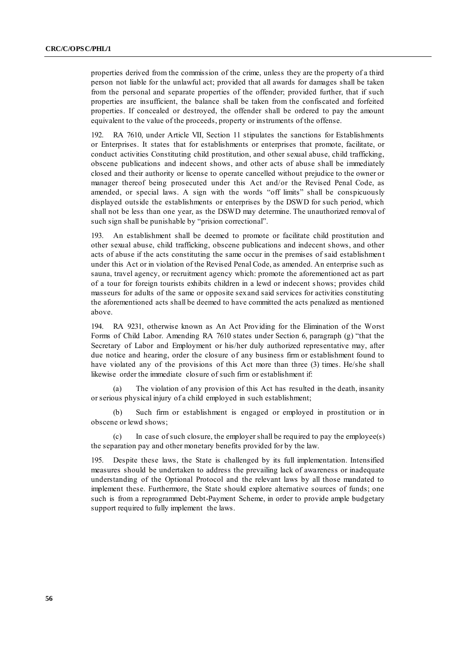properties derived from the commission of the crime, unless they are the property of a third person not liable for the unlawful act; provided that all awards for damages shall be taken from the personal and separate properties of the offender; provided further, that if such properties are insufficient, the balance shall be taken from the confiscated and forfeited properties. If concealed or destroyed, the offender shall be ordered to pay the amount equivalent to the value of the proceeds, property or instruments of the offense.

192. RA 7610, under Article VII, Section 11 stipulates the sanctions for Establishments or Enterprises. It states that for establishments or enterprises that promote, facilitate, or conduct activities Constituting child prostitution, and other sexual abuse, child trafficking, obscene publications and indecent shows, and other acts of abuse shall be immediately closed and their authority or license to operate cancelled without prejudice to the owner or manager thereof being prosecuted under this Act and/or the Revised Penal Code, as amended, or special laws. A sign with the words "off limits" shall be conspicuously displayed outside the establishments or enterprises by the DSWD for such period, which shall not be less than one year, as the DSWD may determine. The unauthorized removal of such sign shall be punishable by "prision correctional".

193. An establishment shall be deemed to promote or facilitate child prostitution and other sexual abuse, child trafficking, obscene publications and indecent shows, and other acts of abuse if the acts constituting the same occur in the premises of said establishmen t under this Act or in violation of the Revised Penal Code, as amended. An enterprise such as sauna, travel agency, or recruitment agency which: promote the aforementioned act as part of a tour for foreign tourists exhibits children in a lewd or indecent s hows; provides child masseurs for adults of the same or opposite sex and said services for activities constituting the aforementioned acts shall be deemed to have committed the acts penalized as mentioned above.

194. RA 9231, otherwise known as An Act Providing for the Elimination of the Worst Forms of Child Labor. Amending RA  $7610$  states under Section 6, paragraph (g) "that the Secretary of Labor and Employment or his/her duly authorized representative may, after due notice and hearing, order the closure of any business firm or establishment found to have violated any of the provisions of this Act more than three (3) times. He/she shall likewise order the immediate closure of such firm or establishment if:

The violation of any provision of this Act has resulted in the death, insanity or serious physical injury of a child employed in such establishment;

(b) Such firm or establishment is engaged or employed in prostitution or in obscene or lewd shows;

(c) In case of such closure, the employer shall be required to pay the employee(s) the separation pay and other monetary benefits provided for by the law.

195. Despite these laws, the State is challenged by its full implementation. Intensified measures should be undertaken to address the prevailing lack of awareness or inadequate understanding of the Optional Protocol and the relevant laws by all those mandated to implement these. Furthermore, the State should explore alternative sources of funds; one such is from a reprogrammed Debt-Payment Scheme, in order to provide ample budgetary support required to fully implement the laws.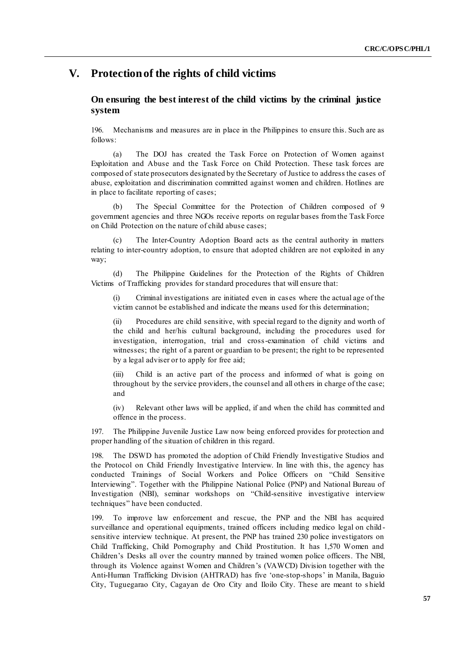# **V. Protection of the rights of child victims**

## **On ensuring the best interest of the child victims by the criminal justice system**

196. Mechanisms and measures are in place in the Philippines to ensure this. Such are as follows:

(a) The DOJ has created the Task Force on Protection of Women against Exploitation and Abuse and the Task Force on Child Protection. These task forces are composed of state prosecutors designated by the Secretary of Justice to address the cases of abuse, exploitation and discrimination committed against women and children. Hotlines are in place to facilitate reporting of cases;

(b) The Special Committee for the Protection of Children composed of 9 government agencies and three NGOs receive reports on regular bases from the Task Force on Child Protection on the nature of child abuse cases;

(c) The Inter-Country Adoption Board acts as the central authority in matters relating to inter-country adoption, to ensure that adopted children are not exploited in any way;

(d) The Philippine Guidelines for the Protection of the Rights of Children Victims of Trafficking provides for standard procedures that will ensure that:

(i) Criminal investigations are initiated even in cas es where the actual age of the victim cannot be established and indicate the means used for this determination;

(ii) Procedures are child sensitive, with special regard to the dignity and worth of the child and her/his cultural background, including the procedures used for investigation, interrogation, trial and cross-examination of child victims and witnesses; the right of a parent or guardian to be present; the right to be represented by a legal adviser or to apply for free aid;

(iii) Child is an active part of the process and informed of what is going on throughout by the service providers, the counsel and all others in charge of the case; and

(iv) Relevant other laws will be applied, if and when the child has committed and offence in the process.

197. The Philippine Juvenile Justice Law now being enforced provides for protection and proper handling of the situation of children in this regard.

The DSWD has promoted the adoption of Child Friendly Investigative Studios and the Protocol on Child Friendly Investigative Interview. In line with this, the agency has conducted Trainings of Social Workers and Police Officers on "Child Sensitive Interviewing". Together with the Philippine National Police (PNP) and National Bureau of Investigation (NBI), seminar workshops on "Child-sensitive investigative interview techniques" have been conducted.

199. To improve law enforcement and rescue, the PNP and the NBI has acquired surveillance and operational equipments, trained officers including medico legal on child sensitive interview technique. At present, the PNP has trained 230 police investigators on Child Trafficking, Child Pornography and Child Prostitution. It has 1,570 Women and Children's Desks all over the country manned by trained women police officers. The NBI, through its Violence against Women and Children's (VAWCD) Division together with the Anti-Human Trafficking Division (AHTRAD) has five 'one-stop-shops' in Manila, Baguio City, Tuguegarao City, Cagayan de Oro City and Iloilo City. These are meant to s hield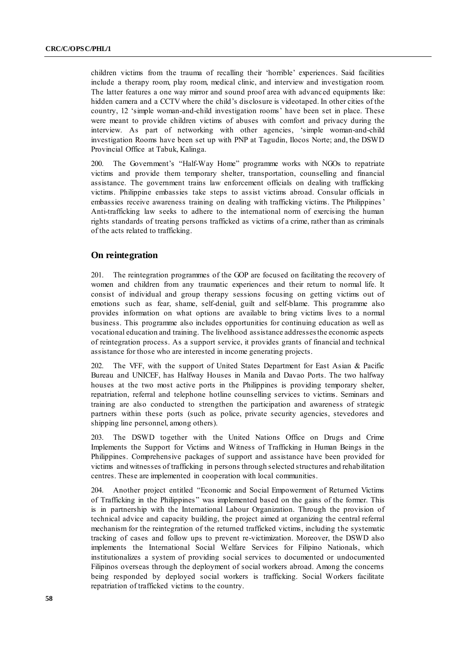children victims from the trauma of recalling their ‗horrible' experiences. Said facilities include a therapy room, play room, medical clinic, and interview and investigation room. The latter features a one way mirror and sound proof area with advanced equipments like: hidden camera and a CCTV where the child's disclosure is videotaped. In other cities of the country, 12 'simple woman-and-child investigation rooms' have been set in place. These were meant to provide children victims of abuses with comfort and privacy during the interview. As part of networking with other agencies, 'simple woman-and-child investigation Rooms have been set up with PNP at Tagudin, Ilocos Norte; and, the DSWD Provincial Office at Tabuk, Kalinga.

200. The Government's "Half-Way Home" programme works with NGOs to repatriate victims and provide them temporary shelter, transportation, counselling and financial assistance. The government trains law enforcement officials on dealing with trafficking victims. Philippine embassies take steps to assist victims abroad. Consular officials in embassies receive awareness training on dealing with trafficking victims. The Philippines' Anti-trafficking law seeks to adhere to the international norm of exercising the human rights standards of treating persons trafficked as victims of a crime, rather than as criminals of the acts related to trafficking.

### **On reintegration**

201. The reintegration programmes of the GOP are focused on facilitating the recovery of women and children from any traumatic experiences and their return to normal life. It consist of individual and group therapy sessions focusing on getting victims out of emotions such as fear, shame, self-denial, guilt and self-blame. This programme also provides information on what options are available to bring victims lives to a normal business. This programme also includes opportunities for continuing education as well as vocational education and training. The livelihood assistance addresses the economic aspects of reintegration process. As a support service, it provides grants of financial and technical assistance for those who are interested in income generating projects.

202. The VFF, with the support of United States Department for East Asian & Pacific Bureau and UNICEF, has Halfway Houses in Manila and Davao Ports. The two halfway houses at the two most active ports in the Philippines is providing temporary shelter, repatriation, referral and telephone hotline counselling services to victims. Seminars and training are also conducted to strengthen the participation and awareness of strategic partners within these ports (such as police, private security agencies, stevedores and shipping line personnel, among others).

203. The DSWD together with the United Nations Office on Drugs and Crime Implements the Support for Victims and Witness of Trafficking in Human Beings in the Philippines. Comprehensive packages of support and assistance have been provided for victims and witnesses of trafficking in persons through selected structures and rehab ilitation centres. These are implemented in cooperation with local communities.

204. Another project entitled "Economic and Social Empowerment of Returned Victims of Trafficking in the Philippines" was implemented based on the gains of the former. This is in partnership with the International Labour Organization. Through the provision of technical advice and capacity building, the project aimed at organizing the central referral mechanism for the reintegration of the returned trafficked victims, including the systematic tracking of cases and follow ups to prevent re-victimization. Moreover, the DSWD also implements the International Social Welfare Services for Filipino Nationals, which institutionalizes a system of providing social services to documented or undocumented Filipinos overseas through the deployment of social workers abroad. Among the concerns being responded by deployed social workers is trafficking. Social Workers facilitate repatriation of trafficked victims to the country.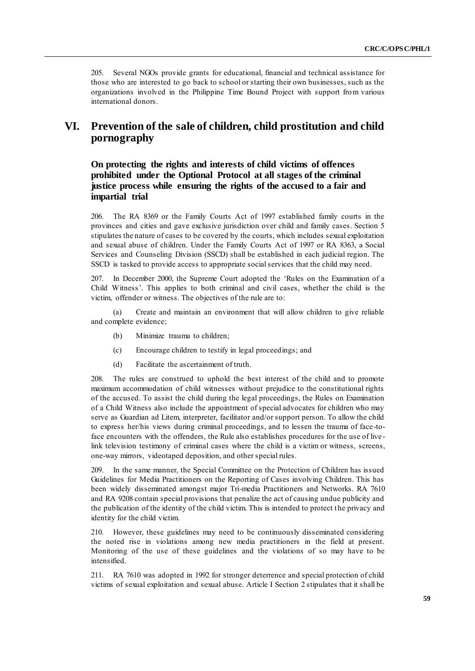205. Several NGOs provide grants for educational, financial and technical assistance for those who are interested to go back to school or starting their own businesses, such as the organizations involved in the Philippine Time Bound Project with support from various international donors.

# **VI. Prevention of the sale of children, child prostitution and child pornography**

**On protecting the rights and interests of child victims of offences prohibited under the Optional Protocol at all stages of the criminal justice process while ensuring the rights of the accused to a fair and impartial trial**

206. The RA 8369 or the Family Courts Act of 1997 established family courts in the provinces and cities and gave exclusive jurisdiction over child and family cases. Section 5 stipulates the nature of cases to be covered by the courts, which includes sexual exploitation and sexual abuse of children. Under the Family Courts Act of 1997 or RA 8363, a Social Services and Counseling Division (SSCD) shall be established in each judicial region. The SSCD is tasked to provide access to appropriate social services that the child may need.

207. In December 2000, the Supreme Court adopted the 'Rules on the Examination of a Child Witness'. This applies to both criminal and civil cases, whether the child is the victim, offender or witness. The objectives of the rule are to:

(a) Create and maintain an environment that will allow children to give reliable and complete evidence;

- (b) Minimize trauma to children;
- (c) Encourage children to testify in legal proceedings; and
- (d) Facilitate the ascertainment of truth.

208. The rules are construed to uphold the best interest of the child and to promote maximum accommodation of child witnesses without prejudice to the constitutional rights of the accused. To assist the child during the legal proceedings, the Rules on Examination of a Child Witness also include the appointment of special advocates for children who may serve as Guardian ad Litem, interpreter, facilitator and/or support person. To allow the child to express her/his views during criminal proceedings, and to lessen the trauma of face-toface encounters with the offenders, the Rule also establishes procedures for the use of live link television testimony of criminal cases where the child is a victim or witness, screens, one-way mirrors, videotaped deposition, and other special rules.

209. In the same manner, the Special Committee on the Protection of Children has issued Guidelines for Media Practitioners on the Reporting of Cases involving Children. This has been widely disseminated amongst major Tri-media Practitioners and Networks. RA 7610 and RA 9208 contain special provisions that penalize the act of causing undue publicity and the publication of the identity of the child victim. This is intended to protect the privacy and identity for the child victim.

210. However, these guidelines may need to be continuously disseminated considering the noted rise in violations among new media practitioners in the field at present. Monitoring of the use of these guidelines and the violations of so may have to be intensified.

211. RA 7610 was adopted in 1992 for stronger deterrence and special protection of child victims of sexual exploitation and sexual abuse. Article I Section 2 stipulates that it shall be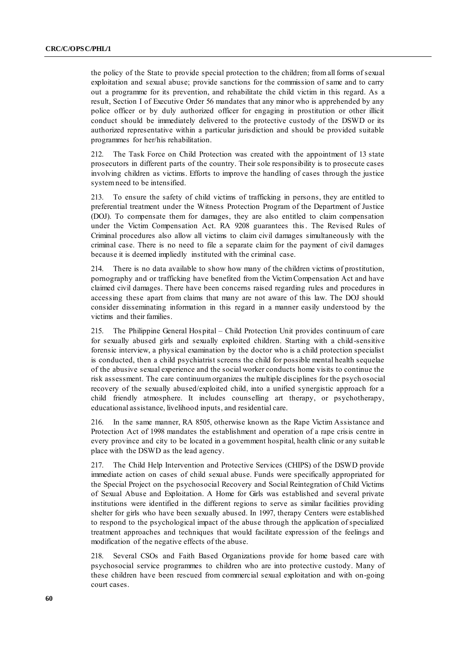the policy of the State to provide special protection to the children; from all forms of sexual exploitation and sexual abuse; provide sanctions for the commission of same and to carry out a programme for its prevention, and rehabilitate the child victim in this regard. As a result, Section I of Executive Order 56 mandates that any minor who is apprehended by any police officer or by duly authorized officer for engaging in prostitution or other illicit conduct should be immediately delivered to the protective custody of the DSWD or its authorized representative within a particular jurisdiction and should be provided suitable programmes for her/his rehabilitation.

212. The Task Force on Child Protection was created with the appointment of 13 state prosecutors in different parts of the country. Their sole responsibility is to prosecute cases involving children as victims. Efforts to improve the handling of cases through the justice system need to be intensified.

213. To ensure the safety of child victims of trafficking in persons, they are entitled to preferential treatment under the Witness Protection Program of the Department of Justice (DOJ). To compensate them for damages, they are also entitled to claim compensation under the Victim Compensation Act. RA 9208 guarantees this. The Revised Rules of Criminal procedures also allow all victims to claim civil damages simultaneously with the criminal case. There is no need to file a separate claim for the payment of civil damages because it is deemed impliedly instituted with the criminal case.

214. There is no data available to show how many of the children victims of prostitution, pornography and or trafficking have benefited from the Victim Compensation Act and have claimed civil damages. There have been concerns raised regarding rules and procedures in accessing these apart from claims that many are not aware of this law. The DOJ should consider disseminating information in this regard in a manner easily understood by the victims and their families.

215. The Philippine General Hospital – Child Protection Unit provides continuum of care for sexually abused girls and sexually exploited children. Starting with a child -sensitive forensic interview, a physical examination by the doctor who is a child protection specialist is conducted, then a child psychiatrist screens the child for possible mental health sequelae of the abusive sexual experience and the social worker conducts home visits to continue the risk assessment. The care continuum organizes the multiple disciplines for the psych osocial recovery of the sexually abused/exploited child, into a unified synergistic approach for a child friendly atmosphere. It includes counselling art therapy, or psychotherapy, educational assistance, livelihood inputs, and residential care.

216. In the same manner, RA 8505, otherwise known as the Rape Victim Assistance and Protection Act of 1998 mandates the establishment and operation of a rape crisis centre in every province and city to be located in a government hospital, health clinic or any suitab le place with the DSWD as the lead agency.

217. The Child Help Intervention and Protective Services (CHIPS) of the DSWD provide immediate action on cases of child sexual abuse. Funds were specifically appropriated for the Special Project on the psychosocial Recovery and Social Reintegration of Child Victims of Sexual Abuse and Exploitation. A Home for Girls was established and several private institutions were identified in the different regions to serve as similar facilities providing shelter for girls who have been sexually abused. In 1997, therapy Centers were established to respond to the psychological impact of the abuse through the application of specialized treatment approaches and techniques that would facilitate expression of the feelings and modification of the negative effects of the abuse.

218. Several CSOs and Faith Based Organizations provide for home based care with psychosocial service programmes to children who are into protective custody. Many of these children have been rescued from commercial sexual exploitation and with on-going court cases.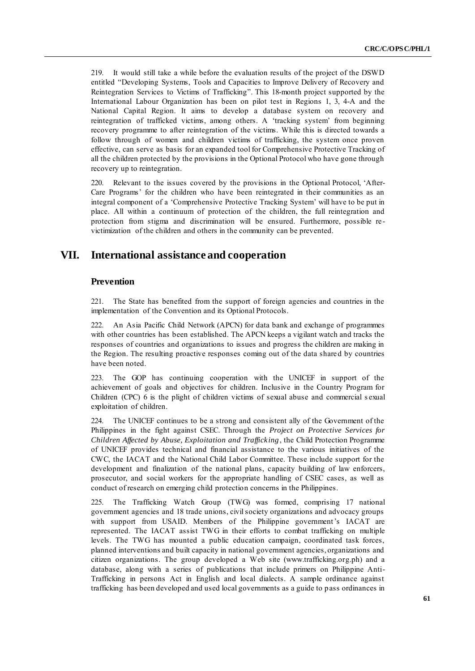219. It would still take a while before the evaluation results of the project of the DSWD entitled "Developing Systems, Tools and Capacities to Improve Delivery of Recovery and Reintegration Services to Victims of Trafficking". This 18-month project supported by the International Labour Organization has been on pilot test in Regions 1, 3, 4-A and the National Capital Region. It aims to develop a database system on recovery and reintegration of trafficked victims, among others. A ‗tracking system' from beginning recovery programme to after reintegration of the victims. While this is directed towards a follow through of women and children victims of trafficking, the system once proven effective, can serve as basis for an expanded tool for Comprehensive Protective Tracking of all the children protected by the provisions in the Optional Protocol who have gone through recovery up to reintegration.

220. Relevant to the issues covered by the provisions in the Optional Protocol, 'After-Care Programs' for the children who have been reintegrated in their communities as an integral component of a ‗Comprehensive Protective Tracking System' will have to be put in place. All within a continuum of protection of the children, the full reintegration and protection from stigma and discrimination will be ensured. Furthermore, possible re victimization of the children and others in the community can be prevented.

## **VII. International assistance and cooperation**

### **Prevention**

221. The State has benefited from the support of foreign agencies and countries in the implementation of the Convention and its Optional Protocols.

222. An Asia Pacific Child Network (APCN) for data bank and exchange of programmes with other countries has been established. The APCN keeps a vigilant watch and tracks the responses of countries and organizations to issues and progress the children are making in the Region. The resulting proactive responses coming out of the data shared by countries have been noted.

223. The GOP has continuing cooperation with the UNICEF in support of the achievement of goals and objectives for children. Inclusive in the Country Program for Children (CPC) 6 is the plight of children victims of sexual abuse and commercial s exual exploitation of children.

224. The UNICEF continues to be a strong and consistent ally of the Government of the Philippines in the fight against CSEC. Through the *Project on Protective Services for Children Affected by Abuse, Exploitation and Trafficking*, the Child Protection Programme of UNICEF provides technical and financial assistance to the various initiatives of the CWC, the IACAT and the National Child Labor Committee. These include support for the development and finalization of the national plans, capacity building of law enforcers, prosecutor, and social workers for the appropriate handling of CSEC cases, as well as conduct of research on emerging child protection concerns in the Philippines.

225. The Trafficking Watch Group (TWG) was formed, comprising 17 national government agencies and 18 trade unions, civil society organizations and advocacy groups with support from USAID. Members of the Philippine government's IACAT are represented. The IACAT assist TWG in their efforts to combat trafficking on multiple levels. The TWG has mounted a public education campaign, coordinated task forces, planned interventions and built capacity in national government agencies, organizations and citizen organizations. The group developed a Web site (www.trafficking.org.ph) and a database, along with a series of publications that include primers on Philippine Anti-Trafficking in persons Act in English and local dialects. A sample ordinance against trafficking has been developed and used local governments as a guide to pass ordinances in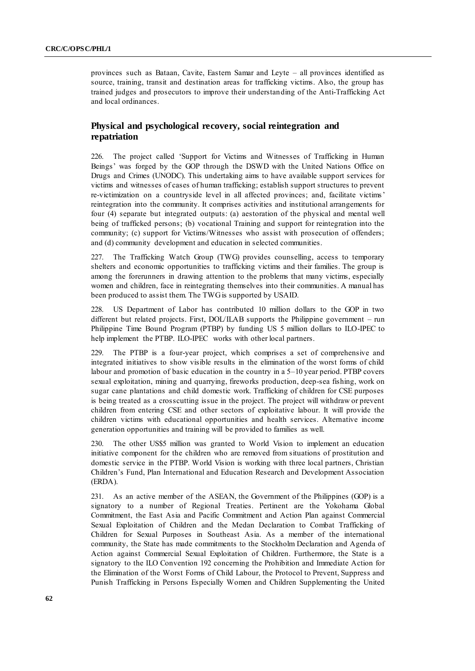provinces such as Bataan, Cavite, Eastern Samar and Leyte – all provinces identified as source, training, transit and destination areas for trafficking victims. Also, the group has trained judges and prosecutors to improve their understanding of the Anti-Trafficking Act and local ordinances.

## **Physical and psychological recovery, social reintegration and repatriation**

226. The project called ‗Support for Victims and Witnesses of Trafficking in Human Beings' was forged by the GOP through the DSWD with the United Nations Office on Drugs and Crimes (UNODC). This undertaking aims to have available support services for victims and witnesses of cases of human trafficking; establish support structures to prevent re-victimization on a countryside level in all affected provinces; and, facilitate victims' reintegration into the community. It comprises activities and institutional arrangements for four (4) separate but integrated outputs: (a) aestoration of the physical and mental well being of trafficked persons; (b) vocational Training and support for reintegration into the community; (c) support for Victims/Witnesses who assist with prosecution of offenders; and (d) community development and education in selected communities.

227. The Trafficking Watch Group (TWG) provides counselling, access to temporary shelters and economic opportunities to trafficking victims and their families. The group is among the forerunners in drawing attention to the problems that many victims, especially women and children, face in reintegrating themselves into their communities. A manual has been produced to assist them. The TWG is supported by USAID.

228. US Department of Labor has contributed 10 million dollars to the GOP in two different but related projects. First, DOL/ILAB supports the Philippine government – run Philippine Time Bound Program (PTBP) by funding US 5 million dollars to ILO-IPEC to help implement the PTBP. ILO-IPEC works with other local partners.

229. The PTBP is a four-year project, which comprises a set of comprehensive and integrated initiatives to show visible results in the elimination of the worst forms of child labour and promotion of basic education in the country in a 5–10 year period. PTBP covers sexual exploitation, mining and quarrying, fireworks production, deep-sea fishing, work on sugar cane plantations and child domestic work. Trafficking of children for CSE purposes is being treated as a crosscutting issue in the project. The project will withdraw or prevent children from entering CSE and other sectors of exploitative labour. It will provide the children victims with educational opportunities and health services. Alternative income generation opportunities and training will be provided to families as well.

230. The other US\$5 million was granted to World Vision to implement an education initiative component for the children who are removed from situations of prostitution and domestic service in the PTBP. World Vision is working with three local partners, Christian Children's Fund, Plan International and Education Research and Development Association (ERDA).

231. As an active member of the ASEAN, the Government of the Philippines (GOP) is a signatory to a number of Regional Treaties. Pertinent are the Yokohama Global Commitment, the East Asia and Pacific Commitment and Action Plan against Commercial Sexual Exploitation of Children and the Medan Declaration to Combat Trafficking of Children for Sexual Purposes in Southeast Asia. As a member of the international community, the State has made commitments to the Stockholm Declaration and Agenda of Action against Commercial Sexual Exploitation of Children. Furthermore, the State is a signatory to the ILO Convention 192 concerning the Prohibition and Immediate Action for the Elimination of the Worst Forms of Child Labour, the Protocol to Prevent, Suppress and Punish Trafficking in Persons Especially Women and Children Supplementing the United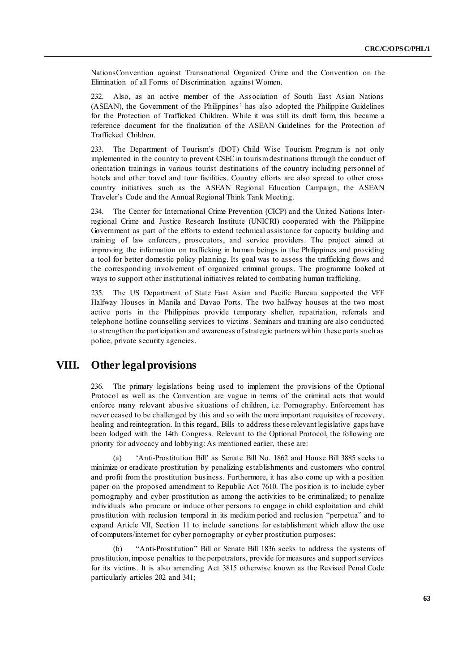NationsConvention against Transnational Organized Crime and the Convention on the Elimination of all Forms of Discrimination against Women.

232. Also, as an active member of the Association of South East Asian Nations (ASEAN), the Government of the Philippines' has also adopted the Philippine Guidelines for the Protection of Trafficked Children. While it was still its draft form, this became a reference document for the finalization of the ASEAN Guidelines for the Protection of Trafficked Children.

233. The Department of Tourism's (DOT) Child Wise Tourism Program is not only implemented in the country to prevent CSEC in tourism destinations through the conduct of orientation trainings in various tourist destinations of the country including personnel of hotels and other travel and tour facilities. Country efforts are also spread to other cross country initiatives such as the ASEAN Regional Education Campaign, the ASEAN Traveler's Code and the Annual Regional Think Tank Meeting.

234. The Center for International Crime Prevention (CICP) and the United Nations Interregional Crime and Justice Research Institute (UNICRI) cooperated with the Philippine Government as part of the efforts to extend technical assistance for capacity building and training of law enforcers, prosecutors, and service providers. The project aimed at improving the information on trafficking in human beings in the Philippines and providing a tool for better domestic policy planning. Its goal was to assess the trafficking flows and the corresponding involvement of organized criminal groups. The programme looked at ways to support other institutional initiatives related to combating human trafficking.

235. The US Department of State East Asian and Pacific Bureau supported the VFF Halfway Houses in Manila and Davao Ports. The two halfway houses at the two most active ports in the Philippines provide temporary shelter, repatriation, referrals and telephone hotline counselling services to victims. Seminars and training are also conducted to strengthen the participation and awareness of strategic partners within these ports such as police, private security agencies.

## **VIII. Other legal provisions**

236. The primary legislations being used to implement the provisions of the Optional Protocol as well as the Convention are vague in terms of the criminal acts that would enforce many relevant abusive situations of children, i.e. Pornography. Enforcement has never ceased to be challenged by this and so with the more important requisites of recovery, healing and reintegration. In this regard, Bills to address these relevant legislative gaps have been lodged with the 14th Congress. Relevant to the Optional Protocol, the following are priority for advocacy and lobbying: As mentioned earlier, these are:

'Anti-Prostitution Bill' as Senate Bill No. 1862 and House Bill 3885 seeks to minimize or eradicate prostitution by penalizing establishments and customers who control and profit from the prostitution business. Furthermore, it has also come up with a position paper on the proposed amendment to Republic Act 7610. The position is to include cyber pornography and cyber prostitution as among the activities to be criminalized; to penalize individuals who procure or induce other persons to engage in child exploitation and child prostitution with reclusion temporal in its medium period and reclusion "perpetua" and to expand Article VII, Section 11 to include sanctions for establishment which allow the use of computers/internet for cyber pornography or cyber prostitution purposes;

(b) "Anti-Prostitution" Bill or Senate Bill 1836 seeks to address the systems of prostitution, impose penalties to the perpetrators, provide for measures and support services for its victims. It is also amending Act 3815 otherwise known as the Revised Penal Code particularly articles 202 and 341;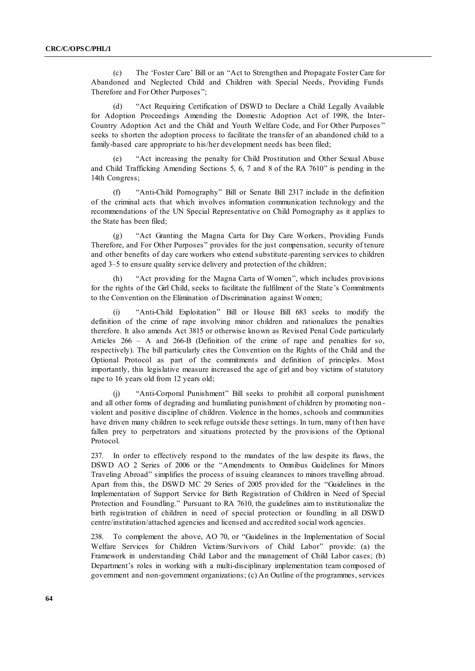(c) The 'Foster Care' Bill or an "Act to Strengthen and Propagate Foster Care for Abandoned and Neglected Child and Children with Special Needs, Providing Funds Therefore and For Other Purposes";

"Act Requiring Certification of DSWD to Declare a Child Legally Available for Adoption Proceedings Amending the Domestic Adoption Act of 1998, the Inter-Country Adoption Act and the Child and Youth Welfare Code, and For Other Purposes" seeks to shorten the adoption process to facilitate the transfer of an abandoned child to a family-based care appropriate to his/her development needs has been filed;

"Act increasing the penalty for Child Prostitution and Other Sexual Abuse and Child Trafficking Amending Sections 5, 6, 7 and 8 of the RA  $7610$ " is pending in the 14th Congress;

(f) "Anti-Child Pornography" Bill or Senate Bill 2317 include in the definition of the criminal acts that which involves information communication technology and the recommendations of the UN Special Representative on Child Pornography as it applies to the State has been filed;

(g) "Act Granting the Magna Carta for Day Care Workers, Providing Funds Therefore, and For Other Purposes" provides for the just compensation, security of tenure and other benefits of day care workers who extend substitute-parenting services to children aged 3–5 to ensure quality service delivery and protection of the children;

(h)  $"Act$  providing for the Magna Carta of Women", which includes provisions for the rights of the Girl Child, seeks to facilitate the fulfilment of the State's Commitments to the Convention on the Elimination of Discrimination against Women;

"Anti-Child Exploitation" Bill or House Bill 683 seeks to modify the definition of the crime of rape involving minor children and rationalizes the penalties therefore. It also amends Act 3815 or otherwise known as Revised Penal Code particularly Articles 266 – A and 266-B (Definition of the crime of rape and penalties for so, respectively). The bill particularly cites the Convention on the Rights of the Child and the Optional Protocol as part of the commitments and definition of principles. Most importantly, this legislative measure increased the age of girl and boy victims of statutory rape to 16 years old from 12 years old;

(j) "Anti-Corporal Punishment" Bill seeks to prohibit all corporal punishment and all other forms of degrading and humiliating punishment of children by promoting non violent and positive discipline of children. Violence in the homes, schools and communities have driven many children to seek refuge outside these settings. In turn, many of then have fallen prey to perpetrators and situations protected by the provisions of the Optional Protocol.

237. In order to effectively respond to the mandates of the law despite its flaws, the DSWD AO 2 Series of 2006 or the "Amendments to Omnibus Guidelines for Minors Traveling Abroad" simplifies the process of issuing clearances to minors travelling abroad. Apart from this, the DSWD MC 29 Series of 2005 provided for the "Guidelines in the Implementation of Support Service for Birth Registration of Children in Need of Special Protection and Foundling." Pursuant to RA 7610, the guidelines aim to institutionalize the birth registration of children in need of special protection or foundling in all DSWD centre/institution/attached agencies and licensed and accredited social work agencies.

238. To complement the above, AO 70, or "Guidelines in the Implementation of Social Welfare Services for Children Victims/Survivors of Child Labor" provide: (a) the Framework in understanding Child Labor and the management of Child Labor cases; (b) Department's roles in working with a multi-disciplinary implementation team composed of government and non-government organizations; (c) An Outline of the programmes, services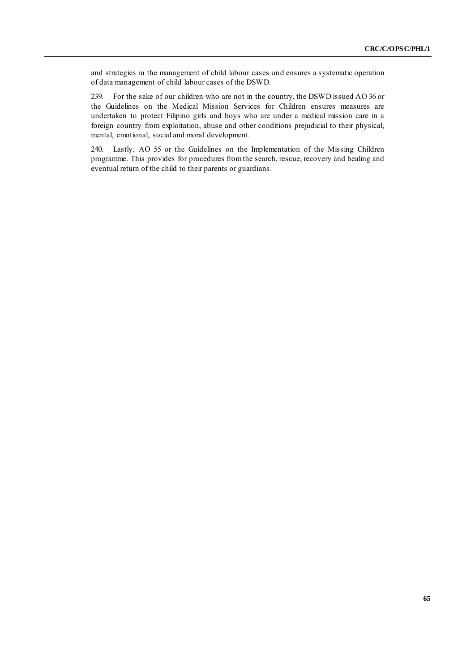and strategies in the management of child labour cases and ensures a systematic operation of data management of child labour cases of the DSWD.

239. For the sake of our children who are not in the country, the DSWD issued AO 36 or the Guidelines on the Medical Mission Services for Children ensures measures are undertaken to protect Filipino girls and boys who are under a medical mission care in a foreign country from exploitation, abuse and other conditions prejudicial to their physical, mental, emotional, social and moral development.

240. Lastly, AO 55 or the Guidelines on the Implementation of the Missing Children programme. This provides for procedures from the search, rescue, recovery and healing and eventual return of the child to their parents or guardians.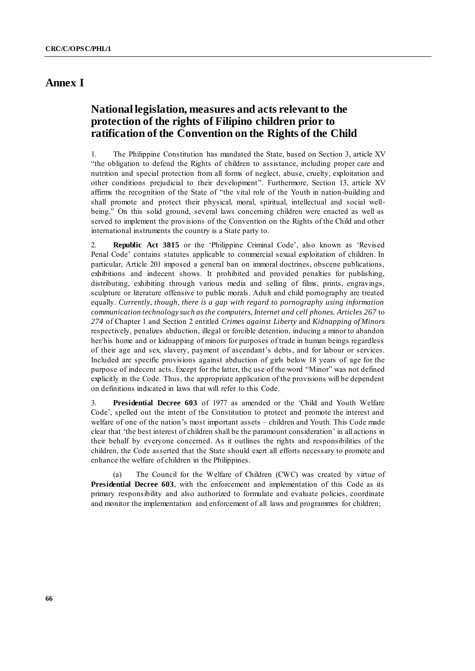# **Annex I**

# **National legislation, measures and acts relevant to the protection of the rights of Filipino children prior to ratification of the Convention on the Rights of the Child**

1. The Philippine Constitution has mandated the State, based on Section 3, article XV ―the obligation to defend the Rights of children to assistance, including proper care and nutrition and special protection from all forms of neglect, abuse, cruelty, exploitation and other conditions prejudicial to their development". Furthermore, Section 13, article XV affirms the recognition of the State of "the vital role of the Youth in nation-building and shall promote and protect their physical, moral, spiritual, intellectual and social wellbeing." On this solid ground, several laws concerning children were enacted as well as served to implement the provisions of the Convention on the Rights of the Child and other international instruments the country is a State party to.

2. **Republic Act 3815** or the 'Philippine Criminal Code', also known as 'Revised Penal Code' contains statutes applicable to commercial sexual exploitation of children. In particular, Article 201 imposed a general ban on immoral doctrines, obscene publications, exhibitions and indecent shows. It prohibited and provided penalties for publishing, distributing, exhibiting through various media and selling of films, prints, engravings, sculpture or literature offensive to public morals. Adult and child pornography are treated equally. *Currently, though, there is a gap with regard to pornography using information communication technology such as the computers, Internet and cell phones. Articles 267* to *274* of Chapter 1 and Section 2 entitled *Crimes against Liberty* and *Kidnapping of Minors* respectively, penalizes abduction, illegal or forcible detention, inducing a minor to abandon her/his home and or kidnapping of minors for purposes of trade in human beings regardless of their age and sex, slavery, payment of ascendant's debts, and for labour or services. Included are specific provisions against abduction of girls below 18 years of age for the purpose of indecent acts. Except for the latter, the use of the word "Minor" was not defined explicitly in the Code. Thus, the appropriate application of the provisions will be dependent on definitions indicated in laws that will refer to this Code.

3. **Presidential Decree 603** of 1977 as amended or the ‗Child and Youth Welfare Code', spelled out the intent of the Constitution to protect and promote the interest and welfare of one of the nation's most important assets – children and Youth. This Code made clear that 'the best interest of children shall be the paramount consideration' in all actions in their behalf by everyone concerned. As it outlines the rights and responsibilities of the children, the Code asserted that the State should exert all efforts necessary to promote and enhance the welfare of children in the Philippines.

(a) The Council for the Welfare of Children (CWC) was created by virtue of **Presidential Decree 603**, with the enforcement and implementation of this Code as its primary responsibility and also authorized to formulate and evaluate policies, coordinate and monitor the implementation and enforcement of all laws and programmes for children;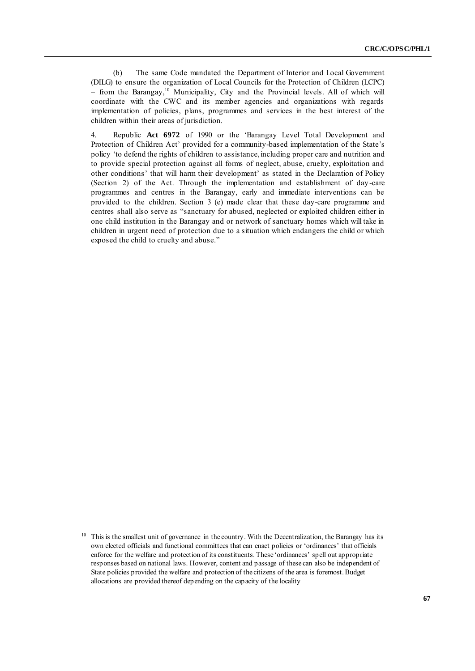(b) The same Code mandated the Department of Interior and Local Government (DILG) to ensure the organization of Local Councils for the Protection of Children (LCPC)  $-$  from the Barangay,<sup>10</sup> Municipality, City and the Provincial levels. All of which will coordinate with the CWC and its member agencies and organizations with regards implementation of policies, plans, programmes and services in the best interest of the children within their areas of jurisdiction.

4. Republic Act 6972 of 1990 or the 'Barangay Level Total Development and Protection of Children Act' provided for a community-based implementation of the State's policy ‗to defend the rights of children to assistance, including proper care and nutrition and to provide special protection against all forms of neglect, abuse, cruelty, exploitation and other conditions' that will harm their development' as stated in the Declaration of Policy (Section 2) of the Act. Through the implementation and establishment of day -care programmes and centres in the Barangay, early and immediate interventions can be provided to the children. Section 3 (e) made clear that these day-care programme and centres shall also serve as "sanctuary for abused, neglected or exploited children either in one child institution in the Barangay and or network of sanctuary homes which will take in children in urgent need of protection due to a situation which endangers the child or which exposed the child to cruelty and abuse."

<sup>&</sup>lt;sup>10</sup> This is the smallest unit of governance in the country. With the Decentralization, the Barangay has its own elected officials and functional committees that can enact policies or ‗ordinances' that officials enforce for the welfare and protection of its constituents. These 'ordinances' spell out appropriate responses based on national laws. However, content and passage of these can also be independent of State policies provided the welfare and protection of the citizens of the area is foremost. Budget allocations are provided thereof depending on the capacity of the locality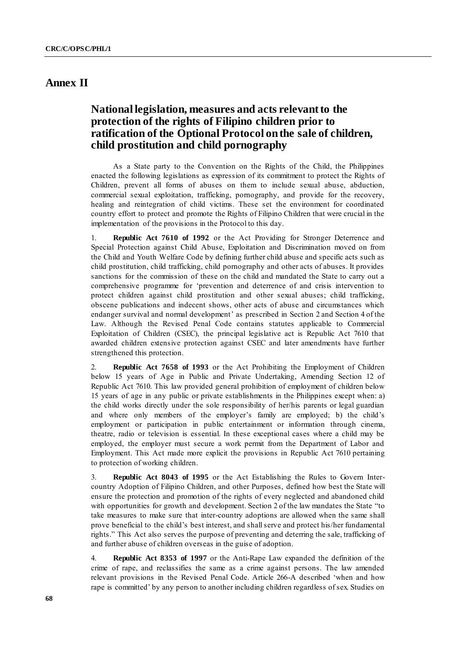# **Annex II**

# **National legislation, measures and acts relevant to the protection of the rights of Filipino children prior to ratification of the Optional Protocol on the sale of children, child prostitution and child pornography**

As a State party to the Convention on the Rights of the Child, the Philippines enacted the following legislations as expression of its commitment to protect the Rights of Children, prevent all forms of abuses on them to include sexual abuse, abduction, commercial sexual exploitation, trafficking, pornography, and provide for the recovery, healing and reintegration of child victims. These set the environment for coordinated country effort to protect and promote the Rights of Filipino Children that were crucial in the implementation of the provisions in the Protocol to this day.

1. **Republic Act 7610 of 1992** or the Act Providing for Stronger Deterrence and Special Protection against Child Abuse, Exploitation and Discrimination moved on from the Child and Youth Welfare Code by defining further child abuse and specific acts such as child prostitution, child trafficking, child pornography and other acts of abuses. It provides sanctions for the commission of these on the child and mandated the State to carry out a comprehensive programme for 'prevention and deterrence of and crisis intervention to protect children against child prostitution and other sexual abuses; child trafficking, obscene publications and indecent shows, other acts of abuse and circumstances which endanger survival and normal development' as prescribed in Section 2 and Section 4 of the Law. Although the Revised Penal Code contains statutes applicable to Commercial Exploitation of Children (CSEC), the principal legislative act is Republic Act 7610 that awarded children extensive protection against CSEC and later amendments have further strengthened this protection.

2. **Republic Act 7658 of 1993** or the Act Prohibiting the Employment of Children below 15 years of Age in Public and Private Undertaking, Amending Section 12 of Republic Act 7610. This law provided general prohibition of employment of children below 15 years of age in any public or private establishments in the Philippines except when: a) the child works directly under the sole responsibility of her/his parents or legal guardian and where only members of the employer's family are employed; b) the child's employment or participation in public entertainment or information through cinema, theatre, radio or television is essential. In these exceptional cases where a child may be employed, the employer must secure a work permit from the Department of Labor and Employment. This Act made more explicit the provisions in Republic Act 7610 pertaining to protection of working children.

3. **Republic Act 8043 of 1995** or the Act Establishing the Rules to Govern Intercountry Adoption of Filipino Children, and other Purposes, defined how best the State will ensure the protection and promotion of the rights of every neglected and abandoned child with opportunities for growth and development. Section 2 of the law mandates the State "to take measures to make sure that inter-country adoptions are allowed when the same shall prove beneficial to the child's best interest, and shall serve and protect his/her fundamental rights.‖ This Act also serves the purpose of preventing and deterring the sale, trafficking of and further abuse of children overseas in the guise of adoption.

4. **Republic Act 8353 of 1997** or the Anti-Rape Law expanded the definition of the crime of rape, and reclassifies the same as a crime against persons. The law amended relevant provisions in the Revised Penal Code. Article 266-A described 'when and how rape is committed' by any person to another including children regardless of sex. Studies on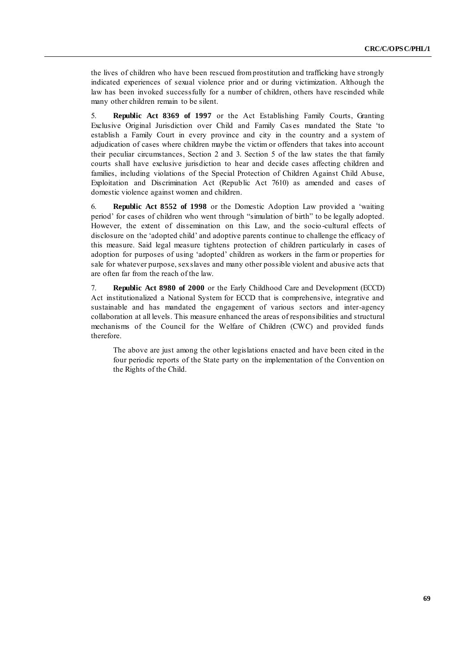the lives of children who have been rescued from prostitution and trafficking have strongly indicated experiences of sexual violence prior and or during victimization. Although the law has been invoked successfully for a number of children, others have rescinded while many other children remain to be silent.

5. **Republic Act 8369 of 1997** or the Act Establishing Family Courts, Granting Exclusive Original Jurisdiction over Child and Family Cases mandated the State 'to establish a Family Court in every province and city in the country and a system of adjudication of cases where children maybe the victim or offenders that takes into account their peculiar circumstances, Section 2 and 3. Section 5 of the law states the that family courts shall have exclusive jurisdiction to hear and decide cases affecting children and families, including violations of the Special Protection of Children Against Child Abuse, Exploitation and Discrimination Act (Republic Act 7610) as amended and cases of domestic violence against women and children.

6. **Republic Act 8552 of 1998** or the Domestic Adoption Law provided a 'waiting period' for cases of children who went through "simulation of birth" to be legally adopted. However, the extent of dissemination on this Law, and the socio-cultural effects of disclosure on the 'adopted child' and adoptive parents continue to challenge the efficacy of this measure. Said legal measure tightens protection of children particularly in cases of adoption for purposes of using 'adopted' children as workers in the farm or properties for sale for whatever purpose, sex slaves and many other possible violent and abusive acts that are often far from the reach of the law.

7. **Republic Act 8980 of 2000** or the Early Childhood Care and Development (ECCD) Act institutionalized a National System for ECCD that is comprehensive, integrative and sustainable and has mandated the engagement of various sectors and inter-agency collaboration at all levels. This measure enhanced the areas of responsibilities and structural mechanisms of the Council for the Welfare of Children (CWC) and provided funds therefore.

The above are just among the other legislations enacted and have been cited in the four periodic reports of the State party on the implementation of the Convention on the Rights of the Child.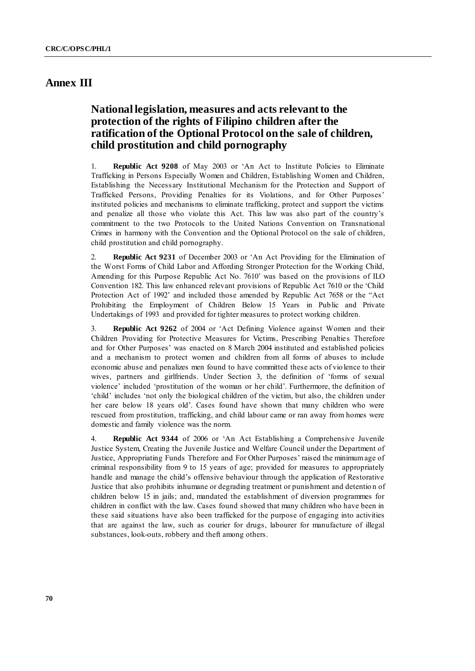# **Annex III**

# **National legislation, measures and acts relevant to the protection of the rights of Filipino children after the ratification of the Optional Protocol on the sale of children, child prostitution and child pornography**

1. **Republic Act 9208** of May 2003 or ‗An Act to Institute Policies to Eliminate Trafficking in Persons Especially Women and Children, Establishing Women and Children, Establishing the Necessary Institutional Mechanism for the Protection and Support of Trafficked Persons, Providing Penalties for its Violations, and for Other Purposes' instituted policies and mechanisms to eliminate trafficking, protect and support the victims and penalize all those who violate this Act. This law was also part of the country's commitment to the two Protocols to the United Nations Convention on Transnational Crimes in harmony with the Convention and the Optional Protocol on the sale of children, child prostitution and child pornography.

2. **Republic Act 9231** of December 2003 or ‗An Act Providing for the Elimination of the Worst Forms of Child Labor and Affording Stronger Protection for the Working Child, Amending for this Purpose Republic Act No. 7610' was based on the provisions of ILO Convention 182. This law enhanced relevant provisions of Republic Act 7610 or the 'Child Protection Act of 1992' and included those amended by Republic Act 7658 or the "Act" Prohibiting the Employment of Children Below 15 Years in Public and Private Undertakings of 1993 and provided for tighter measures to protect working children.

3. **Republic Act 9262** of 2004 or ‗Act Defining Violence against Women and their Children Providing for Protective Measures for Victims, Prescribing Penalties Therefore and for Other Purposes' was enacted on 8 March 2004 instituted and established policies and a mechanism to protect women and children from all forms of abuses to include economic abuse and penalizes men found to have committed these acts of vio lence to their wives, partners and girlfriends. Under Section 3, the definition of 'forms of sexual violence' included ‗prostitution of the woman or her child'. Furthermore, the definition of ‗child' includes ‗not only the biological children of the victim, but also, the children under her care below 18 years old'. Cases found have shown that many children who were rescued from prostitution, trafficking, and child labour came or ran away from homes were domestic and family violence was the norm.

4. **Republic Act 9344** of 2006 or ‗An Act Establishing a Comprehensive Juvenile Justice System, Creating the Juvenile Justice and Welfare Council under the Department of Justice, Appropriating Funds Therefore and For Other Purposes' raised the minimum age of criminal responsibility from 9 to 15 years of age; provided for measures to appropriately handle and manage the child's offensive behaviour through the application of Restorative Justice that also prohibits inhumane or degrading treatment or punishment and detentio n of children below 15 in jails; and, mandated the establishment of diversion programmes for children in conflict with the law. Cases found showed that many children who have been in these said situations have also been trafficked for the purpose of engaging into activities that are against the law, such as courier for drugs, labourer for manufacture of illegal substances, look-outs, robbery and theft among others.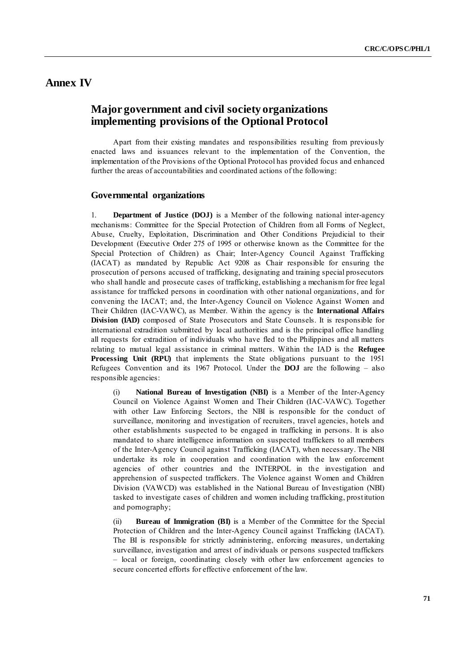## **Annex IV**

# **Major government and civil society organizations implementing provisions of the Optional Protocol**

Apart from their existing mandates and responsibilities resulting from previously enacted laws and issuances relevant to the implementation of the Convention, the implementation of the Provisions of the Optional Protocol has provided focus and enhanced further the areas of accountabilities and coordinated actions of the following:

### **Governmental organizations**

1. **Department of Justice (DOJ)** is a Member of the following national inter-agency mechanisms: Committee for the Special Protection of Children from all Forms of Neglect, Abuse, Cruelty, Exploitation, Discrimination and Other Conditions Prejudicial to their Development (Executive Order 275 of 1995 or otherwise known as the Committee for the Special Protection of Children) as Chair; Inter-Agency Council Against Trafficking (IACAT) as mandated by Republic Act 9208 as Chair responsible for ensuring the prosecution of persons accused of trafficking, designating and training special prosecutors who shall handle and prosecute cases of trafficking, establishing a mechanism for free legal assistance for trafficked persons in coordination with other national organizations, and for convening the IACAT; and, the Inter-Agency Council on Violence Against Women and Their Children (IAC-VAWC), as Member. Within the agency is the **International Affairs Division (IAD)** composed of State Prosecutors and State Counsels. It is responsible for international extradition submitted by local authorities and is the principal office handling all requests for extradition of individuals who have fled to the Philippines and all matters relating to mutual legal assistance in criminal matters. Within the IAD is the **Refugee Processing Unit (RPU)** that implements the State obligations pursuant to the 1951 Refugees Convention and its 1967 Protocol. Under the **DOJ** are the following – also responsible agencies:

(i) **National Bureau of Investigation (NBI)** is a Member of the Inter-Agency Council on Violence Against Women and Their Children (IAC-VAWC). Together with other Law Enforcing Sectors, the NBI is responsible for the conduct of surveillance, monitoring and investigation of recruiters, travel agencies, hotels and other establishments suspected to be engaged in trafficking in persons. It is also mandated to share intelligence information on suspected traffickers to all members of the Inter-Agency Council against Trafficking (IACAT), when necessary. The NBI undertake its role in cooperation and coordination with the law enforcement agencies of other countries and the INTERPOL in the investigation and apprehension of suspected traffickers. The Violence against Women and Children Division (VAWCD) was established in the National Bureau of Investigation (NBI) tasked to investigate cases of children and women including trafficking, prostitution and pornography;

(ii) **Bureau of Immigration (BI)** is a Member of the Committee for the Special Protection of Children and the Inter-Agency Council against Trafficking (IACAT). The BI is responsible for strictly administering, enforcing measures, undertaking surveillance, investigation and arrest of individuals or persons suspected traffickers – local or foreign, coordinating closely with other law enforcement agencies to secure concerted efforts for effective enforcement of the law.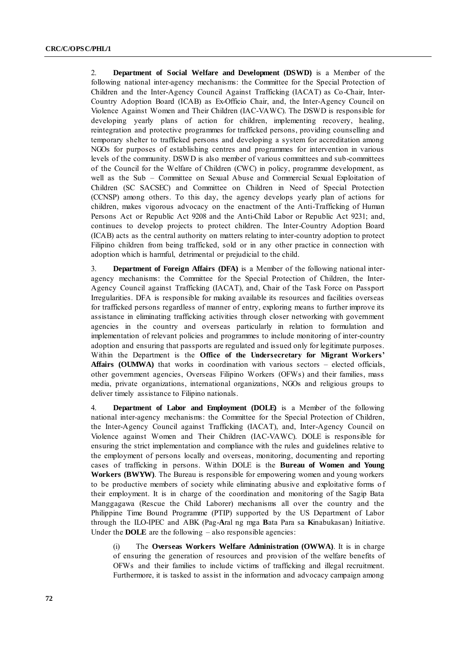2. **Department of Social Welfare and Development (DSWD)** is a Member of the following national inter-agency mechanisms: the Committee for the Special Protection of Children and the Inter-Agency Council Against Trafficking (IACAT) as Co-Chair, Inter-Country Adoption Board (ICAB) as Ex-Officio Chair, and, the Inter-Agency Council on Violence Against Women and Their Children (IAC-VAWC). The DSWD is responsible for developing yearly plans of action for children, implementing recovery, healing, reintegration and protective programmes for trafficked persons, providing counselling and temporary shelter to trafficked persons and developing a system for accreditation among NGOs for purposes of establishing centres and programmes for intervention in various levels of the community. DSWD is also member of various committees and sub-committees of the Council for the Welfare of Children (CWC) in policy, programme development, as well as the Sub – Committee on Sexual Abuse and Commercial Sexual Exploitation of Children (SC SACSEC) and Committee on Children in Need of Special Protection (CCNSP) among others. To this day, the agency develops yearly plan of actions for children, makes vigorous advocacy on the enactment of the Anti-Trafficking of Human Persons Act or Republic Act 9208 and the Anti-Child Labor or Republic Act 9231; and, continues to develop projects to protect children. The Inter-Country Adoption Board (ICAB) acts as the central authority on matters relating to inter-country adoption to protect Filipino children from being trafficked, sold or in any other practice in connection with adoption which is harmful, detrimental or prejudicial to the child.

3. **Department of Foreign Affairs (DFA)** is a Member of the following national interagency mechanisms: the Committee for the Special Protection of Children, the Inter-Agency Council against Trafficking (IACAT), and, Chair of the Task Force on Passport Irregularities. DFA is responsible for making available its resources and facilities overseas for trafficked persons regardless of manner of entry, exploring means to further improve its assistance in eliminating trafficking activities through closer networking with government agencies in the country and overseas particularly in relation to formulation and implementation of relevant policies and programmes to include monitoring of inter-country adoption and ensuring that passports are regulated and issued only for legitimate purposes. Within the Department is the **Office of the Undersecretary for Migrant Workers' Affairs (OUMWA)** that works in coordination with various sectors – elected officials, other government agencies, Overseas Filipino Workers (OFWs) and their families, mass media, private organizations, international organizations, NGOs and religious groups to deliver timely assistance to Filipino nationals.

4. **Department of Labor and Employment (DOLE)** is a Member of the following national inter-agency mechanisms: the Committee for the Special Protection of Children, the Inter-Agency Council against Trafficking (IACAT), and, Inter-Agency Council on Violence against Women and Their Children (IAC-VAWC). DOLE is responsible for ensuring the strict implementation and compliance with the rules and guidelines relative to the employment of persons locally and overseas, monitoring, documenting and reporting cases of trafficking in persons. Within DOLE is the **Bureau of Women and Young Workers (BWYW)**. The Bureau is responsible for empowering women and young workers to be productive members of society while eliminating abusive and exploitative forms of their employment. It is in charge of the coordination and monitoring of the Sagip Bata Manggagawa (Rescue the Child Laborer) mechanisms all over the country and the Philippine Time Bound Programme (PTIP) supported by the US Department of Labor through the ILO-IPEC and ABK (Pag-**A**ral ng mga **B**ata Para sa **K**inabukasan) Initiative. Under the **DOLE** are the following – also responsible agencies:

(i) The **Overseas Workers Welfare Administration (OWWA)**. It is in charge of ensuring the generation of resources and provision of the welfare benefits of OFWs and their families to include victims of trafficking and illegal recruitment. Furthermore, it is tasked to assist in the information and advocacy campaign among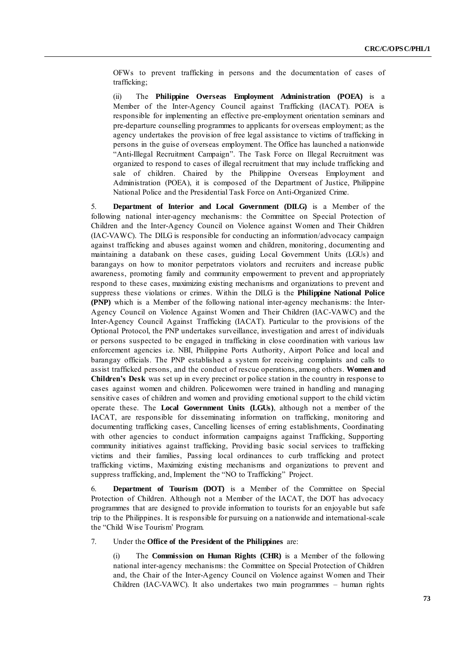OFWs to prevent trafficking in persons and the documentation of cases of trafficking;

(ii) The **Philippine Overseas Employment Administration (POEA)** is a Member of the Inter-Agency Council against Trafficking (IACAT). POEA is responsible for implementing an effective pre-employment orientation seminars and pre-departure counselling programmes to applicants for overseas employment; as the agency undertakes the provision of free legal assistance to victims of trafficking in persons in the guise of overseas employment. The Office has launched a nationwide ―Anti-Illegal Recruitment Campaign‖. The Task Force on Illegal Recruitment was organized to respond to cases of illegal recruitment that may include trafficking and sale of children. Chaired by the Philippine Overseas Employment and Administration (POEA), it is composed of the Department of Justice, Philippine National Police and the Presidential Task Force on Anti-Organized Crime.

5. **Department of Interior and Local Government (DILG)** is a Member of the following national inter-agency mechanisms: the Committee on Special Protection of Children and the Inter-Agency Council on Violence against Women and Their Children (IAC-VAWC). The DILG is responsible for conducting an information/advocacy campaign against trafficking and abuses against women and children, monitoring, documenting and maintaining a databank on these cases, guiding Local Government Units (LGUs) and barangays on how to monitor perpetrators violators and recruiters and increase public awareness, promoting family and community empowerment to prevent and ap propriately respond to these cases, maximizing existing mechanisms and organizations to prevent and suppress these violations or crimes. Within the DILG is the **Philippine National Police (PNP)** which is a Member of the following national inter-agency mechanisms: the Inter-Agency Council on Violence Against Women and Their Children (IAC-VAWC) and the Inter-Agency Council Against Trafficking (IACAT). Particular to the provisions of the Optional Protocol, the PNP undertakes surveillance, investigation and arrest of individuals or persons suspected to be engaged in trafficking in close coordination with various law enforcement agencies i.e. NBI, Philippine Ports Authority, Airport Police and local and barangay officials. The PNP established a system for receiving complaints and calls to assist trafficked persons, and the conduct of rescue operations, among others. **Women and Children's Desk** was set up in every precinct or police station in the country in response to cases against women and children. Policewomen were trained in handling and managing sensitive cases of children and women and providing emotional support to the child victim operate these. The **Local Government Units (LGUs)**, although not a member of the IACAT, are responsible for disseminating information on trafficking, monitoring and documenting trafficking cases, Cancelling licenses of erring establishments, Coordinating with other agencies to conduct information campaigns against Trafficking, Supporting community initiatives against trafficking, Providing basic social services to trafficking victims and their families, Passing local ordinances to curb trafficking and protect trafficking victims, Maximizing existing mechanisms and organizations to prevent and suppress trafficking, and, Implement the "NO to Trafficking" Project.

6. **Department of Tourism (DOT)** is a Member of the Committee on Special Protection of Children. Although not a Member of the IACAT, the DOT has advocacy programmes that are designed to provide information to tourists for an enjoyable but safe trip to the Philippines. It is responsible for pursuing on a nationwide and international-scale the "Child Wise Tourism' Program.

#### 7. Under the **Office of the President of the Philippines** are:

(i) The **Commission on Human Rights (CHR)** is a Member of the following national inter-agency mechanisms: the Committee on Special Protection of Children and, the Chair of the Inter-Agency Council on Violence against Women and Their Children (IAC-VAWC). It also undertakes two main programmes – human rights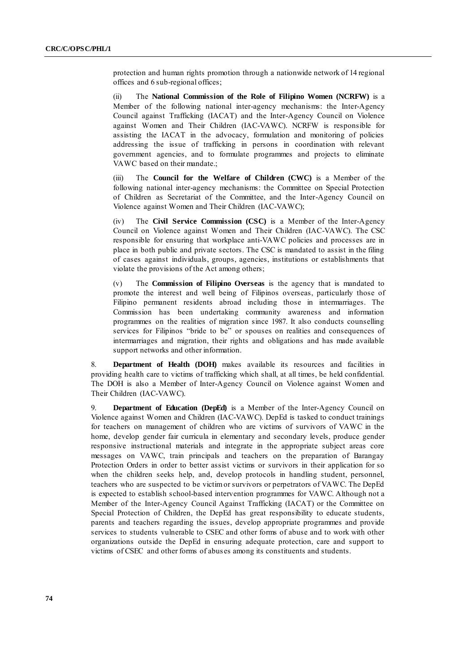protection and human rights promotion through a nationwide network of 14 regional offices and 6 sub-regional offices;

(ii) The **National Commission of the Role of Filipino Women (NCRFW)** is a Member of the following national inter-agency mechanisms: the Inter-Agency Council against Trafficking (IACAT) and the Inter-Agency Council on Violence against Women and Their Children (IAC-VAWC). NCRFW is responsible for assisting the IACAT in the advocacy, formulation and monitoring of policies addressing the issue of trafficking in persons in coordination with relevant government agencies, and to formulate programmes and projects to eliminate VAWC based on their mandate.;

(iii) The **Council for the Welfare of Children (CWC)** is a Member of the following national inter-agency mechanisms: the Committee on Special Protection of Children as Secretariat of the Committee, and the Inter-Agency Council on Violence against Women and Their Children (IAC-VAWC);

(iv) The **Civil Service Commission (CSC)** is a Member of the Inter-Agency Council on Violence against Women and Their Children (IAC-VAWC). The CSC responsible for ensuring that workplace anti-VAWC policies and processes are in place in both public and private sectors. The CSC is mandated to assist in the filing of cases against individuals, groups, agencies, institutions or establishments that violate the provisions of the Act among others;

(v) The **Commission of Filipino Overseas** is the agency that is mandated to promote the interest and well being of Filipinos overseas, particularly those of Filipino permanent residents abroad including those in intermarriages. The Commission has been undertaking community awareness and information programmes on the realities of migration since 1987. It also conducts counselling services for Filipinos "bride to be" or spouses on realities and consequences of intermarriages and migration, their rights and obligations and has made available support networks and other information.

8. **Department of Health (DOH)** makes available its resources and facilities in providing health care to victims of trafficking which shall, at all times, be held confidential. The DOH is also a Member of Inter-Agency Council on Violence against Women and Their Children (IAC-VAWC).

9. **Department of Education (DepEd)** is a Member of the Inter-Agency Council on Violence against Women and Children (IAC-VAWC). DepEd is tasked to conduct trainings for teachers on management of children who are victims of survivors of VAWC in the home, develop gender fair curricula in elementary and secondary levels, produce gender responsive instructional materials and integrate in the appropriate subject areas core messages on VAWC, train principals and teachers on the preparation of Barangay Protection Orders in order to better assist victims or survivors in their application for so when the children seeks help, and, develop protocols in handling student, personnel, teachers who are suspected to be victim or survivors or perpetrators of VAWC. The DepEd is expected to establish school-based intervention programmes for VAWC. Although not a Member of the Inter-Agency Council Against Trafficking (IACAT) or the Committee on Special Protection of Children, the DepEd has great responsibility to educate students, parents and teachers regarding the issues, develop appropriate programmes and provide services to students vulnerable to CSEC and other forms of abuse and to work with other organizations outside the DepEd in ensuring adequate protection, care and support to victims of CSEC and other forms of abus es among its constituents and students.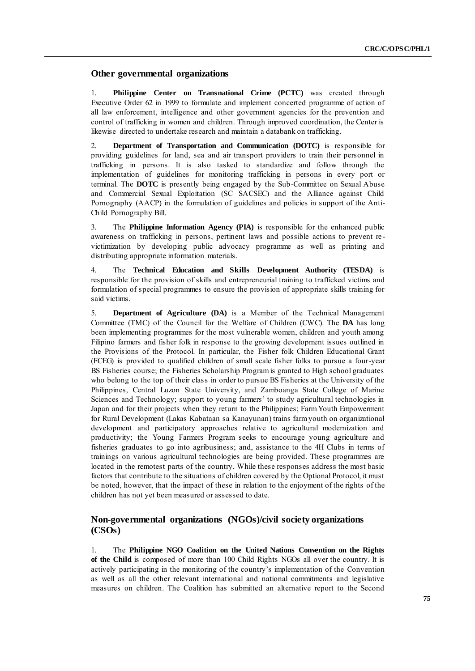### **Other governmental organizations**

1. **Philippine Center on Transnational Crime (PCTC)** was created through Executive Order 62 in 1999 to formulate and implement concerted programme of action of all law enforcement, intelligence and other government agencies for the prevention and control of trafficking in women and children. Through improved coordination, the Center is likewise directed to undertake research and maintain a databank on trafficking.

2. **Department of Transportation and Communication (DOTC)** is responsible for providing guidelines for land, sea and air transport providers to train their personnel in trafficking in persons. It is also tasked to standardize and follow through the implementation of guidelines for monitoring trafficking in persons in every port or terminal. The **DOTC** is presently being engaged by the Sub-Committee on Sexual Abuse and Commercial Sexual Exploitation (SC SACSEC) and the Alliance against Child Pornography (AACP) in the formulation of guidelines and policies in support of the Anti-Child Pornography Bill.

3. The **Philippine Information Agency (PIA)** is responsible for the enhanced public awareness on trafficking in persons, pertinent laws and possible actions to prevent re victimization by developing public advocacy programme as well as printing and distributing appropriate information materials.

4. The **Technical Education and Skills Development Authority (TESDA)** is responsible for the provision of skills and entrepreneurial training to trafficked victims and formulation of special programmes to ensure the provision of appropriate skills training for said victims.

5. **Department of Agriculture (DA)** is a Member of the Technical Management Committee (TMC) of the Council for the Welfare of Children (CWC). The **DA** has long been implementing programmes for the most vulnerable women, children and youth among Filipino farmers and fisher folk in response to the growing development issues outlined in the Provisions of the Protocol. In particular, the Fisher folk Children Educational Grant (FCEG) is provided to qualified children of small scale fisher folks to pursue a four-year BS Fisheries course; the Fisheries Scholarship Program is granted to High school graduates who belong to the top of their class in order to pursue BS Fisheries at the University of the Philippines, Central Luzon State University, and Zamboanga State College of Marine Sciences and Technology; support to young farmers' to study agricultural technologies in Japan and for their projects when they return to the Philippines; Farm Youth Empowerment for Rural Development (Lakas Kabataan sa Kanayunan) trains farm youth on organizational development and participatory approaches relative to agricultural modernization and productivity; the Young Farmers Program seeks to encourage young agriculture and fisheries graduates to go into agribusiness; and, assistance to the 4H Clubs in terms of trainings on various agricultural technologies are being provided. These programmes are located in the remotest parts of the country. While these responses address the most basic factors that contribute to the situations of children covered by the Optional Protocol, it must be noted, however, that the impact of these in relation to the enjoyment of the rights of the children has not yet been measured or assessed to date.

## **Non-governmental organizations (NGOs)/civil society organizations (CSOs)**

1. The **Philippine NGO Coalition on the United Nations Convention on the Rights of the Child** is composed of more than 100 Child Rights NGOs all over the country. It is actively participating in the monitoring of the country's implementation of the Convention as well as all the other relevant international and national commitments and legislative measures on children. The Coalition has submitted an alternative report to the Second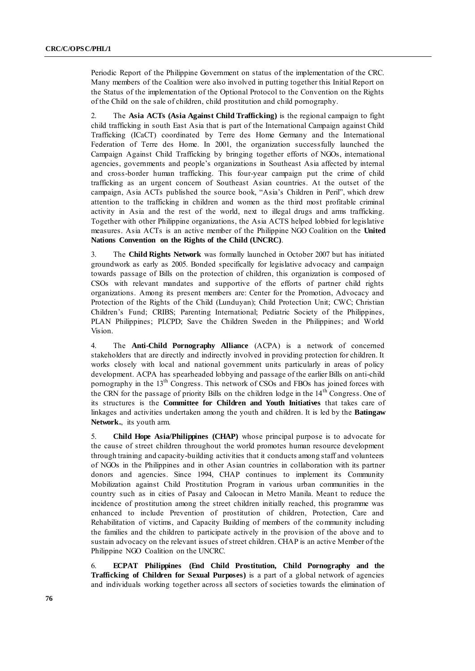Periodic Report of the Philippine Government on status of the implementation of the CRC. Many members of the Coalition were also involved in putting together this Initial Report on the Status of the implementation of the Optional Protocol to the Convention on the Rights of the Child on the sale of children, child prostitution and child pornography.

2. The **Asia ACTs (Asia Against Child Trafficking)** is the regional campaign to fight child trafficking in south East Asia that is part of the International Campaign against Child Trafficking (ICaCT) coordinated by Terre des Home Germany and the International Federation of Terre des Home. In 2001, the organization successfully launched the Campaign Against Child Trafficking by bringing together efforts of NGOs, international agencies, governments and people's organizations in Southeast Asia affected by internal and cross-border human trafficking. This four-year campaign put the crime of child trafficking as an urgent concern of Southeast Asian countries. At the outset of the campaign, Asia ACTs published the source book, "Asia's Children in Peril", which drew attention to the trafficking in children and women as the third most profitable criminal activity in Asia and the rest of the world, next to illegal drugs and arms trafficking. Together with other Philippine organizations, the Asia ACTS helped lobbied for legislative measures. Asia ACTs is an active member of the Philippine NGO Coalition on the **United Nations Convention on the Rights of the Child (UNCRC)**.

3. The **Child Rights Network** was formally launched in October 2007 but has initiated groundwork as early as 2005. Bonded specifically for legislative advocacy and campaign towards passage of Bills on the protection of children, this organization is composed of CSOs with relevant mandates and supportive of the efforts of partner child rights organizations. Among its present members are: Center for the Promotion, Advocacy and Protection of the Rights of the Child (Lunduyan); Child Protection Unit; CWC; Christian Children's Fund; CRIBS; Parenting International; Pediatric Society of the Philippines, PLAN Philippines; PLCPD; Save the Children Sweden in the Philippines; and World Vision.

4. The **Anti-Child Pornography Alliance** (ACPA) is a network of concerned stakeholders that are directly and indirectly involved in providing protection for children. It works closely with local and national government units particularly in areas of policy development. ACPA has spearheaded lobbying and passage of the earlier Bills on anti-child pornography in the 13<sup>th</sup> Congress. This network of CSOs and FBOs has joined forces with the CRN for the passage of priority Bills on the children lodge in the  $14<sup>th</sup>$  Congress. One of its structures is the **Committee for Children and Youth Initiatives** that takes care of linkages and activities undertaken among the youth and children. It is led by the **Batingaw Network.**, its youth arm.

5. **Child Hope Asia/Philippines (CHAP)** whose principal purpose is to advocate for the cause of street children throughout the world promotes human resource development through training and capacity-building activities that it conducts among staff and volunteers of NGOs in the Philippines and in other Asian countries in collaboration with its partner donors and agencies. Since 1994, CHAP continues to implement its Community Mobilization against Child Prostitution Program in various urban communities in the country such as in cities of Pasay and Caloocan in Metro Manila. Meant to reduce the incidence of prostitution among the street children initially reached, this programme was enhanced to include Prevention of prostitution of children, Protection, Care and Rehabilitation of victims, and Capacity Building of members of the community including the families and the children to participate actively in the provision of the above and to sustain advocacy on the relevant issues of street children. CHAP is an active Member of the Philippine NGO Coalition on the UNCRC.

6. **ECPAT Philippines (End Child Prostitution, Child Pornography and the Trafficking of Children for Sexual Purposes)** is a part of a global network of agencies and individuals working together across all sectors of societies towards the elimination of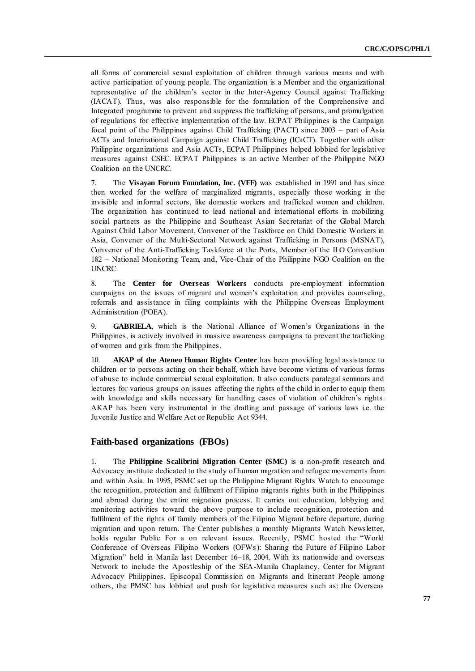all forms of commercial sexual exploitation of children through various means and with active participation of young people. The organization is a Member and the organizational representative of the children's sector in the Inter-Agency Council against Trafficking (IACAT). Thus, was also responsible for the formulation of the Comprehensive and Integrated programme to prevent and suppress the trafficking of persons, and promulgation of regulations for effective implementation of the law. ECPAT Philippines is the Campaign focal point of the Philippines against Child Trafficking (PACT) since 2003 – part of Asia ACTs and International Campaign against Child Trafficking (ICaCT). Together with other Philippine organizations and Asia ACTs, ECPAT Philippines helped lobbied for legislative measures against CSEC. ECPAT Philippines is an active Member of the Philippine NGO Coalition on the UNCRC.

7. The **Visayan Forum Foundation, Inc. (VFF)** was established in 1991 and has since then worked for the welfare of marginalized migrants, especially those working in the invisible and informal sectors, like domestic workers and trafficked women and children. The organization has continued to lead national and international efforts in mobilizing social partners as the Philippine and Southeast Asian Secretariat of the Global March Against Child Labor Movement, Convener of the Taskforce on Child Domestic Workers in Asia, Convener of the Multi-Sectoral Network against Trafficking in Persons (MSNAT), Convener of the Anti-Trafficking Taskforce at the Ports, Member of the ILO Convention 182 – National Monitoring Team, and, Vice-Chair of the Philippine NGO Coalition on the UNCRC.

8. The **Center for Overseas Workers** conducts pre-employment information campaigns on the issues of migrant and women's exploitation and provides counseling, referrals and assistance in filing complaints with the Philippine Overseas Employment Administration (POEA).

9. **GABRIELA**, which is the National Alliance of Women's Organizations in the Philippines, is actively involved in massive awareness campaigns to prevent the trafficking of women and girls from the Philippines.

10. **AKAP of the Ateneo Human Rights Center** has been providing legal assistance to children or to persons acting on their behalf, which have become victims of various forms of abuse to include commercial sexual exploitation. It also conducts paralegal seminars and lectures for various groups on issues affecting the rights of the child in order to equip them with knowledge and skills necessary for handling cases of violation of children's rights. AKAP has been very instrumental in the drafting and passage of various laws i.e. the Juvenile Justice and Welfare Act or Republic Act 9344.

#### **Faith-based organizations (FBOs)**

1. The **Philippine Scalibrini Migration Center (SMC)** is a non-profit research and Advocacy institute dedicated to the study of human migration and refugee movements from and within Asia. In 1995, PSMC set up the Philippine Migrant Rights Watch to encourage the recognition, protection and fulfilment of Filipino migrants rights both in the Philippines and abroad during the entire migration process. It carries out education, lobbying and monitoring activities toward the above purpose to include recognition, protection and fulfilment of the rights of family members of the Filipino Migrant before departure, during migration and upon return. The Center publishes a monthly Migrants Watch Newsletter, holds regular Public For a on relevant issues. Recently, PSMC hosted the "World Conference of Overseas Filipino Workers (OFWs): Sharing the Future of Filipino Labor Migration" held in Manila last December 16–18, 2004. With its nationwide and overseas Network to include the Apostleship of the SEA-Manila Chaplaincy, Center for Migrant Advocacy Philippines, Episcopal Commission on Migrants and Itinerant People among others, the PMSC has lobbied and push for legislative measures such as: the Overseas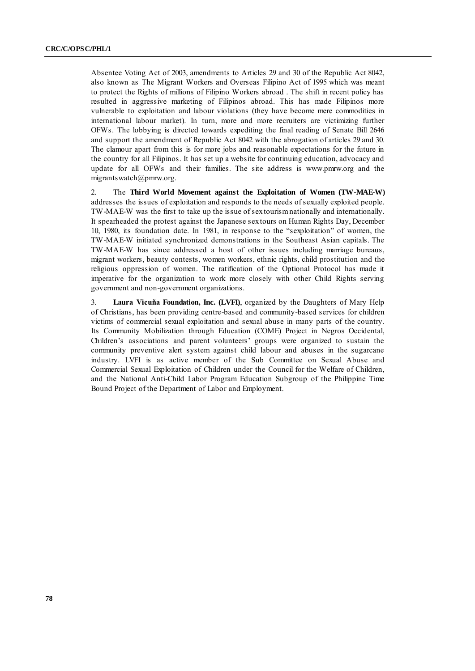Absentee Voting Act of 2003, amendments to Articles 29 and 30 of the Republic Act 8042, also known as The Migrant Workers and Overseas Filipino Act of 1995 which was meant to protect the Rights of millions of Filipino Workers abroad . The shift in recent policy has resulted in aggressive marketing of Filipinos abroad. This has made Filipinos more vulnerable to exploitation and labour violations (they have become mere commodities in international labour market). In turn, more and more recruiters are victimizing further OFWs. The lobbying is directed towards expediting the final reading of Senate Bill 2646 and support the amendment of Republic Act 8042 with the abrogation of articles 29 and 30. The clamour apart from this is for more jobs and reasonable expectations for the future in the country for all Filipinos. It has set up a website for continuing education, advocacy and update for all OFWs and their families. The site address is www.pmrw.org and the migrantswatch@pmrw.org.

2. The **Third World Movement against the Exploitation of Women (TW-MAE-W)** addresses the issues of exploitation and responds to the needs of sexually exploited people. TW-MAE-W was the first to take up the issue of sex tourism nationally and internationally. It spearheaded the protest against the Japanese sex tours on Human Rights Day, December 10, 1980, its foundation date. In 1981, in response to the "sexploitation" of women, the TW-MAE-W initiated synchronized demonstrations in the Southeast Asian capitals. The TW-MAE-W has since addressed a host of other issues including marriage bureaus, migrant workers, beauty contests, women workers, ethnic rights, child prostitution and the religious oppression of women. The ratification of the Optional Protocol has made it imperative for the organization to work more closely with other Child Rights serving government and non-government organizations.

3. **Laura Vicuňa Foundation, Inc. (LVFI)**, organized by the Daughters of Mary Help of Christians, has been providing centre-based and community-based services for children victims of commercial sexual exploitation and sexual abuse in many parts of the country. Its Community Mobilization through Education (COME) Project in Negros Occidental, Children's associations and parent volunteers' groups were organized to sustain the community preventive alert system against child labour and abuses in the sugarcane industry. LVFI is as active member of the Sub Committee on Sexual Abuse and Commercial Sexual Exploitation of Children under the Council for the Welfare of Children, and the National Anti-Child Labor Program Education Subgroup of the Philippine Time Bound Project of the Department of Labor and Employment.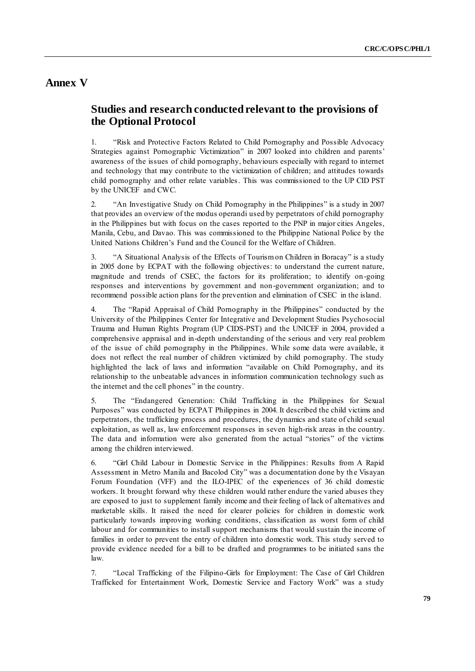# **Annex V**

# **Studies and research conducted relevant to the provisions of the Optional Protocol**

1. "Risk and Protective Factors Related to Child Pornography and Possible Advocacy Strategies against Pornographic Victimization" in 2007 looked into children and parents' awareness of the issues of child pornography, behaviours especially with regard to internet and technology that may contribute to the victimization of children; and attitudes towards child pornography and other relate variables. This was commissioned to the UP CID PST by the UNICEF and CWC.

2. "An Investigative Study on Child Pornography in the Philippines" is a study in 2007 that provides an overview of the modus operandi used by perpetrators of child pornography in the Philippines but with focus on the cases reported to the PNP in major cities Angeles, Manila, Cebu, and Davao. This was commissioned to the Philippine National Police by the United Nations Children's Fund and the Council for the Welfare of Children.

3. "A Situational Analysis of the Effects of Tourism on Children in Boracay" is a study in 2005 done by ECPAT with the following objectives: to understand the current nature, magnitude and trends of CSEC, the factors for its proliferation; to identify on -going responses and interventions by government and non-government organization; and to recommend possible action plans for the prevention and elimination of CSEC in the island.

4. The "Rapid Appraisal of Child Pornography in the Philippines" conducted by the University of the Philippines Center for Integrative and Development Studies Psychosocial Trauma and Human Rights Program (UP CIDS-PST) and the UNICEF in 2004, provided a comprehensive appraisal and in-depth understanding of the serious and very real problem of the issue of child pornography in the Philippines. While some data were available, it does not reflect the real number of children victimized by child pornography. The study highlighted the lack of laws and information "available on Child Pornography, and its relationship to the unbeatable advances in information communication technology such as the internet and the cell phones" in the country.

5. The "Endangered Generation: Child Trafficking in the Philippines for Sexual Purposes" was conducted by ECPAT Philippines in 2004. It described the child victims and perpetrators, the trafficking process and procedures, the dynamics and state of child sexual exploitation, as well as, law enforcement responses in seven high-risk areas in the country. The data and information were also generated from the actual "stories" of the victims among the children interviewed.

6. ―Girl Child Labour in Domestic Service in the Philippines: Results from A Rapid Assessment in Metro Manila and Bacolod City" was a documentation done by the Visayan Forum Foundation (VFF) and the ILO-IPEC of the experiences of 36 child domestic workers. It brought forward why these children would rather endure the varied abuses they are exposed to just to supplement family income and their feeling of lack of alternatives and marketable skills. It raised the need for clearer policies for children in domestic work particularly towards improving working conditions, classification as worst form of child labour and for communities to install support mechanisms that would sustain the income of families in order to prevent the entry of children into domestic work. This study served to provide evidence needed for a bill to be drafted and programmes to be initiated sans the law.

7. ―Local Trafficking of the Filipino-Girls for Employment: The Case of Girl Children Trafficked for Entertainment Work, Domestic Service and Factory Work" was a study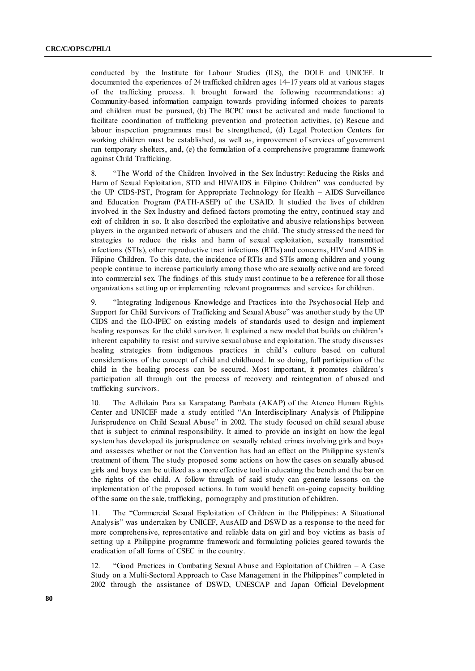conducted by the Institute for Labour Studies (ILS), the DOLE and UNICEF. It documented the experiences of 24 trafficked children ages 14–17 years old at various stages of the trafficking process. It brought forward the following recommendations: a) Community-based information campaign towards providing informed choices to parents and children must be pursued, (b) The BCPC must be activated and made functional to facilitate coordination of trafficking prevention and protection activities, (c) Rescue and labour inspection programmes must be strengthened, (d) Legal Protection Centers for working children must be established, as well as, improvement of services of government run temporary shelters, and, (e) the formulation of a comprehensive programme framework against Child Trafficking.

8. 
"The World of the Children Involved in the Sex Industry: Reducing the Risks and Harm of Sexual Exploitation, STD and HIV/AIDS in Filipino Children" was conducted by the UP CIDS-PST, Program for Appropriate Technology for Health – AIDS Surveillance and Education Program (PATH-ASEP) of the USAID. It studied the lives of children involved in the Sex Industry and defined factors promoting the entry, continued stay and exit of children in so. It also described the exploitative and abusive relationships between players in the organized network of abusers and the child. The study stressed the need for strategies to reduce the risks and harm of sexual exploitation, sexually transmitted infections (STIs), other reproductive tract infections (RTIs) and concerns, HIV and AIDS in Filipino Children. To this date, the incidence of RTIs and STIs among children and y oung people continue to increase particularly among those who are sexually active and are forced into commercial sex. The findings of this study must continue to be a reference for all those organizations setting up or implementing relevant programmes and services for children.

9. ―Integrating Indigenous Knowledge and Practices into the Psychosocial Help and Support for Child Survivors of Trafficking and Sexual Abuse" was another study by the UP CIDS and the ILO-IPEC on existing models of standards used to design and implement healing responses for the child survivor. It explained a new model that builds on children's inherent capability to resist and survive sexual abuse and exploitation. The study discusses healing strategies from indigenous practices in child's culture based on cultural considerations of the concept of child and childhood. In so doing, full participation of the child in the healing process can be secured. Most important, it promotes children's participation all through out the process of recovery and reintegration of abused and trafficking survivors.

10. The Adhikain Para sa Karapatang Pambata (AKAP) of the Ateneo Human Rights Center and UNICEF made a study entitled "An Interdisciplinary Analysis of Philippine Jurisprudence on Child Sexual Abuse" in 2002. The study focused on child sexual abuse that is subject to criminal responsibility. It aimed to provide an insight on how the legal system has developed its jurisprudence on sexually related crimes involving girls and boys and assesses whether or not the Convention has had an effect on the Philippine system's treatment of them. The study proposed some actions on how the cases on sexually abused girls and boys can be utilized as a more effective tool in educating the bench and the bar on the rights of the child. A follow through of said study can generate lessons on the implementation of the proposed actions. In turn would benefit on-going capacity building of the same on the sale, trafficking, pornography and prostitution of children.

11. The "Commercial Sexual Exploitation of Children in the Philippines: A Situational Analysis" was undertaken by UNICEF, AusAID and DSWD as a response to the need for more comprehensive, representative and reliable data on girl and boy victims as basis of setting up a Philippine programme framework and formulating policies geared towards the eradication of all forms of CSEC in the country.

12.  $\degree$  Good Practices in Combating Sexual Abuse and Exploitation of Children – A Case Study on a Multi-Sectoral Approach to Case Management in the Philippines" completed in 2002 through the assistance of DSWD, UNESCAP and Japan Official Development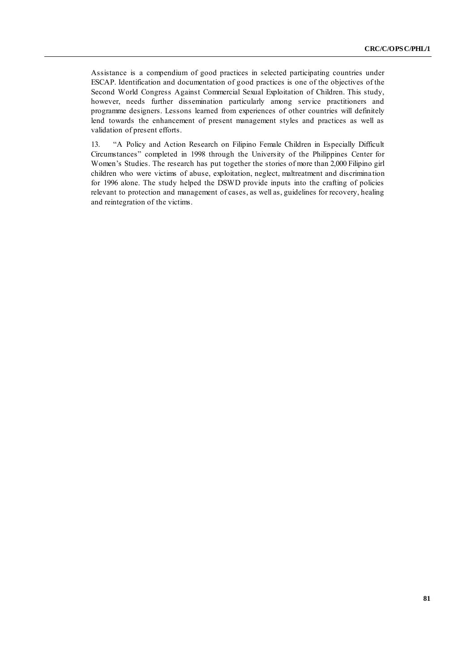Assistance is a compendium of good practices in selected participating countries under ESCAP. Identification and documentation of good practices is one of the objectives of the Second World Congress Against Commercial Sexual Exploitation of Children. This study, however, needs further dissemination particularly among service practitioners and programme designers. Lessons learned from experiences of other countries will definitely lend towards the enhancement of present management styles and practices as well as validation of present efforts.

13. "A Policy and Action Research on Filipino Female Children in Especially Difficult Circumstances‖ completed in 1998 through the University of the Philippines Center for Women's Studies. The research has put together the stories of more than 2,000 Filipino girl children who were victims of abuse, exploitation, neglect, maltreatment and discrimina tion for 1996 alone. The study helped the DSWD provide inputs into the crafting of policies relevant to protection and management of cases, as well as, guidelines for recovery, healing and reintegration of the victims.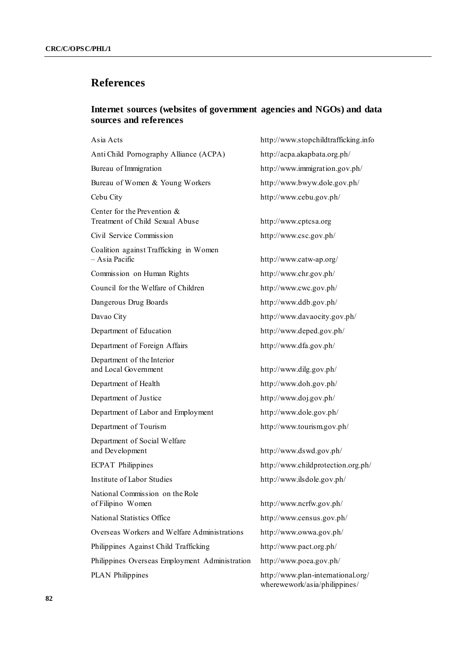# **References**

## **Internet sources (websites of government agencies and NGOs) and data sources and references**

| Asia Acts                                                      | http://www.stopchildtrafficking.info                                |
|----------------------------------------------------------------|---------------------------------------------------------------------|
| Anti Child Pornography Alliance (ACPA)                         | http://acpa.akapbata.org.ph/                                        |
| Bureau of Immigration                                          | http://www.immigration.gov.ph/                                      |
| Bureau of Women & Young Workers                                | http://www.bwyw.dole.gov.ph/                                        |
| Cebu City                                                      | http://www.cebu.gov.ph/                                             |
| Center for the Prevention &<br>Treatment of Child Sexual Abuse | http://www.cptcsa.org                                               |
| Civil Service Commission                                       | http://www.csc.gov.ph/                                              |
| Coalition against Trafficking in Women<br>- Asia Pacific       | http://www.catw-ap.org/                                             |
| Commission on Human Rights                                     | http://www.chr.gov.ph/                                              |
| Council for the Welfare of Children                            | http://www.cwc.gov.ph/                                              |
| Dangerous Drug Boards                                          | http://www.ddb.gov.ph/                                              |
| Davao City                                                     | http://www.davaocity.gov.ph/                                        |
| Department of Education                                        | http://www.deped.gov.ph/                                            |
| Department of Foreign Affairs                                  | http://www.dfa.gov.ph/                                              |
| Department of the Interior<br>and Local Government             | http://www.dilg.gov.ph/                                             |
| Department of Health                                           | http://www.doh.gov.ph/                                              |
| Department of Justice                                          | http://www.doj.gov.ph/                                              |
| Department of Labor and Employment                             | http://www.dole.gov.ph/                                             |
| Department of Tourism                                          | http://www.tourism.gov.ph/                                          |
| Department of Social Welfare<br>and Development                | http://www.dswd.gov.ph/                                             |
| <b>ECPAT Philippines</b>                                       | http://www.childprotection.org.ph/                                  |
| Institute of Labor Studies                                     | http://www.ilsdole.gov.ph/                                          |
| National Commission on the Role<br>of Filipino Women           | http://www.ncrfw.gov.ph/                                            |
| National Statistics Office                                     | http://www.census.gov.ph/                                           |
| Overseas Workers and Welfare Administrations                   | http://www.owwa.gov.ph/                                             |
| Philippines Against Child Trafficking                          | http://www.pact.org.ph/                                             |
| Philippines Overseas Employment Administration                 | http://www.poea.gov.ph/                                             |
| <b>PLAN</b> Philippines                                        | http://www.plan-international.org/<br>wherewework/asia/philippines/ |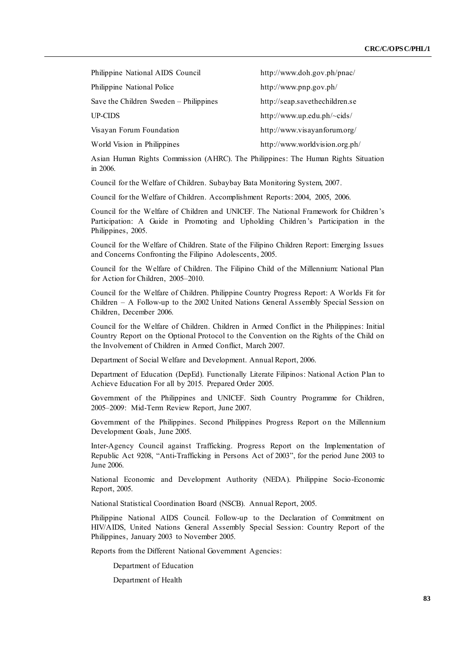| Philippine National AIDS Council       | http://www.doh.gov.ph/pnac/    |
|----------------------------------------|--------------------------------|
| Philippine National Police             | http://www.pnp.gov.ph/         |
| Save the Children Sweden – Philippines | http://seap.savethechildren.se |
| UP-CIDS                                | http://www.up.edu.ph/~cids/    |
| Visayan Forum Foundation               | http://www.visayanforum.org/   |
| World Vision in Philippines            | http://www.worldvision.org.ph/ |

Asian Human Rights Commission (AHRC). The Philippines: The Human Rights Situation in 2006.

Council for the Welfare of Children. Subaybay Bata Monitoring System, 2007.

Council for the Welfare of Children. Accomplishment Reports: 2004, 2005, 2006.

Council for the Welfare of Children and UNICEF. The National Framework for Children's Participation: A Guide in Promoting and Upholding Children's Participation in the Philippines, 2005.

Council for the Welfare of Children. State of the Filipino Children Report: Emerging Issues and Concerns Confronting the Filipino Adolescents, 2005.

Council for the Welfare of Children. The Filipino Child of the Millennium: National Plan for Action for Children, 2005–2010.

Council for the Welfare of Children. Philippine Country Progress Report: A Worlds Fit for Children – A Follow-up to the 2002 United Nations General Assembly Special Session on Children, December 2006.

Council for the Welfare of Children. Children in Armed Conflict in the Philippines: Initial Country Report on the Optional Protocol to the Convention on the Rights of the Child on the Involvement of Children in Armed Conflict, March 2007.

Department of Social Welfare and Development. Annual Report, 2006.

Department of Education (DepEd). Functionally Literate Filipinos: National Action Plan to Achieve Education For all by 2015. Prepared Order 2005.

Government of the Philippines and UNICEF. Sixth Country Programme for Children, 2005–2009: Mid-Term Review Report, June 2007.

Government of the Philippines. Second Philippines Progress Report on the Millennium Development Goals, June 2005.

Inter-Agency Council against Trafficking. Progress Report on the Implementation of Republic Act 9208, "Anti-Trafficking in Persons Act of 2003", for the period June 2003 to June 2006.

National Economic and Development Authority (NEDA). Philippine Socio-Economic Report, 2005.

National Statistical Coordination Board (NSCB). Annual Report, 2005.

Philippine National AIDS Council. Follow-up to the Declaration of Commitment on HIV/AIDS, United Nations General Assembly Special Session: Country Report of the Philippines, January 2003 to November 2005.

Reports from the Different National Government Agencies:

Department of Education

Department of Health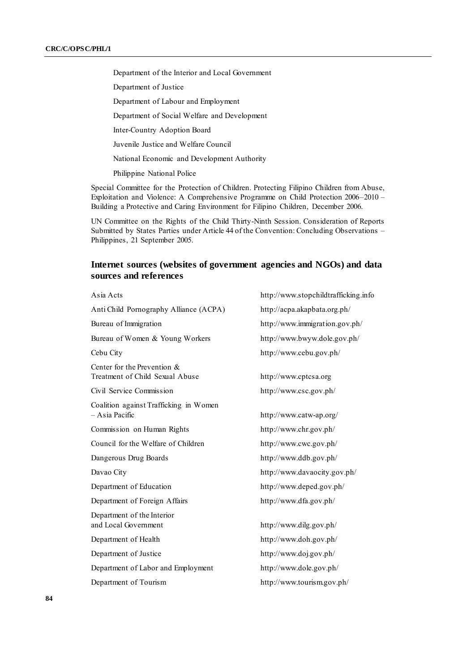Department of the Interior and Local Government

Department of Justice

Department of Labour and Employment

Department of Social Welfare and Development

Inter-Country Adoption Board

Juvenile Justice and Welfare Council

National Economic and Development Authority

Philippine National Police

Special Committee for the Protection of Children. Protecting Filipino Children from Abuse, Exploitation and Violence: A Comprehensive Programme on Child Protection 2006–2010 – Building a Protective and Caring Environment for Filipino Children, December 2006.

UN Committee on the Rights of the Child Thirty-Ninth Session. Consideration of Reports Submitted by States Parties under Article 44 of the Convention: Concluding Observations – Philippines, 21 September 2005.

## **Internet sources (websites of government agencies and NGOs) and data sources and references**

| Asia Acts                                                      | http://www.stopchildtrafficking.info |
|----------------------------------------------------------------|--------------------------------------|
| Anti Child Pornography Alliance (ACPA)                         | http://acpa.akapbata.org.ph/         |
| Bureau of Immigration                                          | http://www.immigration.gov.ph/       |
| Bureau of Women & Young Workers                                | http://www.bwyw.dole.gov.ph/         |
| Cebu City                                                      | http://www.cebu.gov.ph/              |
| Center for the Prevention &<br>Treatment of Child Sexual Abuse | http://www.cptcsa.org                |
| Civil Service Commission                                       | http://www.csc.gov.ph/               |
| Coalition against Trafficking in Women<br>- Asia Pacific       | http://www.catw-ap.org/              |
| Commission on Human Rights                                     | http://www.chr.gov.ph/               |
| Council for the Welfare of Children                            | http://www.cwc.gov.ph/               |
| Dangerous Drug Boards                                          | http://www.ddb.gov.ph/               |
| Davao City                                                     | http://www.davaocity.gov.ph/         |
| Department of Education                                        | http://www.deped.gov.ph/             |
| Department of Foreign Affairs                                  | http://www.dfa.gov.ph/               |
| Department of the Interior<br>and Local Government             | http://www.dilg.gov.ph/              |
| Department of Health                                           | http://www.doh.gov.ph/               |
| Department of Justice                                          | http://www.doj.gov.ph/               |
| Department of Labor and Employment                             | http://www.dole.gov.ph/              |
| Department of Tourism                                          | http://www.tourism.gov.ph/           |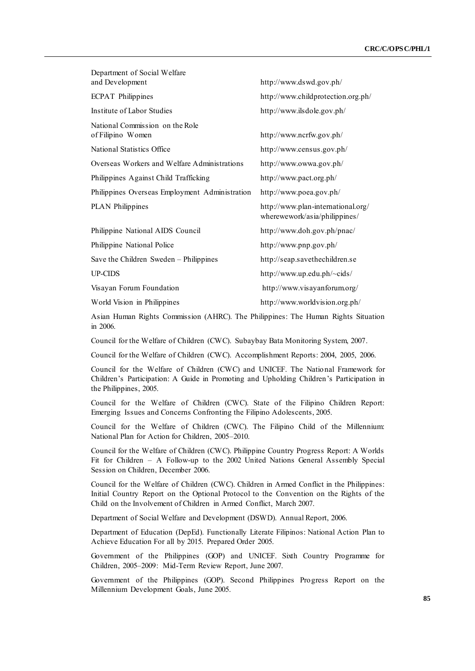| Department of Social Welfare<br>and Development      | http://www.dswd.gov.ph/                                             |
|------------------------------------------------------|---------------------------------------------------------------------|
| <b>ECPAT Philippines</b>                             | http://www.childprotection.org.ph/                                  |
| Institute of Labor Studies                           | http://www.ilsdole.gov.ph/                                          |
| National Commission on the Role<br>of Filipino Women | http://www.ncrfw.gov.ph/                                            |
| National Statistics Office                           | http://www.census.gov.ph/                                           |
| Overseas Workers and Welfare Administrations         | http://www.owwa.gov.ph/                                             |
| Philippines Against Child Trafficking                | http://www.pact.org.ph/                                             |
| Philippines Overseas Employment Administration       | http://www.poea.gov.ph/                                             |
| <b>PLAN</b> Philippines                              | http://www.plan-international.org/<br>wherewework/asia/philippines/ |
| Philippine National AIDS Council                     | http://www.doh.gov.ph/pnac/                                         |
| Philippine National Police                           | http://www.pnp.gov.ph/                                              |
| Save the Children Sweden - Philippines               | http://seap.savethechildren.se                                      |
| <b>UP-CIDS</b>                                       | http://www.up.edu.ph/~cids/                                         |
| Visayan Forum Foundation                             | http://www.visayanforum.org/                                        |
| World Vision in Philippines                          | http://www.worldvision.org.ph/                                      |

Asian Human Rights Commission (AHRC). The Philippines: The Human Rights Situation in 2006.

Council for the Welfare of Children (CWC). Subaybay Bata Monitoring System, 2007.

Council for the Welfare of Children (CWC). Accomplishment Reports: 2004, 2005, 2006.

Council for the Welfare of Children (CWC) and UNICEF. The National Framework for Children's Participation: A Guide in Promoting and Upholding Children's Participation in the Philippines, 2005.

Council for the Welfare of Children (CWC). State of the Filipino Children Report: Emerging Issues and Concerns Confronting the Filipino Adolescents, 2005.

Council for the Welfare of Children (CWC). The Filipino Child of the Millennium: National Plan for Action for Children, 2005–2010.

Council for the Welfare of Children (CWC). Philippine Country Progress Report: A Worlds Fit for Children – A Follow-up to the 2002 United Nations General Assembly Special Session on Children, December 2006.

Council for the Welfare of Children (CWC). Children in Armed Conflict in the Philippines: Initial Country Report on the Optional Protocol to the Convention on the Rights of the Child on the Involvement of Children in Armed Conflict, March 2007.

Department of Social Welfare and Development (DSWD). Annual Report, 2006.

Department of Education (DepEd). Functionally Literate Filipinos: National Action Plan to Achieve Education For all by 2015. Prepared Order 2005.

Government of the Philippines (GOP) and UNICEF. Sixth Country Programme for Children, 2005–2009: Mid-Term Review Report, June 2007.

Government of the Philippines (GOP). Second Philippines Progress Report on the Millennium Development Goals, June 2005.